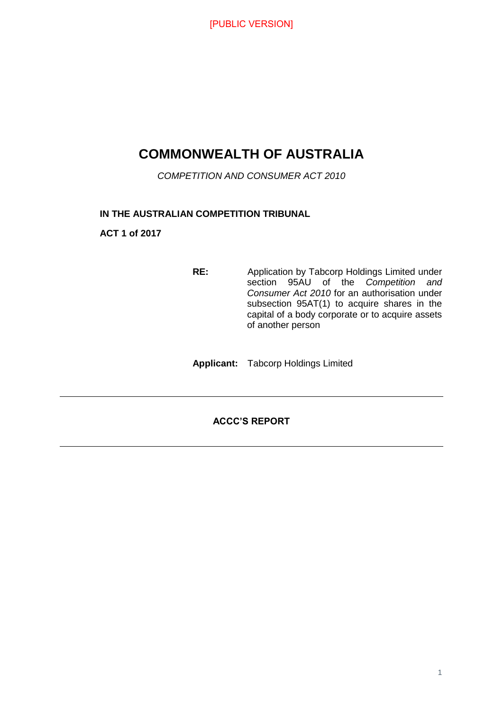## **COMMONWEALTH OF AUSTRALIA**

*COMPETITION AND CONSUMER ACT 2010*

#### **IN THE AUSTRALIAN COMPETITION TRIBUNAL**

**ACT 1 of 2017**

**RE:** Application by Tabcorp Holdings Limited under section 95AU of the *Competition and Consumer Act 2010* for an authorisation under subsection 95AT(1) to acquire shares in the capital of a body corporate or to acquire assets of another person

**Applicant:** Tabcorp Holdings Limited

#### **ACCC'S REPORT**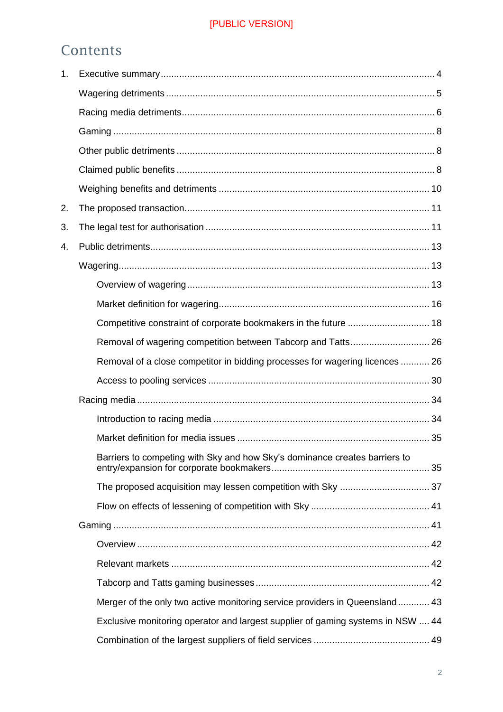## Contents

| 1. |                                                                                 |  |
|----|---------------------------------------------------------------------------------|--|
|    |                                                                                 |  |
|    |                                                                                 |  |
|    |                                                                                 |  |
|    |                                                                                 |  |
|    |                                                                                 |  |
|    |                                                                                 |  |
| 2. |                                                                                 |  |
| 3. |                                                                                 |  |
| 4. |                                                                                 |  |
|    |                                                                                 |  |
|    |                                                                                 |  |
|    |                                                                                 |  |
|    | Competitive constraint of corporate bookmakers in the future  18                |  |
|    | Removal of wagering competition between Tabcorp and Tatts 26                    |  |
|    | Removal of a close competitor in bidding processes for wagering licences  26    |  |
|    |                                                                                 |  |
|    |                                                                                 |  |
|    |                                                                                 |  |
|    |                                                                                 |  |
|    | Barriers to competing with Sky and how Sky's dominance creates barriers to      |  |
|    |                                                                                 |  |
|    |                                                                                 |  |
|    |                                                                                 |  |
|    |                                                                                 |  |
|    |                                                                                 |  |
|    |                                                                                 |  |
|    | Merger of the only two active monitoring service providers in Queensland 43     |  |
|    | Exclusive monitoring operator and largest supplier of gaming systems in NSW  44 |  |
|    |                                                                                 |  |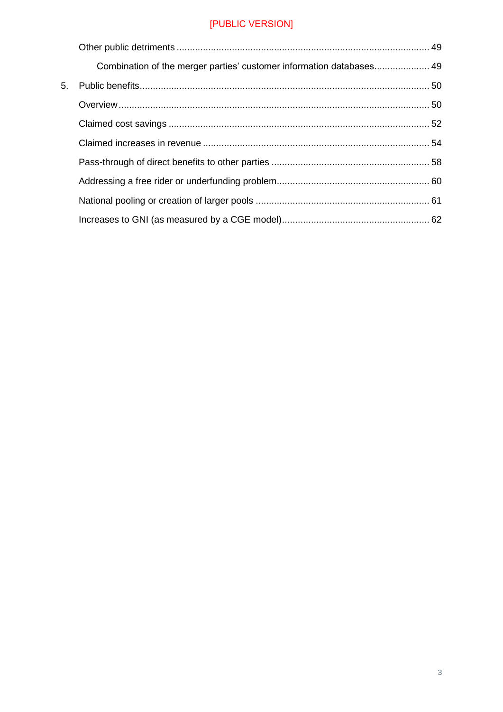|    | Combination of the merger parties' customer information databases 49 |  |
|----|----------------------------------------------------------------------|--|
| 5. |                                                                      |  |
|    |                                                                      |  |
|    |                                                                      |  |
|    |                                                                      |  |
|    |                                                                      |  |
|    |                                                                      |  |
|    |                                                                      |  |
|    |                                                                      |  |
|    |                                                                      |  |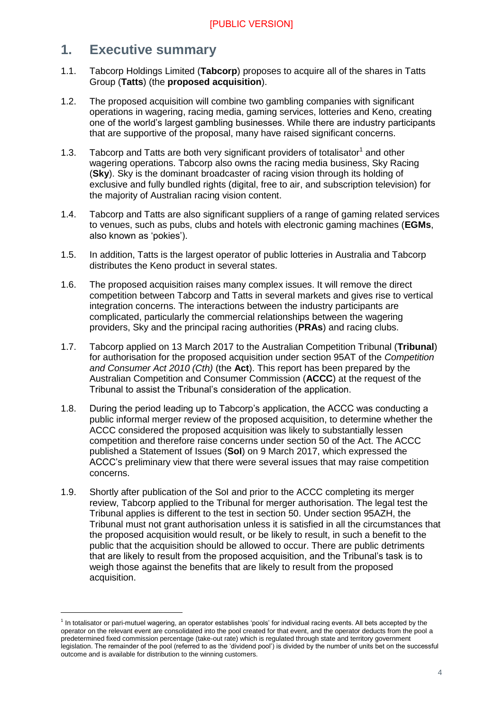## <span id="page-3-0"></span>**1. Executive summary**

- 1.1. Tabcorp Holdings Limited (**Tabcorp**) proposes to acquire all of the shares in Tatts Group (**Tatts**) (the **proposed acquisition**).
- 1.2. The proposed acquisition will combine two gambling companies with significant operations in wagering, racing media, gaming services, lotteries and Keno, creating one of the world's largest gambling businesses. While there are industry participants that are supportive of the proposal, many have raised significant concerns.
- 1.3. Tabcorp and Tatts are both very significant providers of totalisator<sup>1</sup> and other wagering operations. Tabcorp also owns the racing media business, Sky Racing (**Sky**). Sky is the dominant broadcaster of racing vision through its holding of exclusive and fully bundled rights (digital, free to air, and subscription television) for the majority of Australian racing vision content.
- 1.4. Tabcorp and Tatts are also significant suppliers of a range of gaming related services to venues, such as pubs, clubs and hotels with electronic gaming machines (**EGMs**, also known as 'pokies').
- 1.5. In addition, Tatts is the largest operator of public lotteries in Australia and Tabcorp distributes the Keno product in several states.
- 1.6. The proposed acquisition raises many complex issues. It will remove the direct competition between Tabcorp and Tatts in several markets and gives rise to vertical integration concerns. The interactions between the industry participants are complicated, particularly the commercial relationships between the wagering providers, Sky and the principal racing authorities (**PRAs**) and racing clubs.
- 1.7. Tabcorp applied on 13 March 2017 to the Australian Competition Tribunal (**Tribunal**) for authorisation for the proposed acquisition under section 95AT of the *Competition and Consumer Act 2010 (Cth)* (the **Act**). This report has been prepared by the Australian Competition and Consumer Commission (**ACCC**) at the request of the Tribunal to assist the Tribunal's consideration of the application.
- 1.8. During the period leading up to Tabcorp's application, the ACCC was conducting a public informal merger review of the proposed acquisition, to determine whether the ACCC considered the proposed acquisition was likely to substantially lessen competition and therefore raise concerns under section 50 of the Act. The ACCC published a Statement of Issues (**SoI**) on 9 March 2017, which expressed the ACCC's preliminary view that there were several issues that may raise competition concerns.
- 1.9. Shortly after publication of the SoI and prior to the ACCC completing its merger review, Tabcorp applied to the Tribunal for merger authorisation. The legal test the Tribunal applies is different to the test in section 50. Under section 95AZH, the Tribunal must not grant authorisation unless it is satisfied in all the circumstances that the proposed acquisition would result, or be likely to result, in such a benefit to the public that the acquisition should be allowed to occur. There are public detriments that are likely to result from the proposed acquisition, and the Tribunal's task is to weigh those against the benefits that are likely to result from the proposed acquisition.

<sup>&</sup>lt;sup>1</sup> In totalisator or pari-mutuel wagering, an operator establishes 'pools' for individual racing events. All bets accepted by the operator on the relevant event are consolidated into the pool created for that event, and the operator deducts from the pool a predetermined fixed commission percentage (take-out rate) which is regulated through state and territory government legislation. The remainder of the pool (referred to as the 'dividend pool') is divided by the number of units bet on the successful outcome and is available for distribution to the winning customers.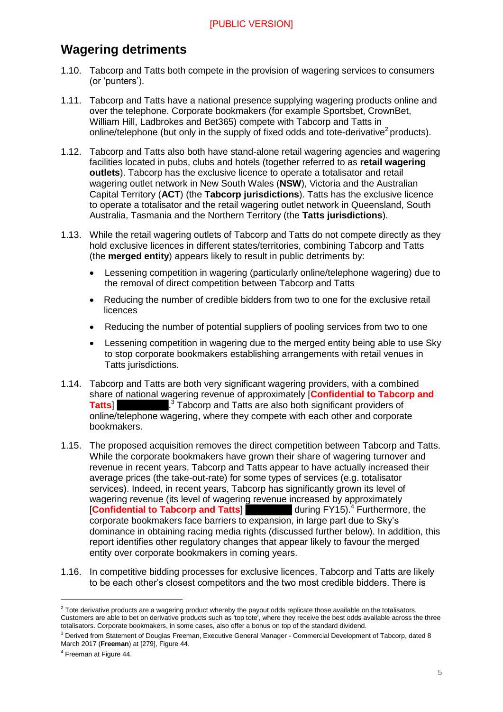## <span id="page-4-0"></span>**Wagering detriments**

- 1.10. Tabcorp and Tatts both compete in the provision of wagering services to consumers (or 'punters').
- 1.11. Tabcorp and Tatts have a national presence supplying wagering products online and over the telephone. Corporate bookmakers (for example Sportsbet, CrownBet, William Hill, Ladbrokes and Bet365) compete with Tabcorp and Tatts in online/telephone (but only in the supply of fixed odds and tote-derivative<sup>2</sup> products).
- 1.12. Tabcorp and Tatts also both have stand-alone retail wagering agencies and wagering facilities located in pubs, clubs and hotels (together referred to as **retail wagering outlets**). Tabcorp has the exclusive licence to operate a totalisator and retail wagering outlet network in New South Wales (**NSW**), Victoria and the Australian Capital Territory (**ACT**) (the **Tabcorp jurisdictions**). Tatts has the exclusive licence to operate a totalisator and the retail wagering outlet network in Queensland, South Australia, Tasmania and the Northern Territory (the **Tatts jurisdictions**).
- 1.13. While the retail wagering outlets of Tabcorp and Tatts do not compete directly as they hold exclusive licences in different states/territories, combining Tabcorp and Tatts (the **merged entity**) appears likely to result in public detriments by:
	- Lessening competition in wagering (particularly online/telephone wagering) due to the removal of direct competition between Tabcorp and Tatts
	- Reducing the number of credible bidders from two to one for the exclusive retail licences
	- Reducing the number of potential suppliers of pooling services from two to one
	- Lessening competition in wagering due to the merged entity being able to use Sky to stop corporate bookmakers establishing arrangements with retail venues in Tatts jurisdictions.
- 1.14. Tabcorp and Tatts are both very significant wagering providers, with a combined share of national wagering revenue of approximately [**Confidential to Tabcorp and Tatts**] .  $3^3$  Tabcorp and Tatts are also both significant providers of online/telephone wagering, where they compete with each other and corporate bookmakers.
- 1.15. The proposed acquisition removes the direct competition between Tabcorp and Tatts. While the corporate bookmakers have grown their share of wagering turnover and revenue in recent years, Tabcorp and Tatts appear to have actually increased their average prices (the take-out-rate) for some types of services (e.g. totalisator services). Indeed, in recent years, Tabcorp has significantly grown its level of wagering revenue (its level of wagering revenue increased by approximately **[Confidential to Tabcorp and Tatts]** during FY15).<sup>4</sup> Furthermore, the corporate bookmakers face barriers to expansion, in large part due to Sky's dominance in obtaining racing media rights (discussed further below). In addition, this report identifies other regulatory changes that appear likely to favour the merged entity over corporate bookmakers in coming years.
- 1.16. In competitive bidding processes for exclusive licences, Tabcorp and Tatts are likely to be each other's closest competitors and the two most credible bidders. There is

 $2$  Tote derivative products are a wagering product whereby the payout odds replicate those available on the totalisators. Customers are able to bet on derivative products such as 'top tote', where they receive the best odds available across the three totalisators. Corporate bookmakers, in some cases, also offer a bonus on top of the standard dividend.

<sup>&</sup>lt;sup>3</sup> Derived from Statement of Douglas Freeman, Executive General Manager - Commercial Development of Tabcorp, dated 8 March 2017 (**Freeman**) at [279], Figure 44.

<sup>4</sup> Freeman at Figure 44.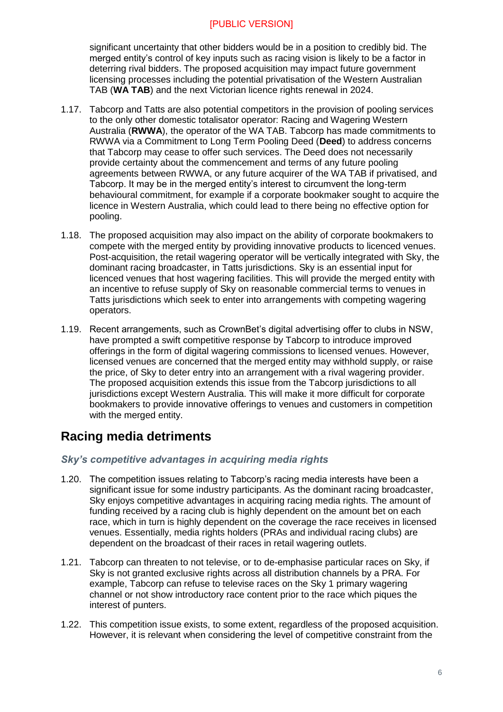significant uncertainty that other bidders would be in a position to credibly bid. The merged entity's control of key inputs such as racing vision is likely to be a factor in deterring rival bidders. The proposed acquisition may impact future government licensing processes including the potential privatisation of the Western Australian TAB (**WA TAB**) and the next Victorian licence rights renewal in 2024.

- 1.17. Tabcorp and Tatts are also potential competitors in the provision of pooling services to the only other domestic totalisator operator: Racing and Wagering Western Australia (**RWWA**), the operator of the WA TAB. Tabcorp has made commitments to RWWA via a Commitment to Long Term Pooling Deed (**Deed**) to address concerns that Tabcorp may cease to offer such services. The Deed does not necessarily provide certainty about the commencement and terms of any future pooling agreements between RWWA, or any future acquirer of the WA TAB if privatised, and Tabcorp. It may be in the merged entity's interest to circumvent the long-term behavioural commitment, for example if a corporate bookmaker sought to acquire the licence in Western Australia, which could lead to there being no effective option for pooling.
- 1.18. The proposed acquisition may also impact on the ability of corporate bookmakers to compete with the merged entity by providing innovative products to licenced venues. Post-acquisition, the retail wagering operator will be vertically integrated with Sky, the dominant racing broadcaster, in Tatts jurisdictions. Sky is an essential input for licenced venues that host wagering facilities. This will provide the merged entity with an incentive to refuse supply of Sky on reasonable commercial terms to venues in Tatts jurisdictions which seek to enter into arrangements with competing wagering operators.
- 1.19. Recent arrangements, such as CrownBet's digital advertising offer to clubs in NSW, have prompted a swift competitive response by Tabcorp to introduce improved offerings in the form of digital wagering commissions to licensed venues. However, licensed venues are concerned that the merged entity may withhold supply, or raise the price, of Sky to deter entry into an arrangement with a rival wagering provider. The proposed acquisition extends this issue from the Tabcorp jurisdictions to all jurisdictions except Western Australia. This will make it more difficult for corporate bookmakers to provide innovative offerings to venues and customers in competition with the merged entity.

## <span id="page-5-0"></span>**Racing media detriments**

#### *Sky's competitive advantages in acquiring media rights*

- 1.20. The competition issues relating to Tabcorp's racing media interests have been a significant issue for some industry participants. As the dominant racing broadcaster, Sky enjoys competitive advantages in acquiring racing media rights. The amount of funding received by a racing club is highly dependent on the amount bet on each race, which in turn is highly dependent on the coverage the race receives in licensed venues. Essentially, media rights holders (PRAs and individual racing clubs) are dependent on the broadcast of their races in retail wagering outlets.
- 1.21. Tabcorp can threaten to not televise, or to de-emphasise particular races on Sky, if Sky is not granted exclusive rights across all distribution channels by a PRA. For example, Tabcorp can refuse to televise races on the Sky 1 primary wagering channel or not show introductory race content prior to the race which piques the interest of punters.
- 1.22. This competition issue exists, to some extent, regardless of the proposed acquisition. However, it is relevant when considering the level of competitive constraint from the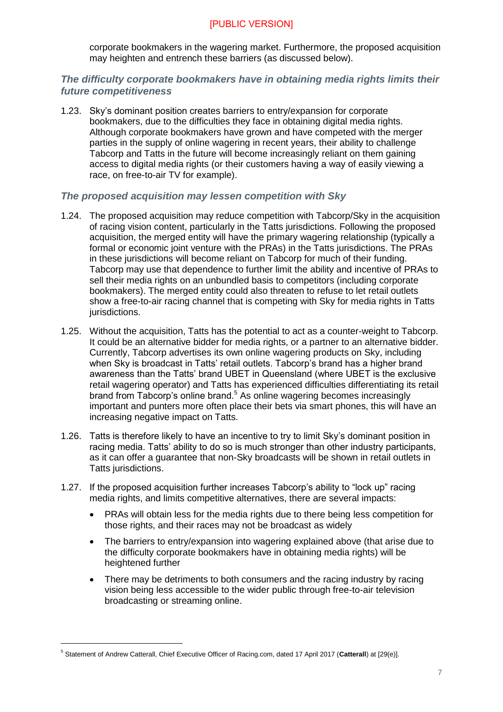corporate bookmakers in the wagering market. Furthermore, the proposed acquisition may heighten and entrench these barriers (as discussed below).

#### *The difficulty corporate bookmakers have in obtaining media rights limits their future competitiveness*

1.23. Sky's dominant position creates barriers to entry/expansion for corporate bookmakers, due to the difficulties they face in obtaining digital media rights. Although corporate bookmakers have grown and have competed with the merger parties in the supply of online wagering in recent years, their ability to challenge Tabcorp and Tatts in the future will become increasingly reliant on them gaining access to digital media rights (or their customers having a way of easily viewing a race, on free-to-air TV for example).

#### *The proposed acquisition may lessen competition with Sky*

- 1.24. The proposed acquisition may reduce competition with Tabcorp/Sky in the acquisition of racing vision content, particularly in the Tatts jurisdictions. Following the proposed acquisition, the merged entity will have the primary wagering relationship (typically a formal or economic joint venture with the PRAs) in the Tatts jurisdictions. The PRAs in these jurisdictions will become reliant on Tabcorp for much of their funding. Tabcorp may use that dependence to further limit the ability and incentive of PRAs to sell their media rights on an unbundled basis to competitors (including corporate bookmakers). The merged entity could also threaten to refuse to let retail outlets show a free-to-air racing channel that is competing with Sky for media rights in Tatts jurisdictions.
- 1.25. Without the acquisition, Tatts has the potential to act as a counter-weight to Tabcorp. It could be an alternative bidder for media rights, or a partner to an alternative bidder. Currently, Tabcorp advertises its own online wagering products on Sky, including when Sky is broadcast in Tatts' retail outlets. Tabcorp's brand has a higher brand awareness than the Tatts' brand UBET in Queensland (where UBET is the exclusive retail wagering operator) and Tatts has experienced difficulties differentiating its retail brand from Tabcorp's online brand.<sup>5</sup> As online wagering becomes increasingly important and punters more often place their bets via smart phones, this will have an increasing negative impact on Tatts.
- 1.26. Tatts is therefore likely to have an incentive to try to limit Sky's dominant position in racing media. Tatts' ability to do so is much stronger than other industry participants, as it can offer a guarantee that non-Sky broadcasts will be shown in retail outlets in Tatts jurisdictions.
- 1.27. If the proposed acquisition further increases Tabcorp's ability to "lock up" racing media rights, and limits competitive alternatives, there are several impacts:
	- PRAs will obtain less for the media rights due to there being less competition for those rights, and their races may not be broadcast as widely
	- The barriers to entry/expansion into wagering explained above (that arise due to the difficulty corporate bookmakers have in obtaining media rights) will be heightened further
	- There may be detriments to both consumers and the racing industry by racing vision being less accessible to the wider public through free-to-air television broadcasting or streaming online.

<sup>5</sup> Statement of Andrew Catterall, Chief Executive Officer of Racing.com, dated 17 April 2017 (**Catterall**) at [29(e)].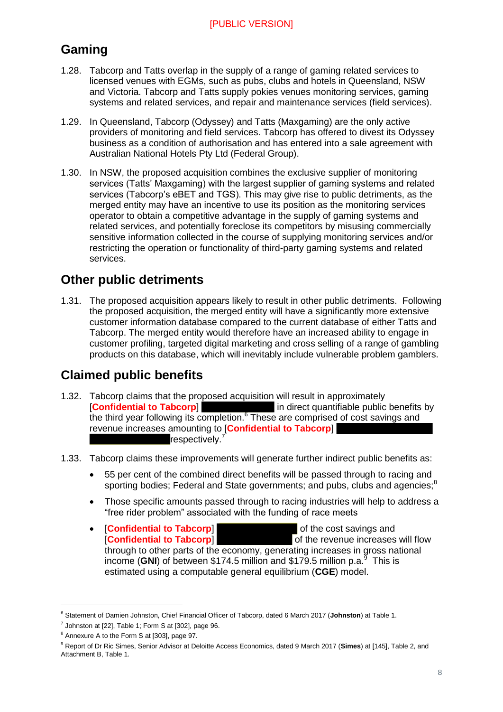## <span id="page-7-0"></span>**Gaming**

- 1.28. Tabcorp and Tatts overlap in the supply of a range of gaming related services to licensed venues with EGMs, such as pubs, clubs and hotels in Queensland, NSW and Victoria. Tabcorp and Tatts supply pokies venues monitoring services, gaming systems and related services, and repair and maintenance services (field services).
- 1.29. In Queensland, Tabcorp (Odyssey) and Tatts (Maxgaming) are the only active providers of monitoring and field services. Tabcorp has offered to divest its Odyssey business as a condition of authorisation and has entered into a sale agreement with Australian National Hotels Pty Ltd (Federal Group).
- 1.30. In NSW, the proposed acquisition combines the exclusive supplier of monitoring services (Tatts' Maxgaming) with the largest supplier of gaming systems and related services (Tabcorp's eBET and TGS). This may give rise to public detriments, as the merged entity may have an incentive to use its position as the monitoring services operator to obtain a competitive advantage in the supply of gaming systems and related services, and potentially foreclose its competitors by misusing commercially sensitive information collected in the course of supplying monitoring services and/or restricting the operation or functionality of third-party gaming systems and related services.

## <span id="page-7-1"></span>**Other public detriments**

1.31. The proposed acquisition appears likely to result in other public detriments. Following the proposed acquisition, the merged entity will have a significantly more extensive customer information database compared to the current database of either Tatts and Tabcorp. The merged entity would therefore have an increased ability to engage in customer profiling, targeted digital marketing and cross selling of a range of gambling products on this database, which will inevitably include vulnerable problem gamblers.

## <span id="page-7-2"></span>**Claimed public benefits**

- 1.32. Tabcorp claims that the proposed acquisition will result in approximately [**Confidential to Tabcorp**] in direct quantifiable public benefits by the third year following its completion.<sup>6</sup> These are comprised of cost savings and revenue increases amounting to [**Confidential to Tabcorp**] respectively.<sup>7</sup>
- 1.33. Tabcorp claims these improvements will generate further indirect public benefits as:
	- 55 per cent of the combined direct benefits will be passed through to racing and sporting bodies; Federal and State governments; and pubs, clubs and agencies;<sup>8</sup>
	- Those specific amounts passed through to racing industries will help to address a "free rider problem" associated with the funding of race meets
	- **•** [**Confidential to Tabcorp**] **and the cost savings and <b>confidential to Tabcorp**] **[Confidential to Tabcorp] of the revenue increases will flow** through to other parts of the economy, generating increases in gross national income (GNI) of between \$174.5 million and \$179.5 million p.a.<sup>9</sup> This is estimated using a computable general equilibrium (**CGE**) model.

<sup>6</sup> Statement of Damien Johnston, Chief Financial Officer of Tabcorp, dated 6 March 2017 (**Johnston**) at Table 1.

 $^7$  Johnston at [22], Table 1; Form S at [302], page 96.

<sup>8</sup> Annexure A to the Form S at [303], page 97.

<sup>9</sup> Report of Dr Ric Simes, Senior Advisor at Deloitte Access Economics, dated 9 March 2017 (**Simes**) at [145], Table 2, and Attachment B, Table 1.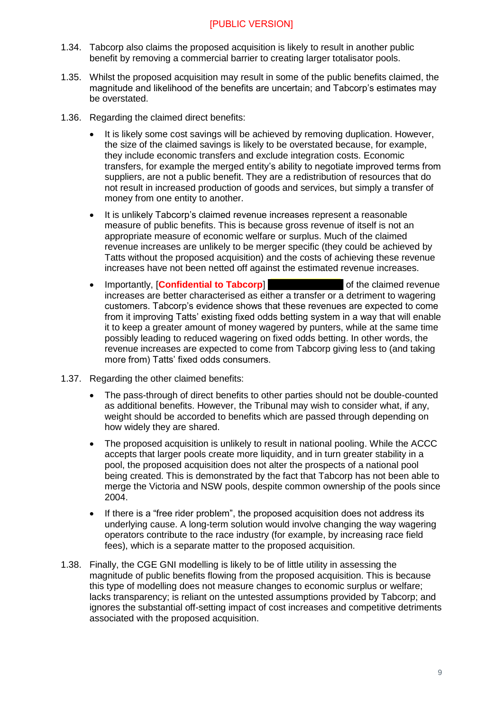- 1.34. Tabcorp also claims the proposed acquisition is likely to result in another public benefit by removing a commercial barrier to creating larger totalisator pools.
- 1.35. Whilst the proposed acquisition may result in some of the public benefits claimed, the magnitude and likelihood of the benefits are uncertain; and Tabcorp's estimates may be overstated.
- 1.36. Regarding the claimed direct benefits:
	- It is likely some cost savings will be achieved by removing duplication. However, the size of the claimed savings is likely to be overstated because, for example, they include economic transfers and exclude integration costs. Economic transfers, for example the merged entity's ability to negotiate improved terms from suppliers, are not a public benefit. They are a redistribution of resources that do not result in increased production of goods and services, but simply a transfer of money from one entity to another.
	- It is unlikely Tabcorp's claimed revenue increases represent a reasonable measure of public benefits. This is because gross revenue of itself is not an appropriate measure of economic welfare or surplus. Much of the claimed revenue increases are unlikely to be merger specific (they could be achieved by Tatts without the proposed acquisition) and the costs of achieving these revenue increases have not been netted off against the estimated revenue increases.
	- Importantly, **Confidential to Tabcorp** increases are better characterised as either a transfer or a detriment to wagering customers. Tabcorp's evidence shows that these revenues are expected to come from it improving Tatts' existing fixed odds betting system in a way that will enable it to keep a greater amount of money wagered by punters, while at the same time possibly leading to reduced wagering on fixed odds betting. In other words, the revenue increases are expected to come from Tabcorp giving less to (and taking more from) Tatts' fixed odds consumers.
- 1.37. Regarding the other claimed benefits:
	- The pass-through of direct benefits to other parties should not be double-counted as additional benefits. However, the Tribunal may wish to consider what, if any, weight should be accorded to benefits which are passed through depending on how widely they are shared.
	- The proposed acquisition is unlikely to result in national pooling. While the ACCC accepts that larger pools create more liquidity, and in turn greater stability in a pool, the proposed acquisition does not alter the prospects of a national pool being created. This is demonstrated by the fact that Tabcorp has not been able to merge the Victoria and NSW pools, despite common ownership of the pools since 2004.
	- If there is a "free rider problem", the proposed acquisition does not address its underlying cause. A long-term solution would involve changing the way wagering operators contribute to the race industry (for example, by increasing race field fees), which is a separate matter to the proposed acquisition.
- 1.38. Finally, the CGE GNI modelling is likely to be of little utility in assessing the magnitude of public benefits flowing from the proposed acquisition. This is because this type of modelling does not measure changes to economic surplus or welfare; lacks transparency; is reliant on the untested assumptions provided by Tabcorp; and ignores the substantial off-setting impact of cost increases and competitive detriments associated with the proposed acquisition.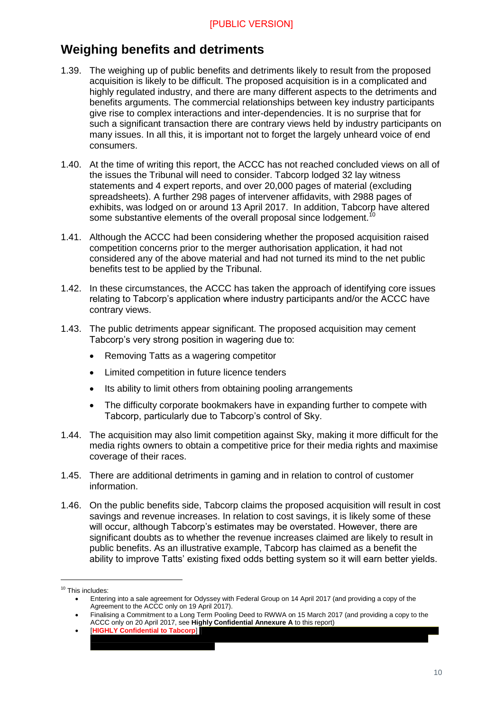## <span id="page-9-0"></span>**Weighing benefits and detriments**

- 1.39. The weighing up of public benefits and detriments likely to result from the proposed acquisition is likely to be difficult. The proposed acquisition is in a complicated and highly regulated industry, and there are many different aspects to the detriments and benefits arguments. The commercial relationships between key industry participants give rise to complex interactions and inter-dependencies. It is no surprise that for such a significant transaction there are contrary views held by industry participants on many issues. In all this, it is important not to forget the largely unheard voice of end consumers.
- 1.40. At the time of writing this report, the ACCC has not reached concluded views on all of the issues the Tribunal will need to consider. Tabcorp lodged 32 lay witness statements and 4 expert reports, and over 20,000 pages of material (excluding spreadsheets). A further 298 pages of intervener affidavits, with 2988 pages of exhibits, was lodged on or around 13 April 2017. In addition, Tabcorp have altered some substantive elements of the overall proposal since lodgement.<sup>10</sup>
- 1.41. Although the ACCC had been considering whether the proposed acquisition raised competition concerns prior to the merger authorisation application, it had not considered any of the above material and had not turned its mind to the net public benefits test to be applied by the Tribunal.
- 1.42. In these circumstances, the ACCC has taken the approach of identifying core issues relating to Tabcorp's application where industry participants and/or the ACCC have contrary views.
- 1.43. The public detriments appear significant. The proposed acquisition may cement Tabcorp's very strong position in wagering due to:
	- Removing Tatts as a wagering competitor
	- Limited competition in future licence tenders
	- Its ability to limit others from obtaining pooling arrangements
	- The difficulty corporate bookmakers have in expanding further to compete with Tabcorp, particularly due to Tabcorp's control of Sky.
- 1.44. The acquisition may also limit competition against Sky, making it more difficult for the media rights owners to obtain a competitive price for their media rights and maximise coverage of their races.
- 1.45. There are additional detriments in gaming and in relation to control of customer information.
- 1.46. On the public benefits side, Tabcorp claims the proposed acquisition will result in cost savings and revenue increases. In relation to cost savings, it is likely some of these will occur, although Tabcorp's estimates may be overstated. However, there are significant doubts as to whether the revenue increases claimed are likely to result in public benefits. As an illustrative example, Tabcorp has claimed as a benefit the ability to improve Tatts' existing fixed odds betting system so it will earn better yields.

```
 [HIGHLY Confidential to Tabcorp]
```
<sup>&</sup>lt;sup>10</sup> This includes:

Entering into a sale agreement for Odyssey with Federal Group on 14 April 2017 (and providing a copy of the Agreement to the ACCC only on 19 April 2017).

Finalising a Commitment to a Long Term Pooling Deed to RWWA on 15 March 2017 (and providing a copy to the ACCC only on 20 April 2017, see **Highly Confidential Annexure A** to this report)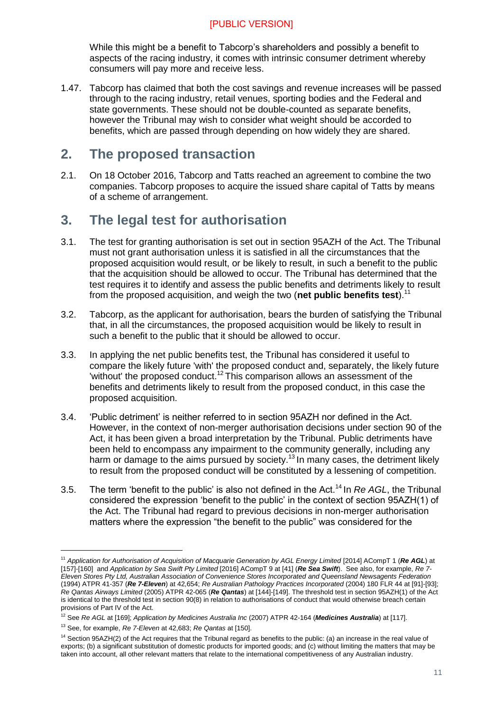While this might be a benefit to Tabcorp's shareholders and possibly a benefit to aspects of the racing industry, it comes with intrinsic consumer detriment whereby consumers will pay more and receive less.

1.47. Tabcorp has claimed that both the cost savings and revenue increases will be passed through to the racing industry, retail venues, sporting bodies and the Federal and state governments. These should not be double-counted as separate benefits, however the Tribunal may wish to consider what weight should be accorded to benefits, which are passed through depending on how widely they are shared.

## <span id="page-10-0"></span>**2. The proposed transaction**

2.1. On 18 October 2016, Tabcorp and Tatts reached an agreement to combine the two companies. Tabcorp proposes to acquire the issued share capital of Tatts by means of a scheme of arrangement.

## <span id="page-10-1"></span>**3. The legal test for authorisation**

- 3.1. The test for granting authorisation is set out in section 95AZH of the Act. The Tribunal must not grant authorisation unless it is satisfied in all the circumstances that the proposed acquisition would result, or be likely to result, in such a benefit to the public that the acquisition should be allowed to occur. The Tribunal has determined that the test requires it to identify and assess the public benefits and detriments likely to result from the proposed acquisition, and weigh the two (**net public benefits test**).<sup>11</sup>
- 3.2. Tabcorp, as the applicant for authorisation, bears the burden of satisfying the Tribunal that, in all the circumstances, the proposed acquisition would be likely to result in such a benefit to the public that it should be allowed to occur.
- 3.3. In applying the net public benefits test, the Tribunal has considered it useful to compare the likely future 'with' the proposed conduct and, separately, the likely future 'without' the proposed conduct.<sup>12</sup> This comparison allows an assessment of the benefits and detriments likely to result from the proposed conduct, in this case the proposed acquisition.
- 3.4. 'Public detriment' is neither referred to in section 95AZH nor defined in the Act. However, in the context of non-merger authorisation decisions under section 90 of the Act, it has been given a broad interpretation by the Tribunal. Public detriments have been held to encompass any impairment to the community generally, including any harm or damage to the aims pursued by society.<sup>13</sup> In many cases, the detriment likely to result from the proposed conduct will be constituted by a lessening of competition.
- 3.5. The term 'benefit to the public' is also not defined in the Act.<sup>14</sup> In *Re AGL*, the Tribunal considered the expression 'benefit to the public' in the context of section 95AZH(1) of the Act. The Tribunal had regard to previous decisions in non-merger authorisation matters where the expression "the benefit to the public" was considered for the

<sup>&</sup>lt;sup>11</sup> Application for Authorisation of Acquisition of Macquarie Generation by AGL Energy Limited [2014] ACompT 1 (Re AGL) at [157]-[160] and *Application by Sea Swift Pty Limited* [2016] ACompT 9 at [41] (*Re Sea Swift*). See also, for example, *Re 7- Eleven Stores Pty Ltd, Australian Association of Convenience Stores Incorporated and Queensland Newsagents Federation*  (1994) ATPR 41-357 (*Re 7-Eleven*) at 42,654; *Re Australian Pathology Practices Incorporated* (2004) 180 FLR 44 at [91]-[93]; *Re Qantas Airways Limited* (2005) ATPR 42-065 (*Re Qantas*) at [144]-[149]. The threshold test in section 95AZH(1) of the Act is identical to the threshold test in section 90(8) in relation to authorisations of conduct that would otherwise breach certain provisions of Part IV of the Act.

<sup>12</sup> See *Re AGL* at [169]; *Application by Medicines Australia Inc* (2007) ATPR 42-164 (*Medicines Australia*) at [117].

<sup>13</sup> See, for example, *Re 7-Eleven* at 42,683; *Re Qantas* at [150].

<sup>&</sup>lt;sup>14</sup> Section 95AZH(2) of the Act requires that the Tribunal regard as benefits to the public: (a) an increase in the real value of exports; (b) a significant substitution of domestic products for imported goods; and (c) without limiting the matters that may be taken into account, all other relevant matters that relate to the international competitiveness of any Australian industry.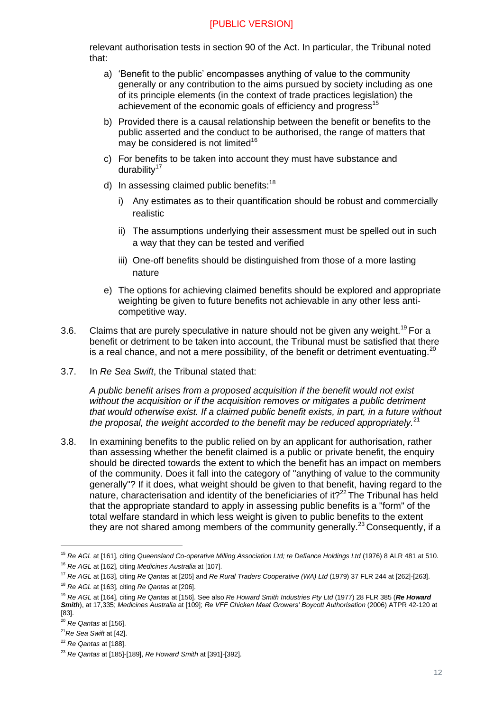relevant authorisation tests in section 90 of the Act. In particular, the Tribunal noted that:

- a) 'Benefit to the public' encompasses anything of value to the community generally or any contribution to the aims pursued by society including as one of its principle elements (in the context of trade practices legislation) the achievement of the economic goals of efficiency and progress<sup>15</sup>
- b) Provided there is a causal relationship between the benefit or benefits to the public asserted and the conduct to be authorised, the range of matters that may be considered is not limited $16$
- c) For benefits to be taken into account they must have substance and durability<sup>17</sup>
- d) In assessing claimed public benefits: $18$ 
	- i) Any estimates as to their quantification should be robust and commercially realistic
	- ii) The assumptions underlying their assessment must be spelled out in such a way that they can be tested and verified
	- iii) One-off benefits should be distinguished from those of a more lasting nature
- e) The options for achieving claimed benefits should be explored and appropriate weighting be given to future benefits not achievable in any other less anticompetitive way.
- 3.6. Claims that are purely speculative in nature should not be given any weight.<sup>19</sup> For a benefit or detriment to be taken into account, the Tribunal must be satisfied that there is a real chance, and not a mere possibility, of the benefit or detriment eventuating.<sup>20</sup>
- 3.7. In *Re Sea Swift*, the Tribunal stated that:

*A public benefit arises from a proposed acquisition if the benefit would not exist without the acquisition or if the acquisition removes or mitigates a public detriment that would otherwise exist. If a claimed public benefit exists, in part, in a future without the proposal, the weight accorded to the benefit may be reduced appropriately.*<sup>21</sup>

3.8. In examining benefits to the public relied on by an applicant for authorisation, rather than assessing whether the benefit claimed is a public or private benefit, the enquiry should be directed towards the extent to which the benefit has an impact on members of the community. Does it fall into the category of "anything of value to the community generally"? If it does, what weight should be given to that benefit, having regard to the nature, characterisation and identity of the beneficiaries of it? $22$  The Tribunal has held that the appropriate standard to apply in assessing public benefits is a "form" of the total welfare standard in which less weight is given to public benefits to the extent they are not shared among members of the community generally.<sup>23</sup> Consequently, if a

<sup>15</sup> *Re AGL* at [161], citing *Queensland Co-operative Milling Association Ltd; re Defiance Holdings Ltd* (1976) 8 ALR 481 at 510. <sup>16</sup> *Re AGL* at [162], citing *Medicines Australia* at [107].

<sup>17</sup> *Re AGL* at [163], citing *Re Qantas* at [205] and *Re Rural Traders Cooperative (WA) Ltd* (1979) 37 FLR 244 at [262]-[263]. <sup>18</sup> *Re AGL* at [163], citing *Re Qantas* at [206].

<sup>19</sup> *Re AGL* at [164], citing *Re Qantas* at [156]. See also *Re Howard Smith Industries Pty Ltd* (1977) 28 FLR 385 (*Re Howard Smith*), at 17,335; *Medicines Australia* at [109]; *Re VFF Chicken Meat Growers' Boycott Authorisation* (2006) ATPR 42-120 at [83].

<sup>20</sup> *Re Qantas* at [156].

<sup>21</sup>*Re Sea Swift* at [42].

<sup>22</sup> *Re Qantas* at [188].

<sup>23</sup> *Re Qantas* at [185]-[189], *Re Howard Smith* at [391]-[392].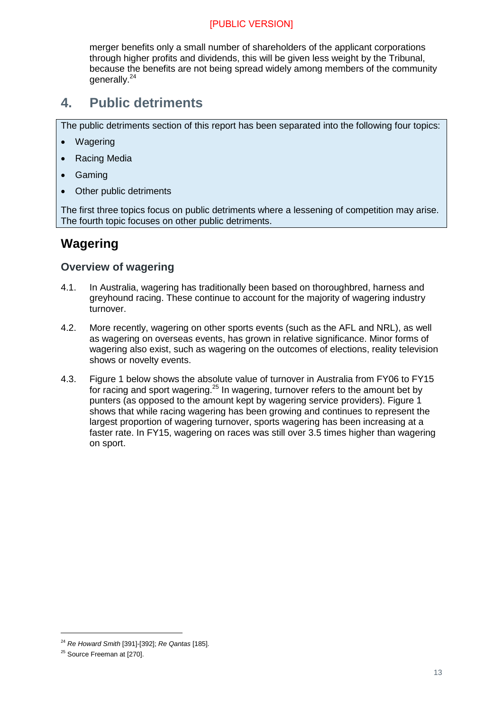merger benefits only a small number of shareholders of the applicant corporations through higher profits and dividends, this will be given less weight by the Tribunal, because the benefits are not being spread widely among members of the community generally.<sup>24</sup>

## <span id="page-12-0"></span>**4. Public detriments**

The public detriments section of this report has been separated into the following four topics:

- Wagering
- Racing Media
- Gaming
- Other public detriments

The first three topics focus on public detriments where a lessening of competition may arise. The fourth topic focuses on other public detriments.

## <span id="page-12-1"></span>**Wagering**

#### <span id="page-12-2"></span>**Overview of wagering**

- 4.1. In Australia, wagering has traditionally been based on thoroughbred, harness and greyhound racing. These continue to account for the majority of wagering industry turnover.
- 4.2. More recently, wagering on other sports events (such as the AFL and NRL), as well as wagering on overseas events, has grown in relative significance. Minor forms of wagering also exist, such as wagering on the outcomes of elections, reality television shows or novelty events.
- 4.3. Figure 1 below shows the absolute value of turnover in Australia from FY06 to FY15 for racing and sport wagering.<sup>25</sup> In wagering, turnover refers to the amount bet by punters (as opposed to the amount kept by wagering service providers). Figure 1 shows that while racing wagering has been growing and continues to represent the largest proportion of wagering turnover, sports wagering has been increasing at a faster rate. In FY15, wagering on races was still over 3.5 times higher than wagering on sport.

<sup>24</sup> *Re Howard Smith* [391]-[392]; *Re Qantas* [185].

<sup>&</sup>lt;sup>25</sup> Source Freeman at [270].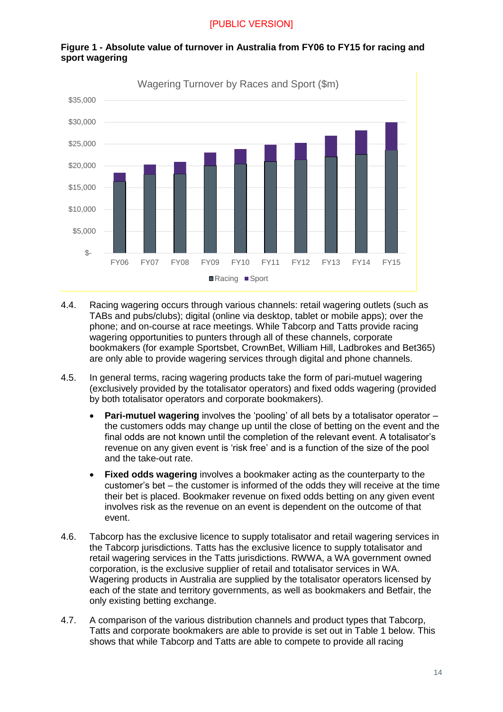

#### **Figure 1 - Absolute value of turnover in Australia from FY06 to FY15 for racing and sport wagering**

- 4.4. Racing wagering occurs through various channels: retail wagering outlets (such as TABs and pubs/clubs); digital (online via desktop, tablet or mobile apps); over the phone; and on-course at race meetings. While Tabcorp and Tatts provide racing wagering opportunities to punters through all of these channels, corporate bookmakers (for example Sportsbet, CrownBet, William Hill, Ladbrokes and Bet365) are only able to provide wagering services through digital and phone channels.
- 4.5. In general terms, racing wagering products take the form of pari-mutuel wagering (exclusively provided by the totalisator operators) and fixed odds wagering (provided by both totalisator operators and corporate bookmakers).
	- **Pari-mutuel wagering** involves the 'pooling' of all bets by a totalisator operator the customers odds may change up until the close of betting on the event and the final odds are not known until the completion of the relevant event. A totalisator's revenue on any given event is 'risk free' and is a function of the size of the pool and the take-out rate.
	- **Fixed odds wagering** involves a bookmaker acting as the counterparty to the customer's bet – the customer is informed of the odds they will receive at the time their bet is placed. Bookmaker revenue on fixed odds betting on any given event involves risk as the revenue on an event is dependent on the outcome of that event.
- 4.6. Tabcorp has the exclusive licence to supply totalisator and retail wagering services in the Tabcorp jurisdictions. Tatts has the exclusive licence to supply totalisator and retail wagering services in the Tatts jurisdictions. RWWA, a WA government owned corporation, is the exclusive supplier of retail and totalisator services in WA. Wagering products in Australia are supplied by the totalisator operators licensed by each of the state and territory governments, as well as bookmakers and Betfair, the only existing betting exchange.
- 4.7. A comparison of the various distribution channels and product types that Tabcorp, Tatts and corporate bookmakers are able to provide is set out in Table 1 below. This shows that while Tabcorp and Tatts are able to compete to provide all racing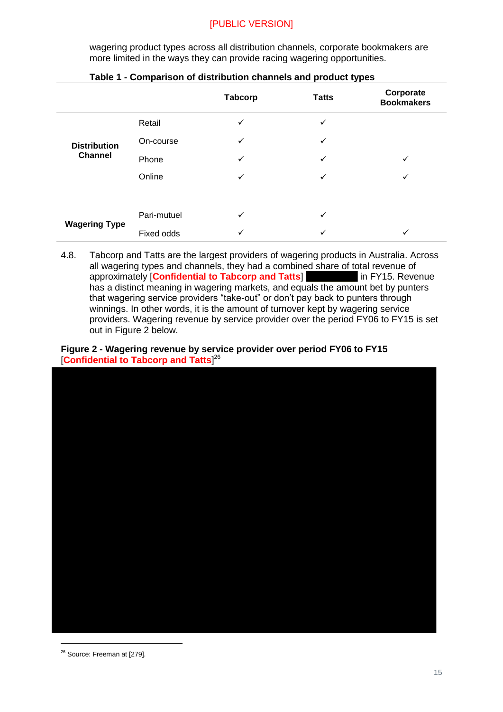wagering product types across all distribution channels, corporate bookmakers are more limited in the ways they can provide racing wagering opportunities.

|                      |             | <b>Tabcorp</b> | <b>Tatts</b> | Corporate<br><b>Bookmakers</b> |
|----------------------|-------------|----------------|--------------|--------------------------------|
|                      | Retail      | ✓              | ✓            |                                |
| <b>Distribution</b>  | On-course   | ✓              | ✓            |                                |
| <b>Channel</b>       | Phone       | $\checkmark$   | ✓            | ✓                              |
|                      | Online      | ✓              | ✓            | ✓                              |
|                      |             |                |              |                                |
|                      | Pari-mutuel | ✓              | $\checkmark$ |                                |
| <b>Wagering Type</b> | Fixed odds  | ✓              | ✓            | ✓                              |

| Table 1 - Comparison of distribution channels and product types |
|-----------------------------------------------------------------|
|-----------------------------------------------------------------|

<span id="page-14-0"></span>4.8. Tabcorp and Tatts are the largest providers of wagering products in Australia. Across all wagering types and channels, they had a combined share of total revenue of approximately [**Confidential to Tabcorp and Tatts**] in FY15. Revenue has a distinct meaning in wagering markets, and equals the amount bet by punters that wagering service providers "take-out" or don't pay back to punters through winnings. In other words, it is the amount of turnover kept by wagering service providers. Wagering revenue by service provider over the period FY06 to FY15 is set out in Figure 2 below.

#### **Figure 2 - Wagering revenue by service provider over period FY06 to FY15**  [**Confidential to Tabcorp and Tatts**] 26



<sup>&</sup>lt;sup>26</sup> Source: Freeman at [279].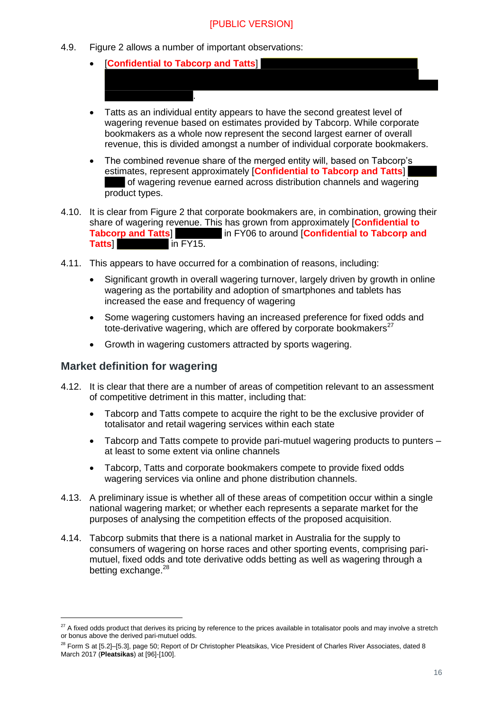4.9. Figure 2 allows a number of important observations:

.

- [**Confidential to Tabcorp and Tatts**]
- Tatts as an individual entity appears to have the second greatest level of wagering revenue based on estimates provided by Tabcorp. While corporate bookmakers as a whole now represent the second largest earner of overall revenue, this is divided amongst a number of individual corporate bookmakers.
- The combined revenue share of the merged entity will, based on Tabcorp's estimates, represent approximately [**Confidential to Tabcorp and Tatts**] of wagering revenue earned across distribution channels and wagering product types.
- 4.10. It is clear from Figure 2 that corporate bookmakers are, in combination, growing their share of wagering revenue. This has grown from approximately [**Confidential to Tabcorp and Tatts**] in FY06 to around [**Confidential to Tabcorp and** In FY06 to around [**Confidential to Tabcorp and Tatts**] in FY15.
- 4.11. This appears to have occurred for a combination of reasons, including:
	- Significant growth in overall wagering turnover, largely driven by growth in online wagering as the portability and adoption of smartphones and tablets has increased the ease and frequency of wagering
	- Some wagering customers having an increased preference for fixed odds and tote-derivative wagering, which are offered by corporate bookmakers $27$
	- Growth in wagering customers attracted by sports wagering.

#### <span id="page-15-0"></span>**Market definition for wagering**

- 4.12. It is clear that there are a number of areas of competition relevant to an assessment of competitive detriment in this matter, including that:
	- Tabcorp and Tatts compete to acquire the right to be the exclusive provider of totalisator and retail wagering services within each state
	- Tabcorp and Tatts compete to provide pari-mutuel wagering products to punters at least to some extent via online channels
	- Tabcorp, Tatts and corporate bookmakers compete to provide fixed odds wagering services via online and phone distribution channels.
- 4.13. A preliminary issue is whether all of these areas of competition occur within a single national wagering market; or whether each represents a separate market for the purposes of analysing the competition effects of the proposed acquisition.
- 4.14. Tabcorp submits that there is a national market in Australia for the supply to consumers of wagering on horse races and other sporting events, comprising parimutuel, fixed odds and tote derivative odds betting as well as wagering through a betting exchange.<sup>28</sup>

<sup>&</sup>lt;sup>27</sup> A fixed odds product that derives its pricing by reference to the prices available in totalisator pools and may involve a stretch or bonus above the derived pari-mutuel odds.

<sup>&</sup>lt;sup>28</sup> Form S at [5.2]–[5.3], page 50; Report of Dr Christopher Pleatsikas, Vice President of Charles River Associates, dated 8 March 2017 (**Pleatsikas**) at [96]-[100].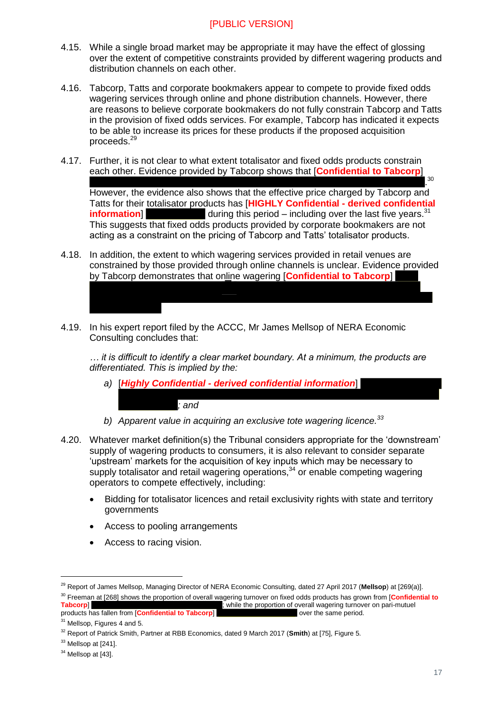- 4.15. While a single broad market may be appropriate it may have the effect of glossing over the extent of competitive constraints provided by different wagering products and distribution channels on each other.
- 4.16. Tabcorp, Tatts and corporate bookmakers appear to compete to provide fixed odds wagering services through online and phone distribution channels. However, there are reasons to believe corporate bookmakers do not fully constrain Tabcorp and Tatts in the provision of fixed odds services. For example, Tabcorp has indicated it expects to be able to increase its prices for these products if the proposed acquisition proceeds.<sup>29</sup>
- 4.17. Further, it is not clear to what extent totalisator and fixed odds products constrain each other. Evidence provided by Tabcorp shows that [**Confidential to Tabcorp**]

. 30 However, the evidence also shows that the effective price charged by Tabcorp and Tatts for their totalisator products has [**HIGHLY Confidential - derived confidential information**] during this period – including over the last five years.<sup>31</sup> This suggests that fixed odds products provided by corporate bookmakers are not acting as a constraint on the pricing of Tabcorp and Tatts' totalisator products.

- 4.18. In addition, the extent to which wagering services provided in retail venues are constrained by those provided through online channels is unclear. Evidence provided by Tabcorp demonstrates that online wagering [**Confidential to Tabcorp**]
- 4.19. In his expert report filed by the ACCC, Mr James Mellsop of NERA Economic Consulting concludes that:

*… it is difficult to identify a clear market boundary. At a minimum, the products are differentiated. This is implied by the:*

*a)* [*Highly Confidential - derived confidential information*]

*; and*

- *b) Apparent value in acquiring an exclusive tote wagering licence.<sup>33</sup>*
- 4.20. Whatever market definition(s) the Tribunal considers appropriate for the 'downstream' supply of wagering products to consumers, it is also relevant to consider separate 'upstream' markets for the acquisition of key inputs which may be necessary to supply totalisator and retail wagering operations, $34$  or enable competing wagering operators to compete effectively, including:
	- Bidding for totalisator licences and retail exclusivity rights with state and territory governments
	- Access to pooling arrangements
	- Access to racing vision.

<sup>30</sup> Freeman at [268] shows the proportion of overall wagering turnover on fixed odds products has grown from [**Confidential to Tabcorp] a** while the proportion of overall wagering turnover on pari-mutuel ; while the proportion of overall wagering turnover on pari-mutuel

products has fallen from **[Confidential to Tabcorp]** over the same period.

<sup>29</sup> Report of James Mellsop, Managing Director of NERA Economic Consulting, dated 27 April 2017 (**Mellsop**) at [269(a)].

<sup>&</sup>lt;sup>31</sup> Mellsop, Figures 4 and 5.

<sup>32</sup> Report of Patrick Smith, Partner at RBB Economics, dated 9 March 2017 (**Smith**) at [75], Figure 5.

<sup>&</sup>lt;sup>33</sup> Mellsop at [241].

 $34$  Mellsop at [43].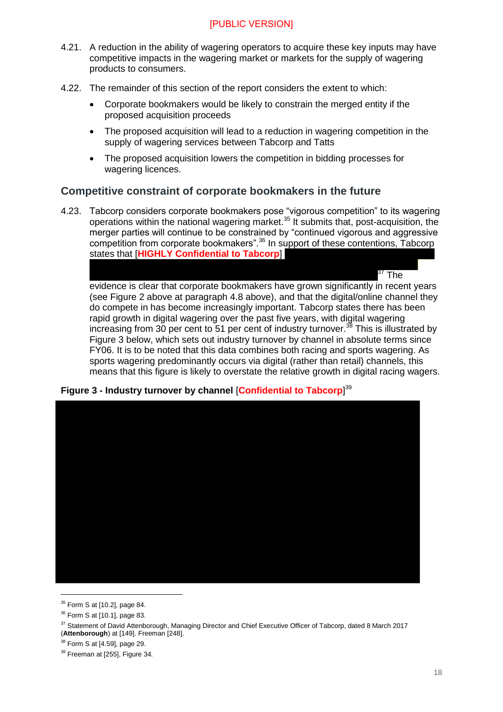- 4.21. A reduction in the ability of wagering operators to acquire these key inputs may have competitive impacts in the wagering market or markets for the supply of wagering products to consumers.
- 4.22. The remainder of this section of the report considers the extent to which:
	- Corporate bookmakers would be likely to constrain the merged entity if the proposed acquisition proceeds
	- The proposed acquisition will lead to a reduction in wagering competition in the supply of wagering services between Tabcorp and Tatts
	- The proposed acquisition lowers the competition in bidding processes for wagering licences.

#### <span id="page-17-0"></span>**Competitive constraint of corporate bookmakers in the future**

4.23. Tabcorp considers corporate bookmakers pose "vigorous competition" to its wagering operations within the national wagering market.<sup>35</sup> It submits that, post-acquisition, the merger parties will continue to be constrained by "continued vigorous and aggressive competition from corporate bookmakers".<sup>36</sup> In support of these contentions, Tabcorp states that [**HIGHLY Confidential to Tabcorp**]

 $^{\rm 37}$  The evidence is clear that corporate bookmakers have grown significantly in recent years (see Figure 2 above at paragraph [4.8](#page-14-0) above), and that the digital/online channel they do compete in has become increasingly important. Tabcorp states there has been rapid growth in digital wagering over the past five years, with digital wagering increasing from  $30$  per cent to 51 per cent of industry turnover.<sup>38</sup> This is illustrated by Figure 3 below, which sets out industry turnover by channel in absolute terms since FY06. It is to be noted that this data combines both racing and sports wagering. As sports wagering predominantly occurs via digital (rather than retail) channels, this means that this figure is likely to overstate the relative growth in digital racing wagers.





<sup>35</sup> Form S at [10.2], page 84.

<sup>36</sup> Form S at [10.1], page 83.

<sup>&</sup>lt;sup>37</sup> Statement of David Attenborough, Managing Director and Chief Executive Officer of Tabcorp, dated 8 March 2017 (**Attenborough**) at [149]. Freeman [248].

<sup>38</sup> Form S at [4.59], page 29.

<sup>&</sup>lt;sup>39</sup> Freeman at [255], Figure 34.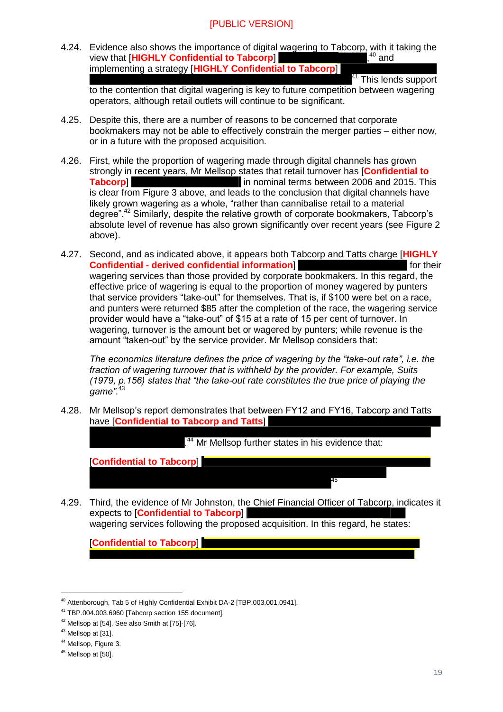4.24. Evidence also shows the importance of digital wagering to Tabcorp, with it taking the view that [**HIGHLY Confidential to Tabcorp**] ,  $40$  and implementing a strategy [**HIGHLY Confidential to Tabcorp**]

<sup>41</sup> This lends support

to the contention that digital wagering is key to future competition between wagering operators, although retail outlets will continue to be significant.

- 4.25. Despite this, there are a number of reasons to be concerned that corporate bookmakers may not be able to effectively constrain the merger parties – either now, or in a future with the proposed acquisition.
- 4.26. First, while the proportion of wagering made through digital channels has grown strongly in recent years, Mr Mellsop states that retail turnover has [**Confidential to Tabcorp Tabcorp Tabcorp Exercise 2006** and 2015. This is clear from Figure 3 above, and leads to the conclusion that digital channels have likely grown wagering as a whole, "rather than cannibalise retail to a material degree".<sup>42</sup> Similarly, despite the relative growth of corporate bookmakers, Tabcorp's absolute level of revenue has also grown significantly over recent years (see Figure 2 above).
- 4.27. Second, and as indicated above, it appears both Tabcorp and Tatts charge [**HIGHLY Confidential - derived confidential information**] for their wagering services than those provided by corporate bookmakers. In this regard, the effective price of wagering is equal to the proportion of money wagered by punters that service providers "take-out" for themselves. That is, if \$100 were bet on a race, and punters were returned \$85 after the completion of the race, the wagering service provider would have a "take-out" of \$15 at a rate of 15 per cent of turnover. In wagering, turnover is the amount bet or wagered by punters; while revenue is the amount "taken-out" by the service provider. Mr Mellsop considers that:

*The economics literature defines the price of wagering by the "take-out rate", i.e. the fraction of wagering turnover that is withheld by the provider. For example, Suits (1979, p.156) states that "the take-out rate constitutes the true price of playing the*  game".<sup>4</sup>

4.28. Mr Mellsop's report demonstrates that between FY12 and FY16, Tabcorp and Tatts have [**Confidential to Tabcorp and Tatts**]

.<sup>44</sup> Mr Mellsop further states in his evidence that:

45

[**Confidential to Tabcorp**]

4.29. Third, the evidence of Mr Johnston, the Chief Financial Officer of Tabcorp, indicates it expects to [**Confidential to Tabcorp**] wagering services following the proposed acquisition. In this regard, he states:

[**Confidential to Tabcorp**]

<sup>40</sup> Attenborough, Tab 5 of Highly Confidential Exhibit DA-2 [TBP.003.001.0941].

<sup>41</sup> TBP.004.003.6960 [Tabcorp section 155 document].

 $42$  Mellsop at [54]. See also Smith at [75]-[76].

<sup>43</sup> Mellsop at [31].

<sup>44</sup> Mellsop, Figure 3.

<sup>&</sup>lt;sup>45</sup> Mellsop at [50].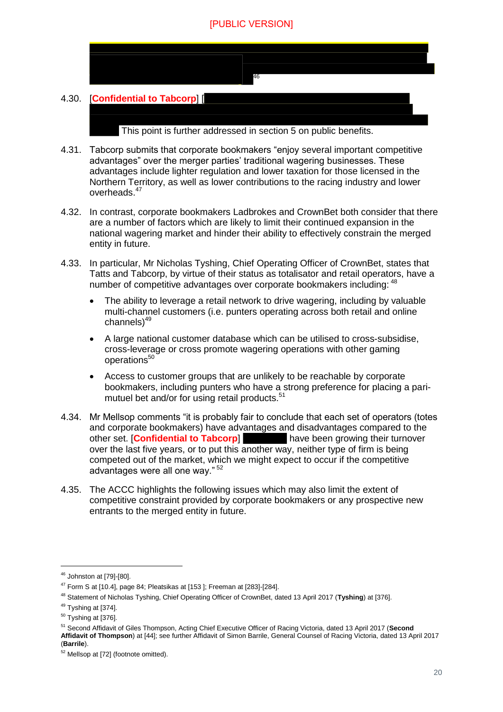

- 4.31. Tabcorp submits that corporate bookmakers "enjoy several important competitive advantages" over the merger parties' traditional wagering businesses. These advantages include lighter regulation and lower taxation for those licensed in the Northern Territory, as well as lower contributions to the racing industry and lower overheads.<sup>47</sup>
- 4.32. In contrast, corporate bookmakers Ladbrokes and CrownBet both consider that there are a number of factors which are likely to limit their continued expansion in the national wagering market and hinder their ability to effectively constrain the merged entity in future.
- 4.33. In particular, Mr Nicholas Tyshing, Chief Operating Officer of CrownBet, states that Tatts and Tabcorp, by virtue of their status as totalisator and retail operators, have a number of competitive advantages over corporate bookmakers including: <sup>48</sup>
	- The ability to leverage a retail network to drive wagering, including by valuable multi-channel customers (i.e. punters operating across both retail and online channels)<sup>49</sup>
	- A large national customer database which can be utilised to cross-subsidise, cross-leverage or cross promote wagering operations with other gaming operations<sup>50</sup>
	- Access to customer groups that are unlikely to be reachable by corporate bookmakers, including punters who have a strong preference for placing a parimutuel bet and/or for using retail products.<sup>51</sup>
- 4.34. Mr Mellsop comments "it is probably fair to conclude that each set of operators (totes and corporate bookmakers) have advantages and disadvantages compared to the other set. [**Confidential to Tabcorp**] have been growing their turnover over the last five years, or to put this another way, neither type of firm is being competed out of the market, which we might expect to occur if the competitive advantages were all one way." <sup>52</sup>
- 4.35. The ACCC highlights the following issues which may also limit the extent of competitive constraint provided by corporate bookmakers or any prospective new entrants to the merged entity in future.

<sup>46</sup> Johnston at [79]-[80].

 $47$  Form S at [10.4], page 84; Pleatsikas at [153]; Freeman at [283]-[284].

<sup>48</sup> Statement of Nicholas Tyshing, Chief Operating Officer of CrownBet, dated 13 April 2017 (**Tyshing**) at [376].

<sup>&</sup>lt;sup>49</sup> Tyshing at [374].

<sup>50</sup> Tyshing at [376].

<sup>51</sup> Second Affidavit of Giles Thompson, Acting Chief Executive Officer of Racing Victoria, dated 13 April 2017 (**Second Affidavit of Thompson**) at [44]; see further Affidavit of Simon Barrile, General Counsel of Racing Victoria, dated 13 April 2017 (**Barrile**).

<sup>52</sup> Mellsop at [72] (footnote omitted).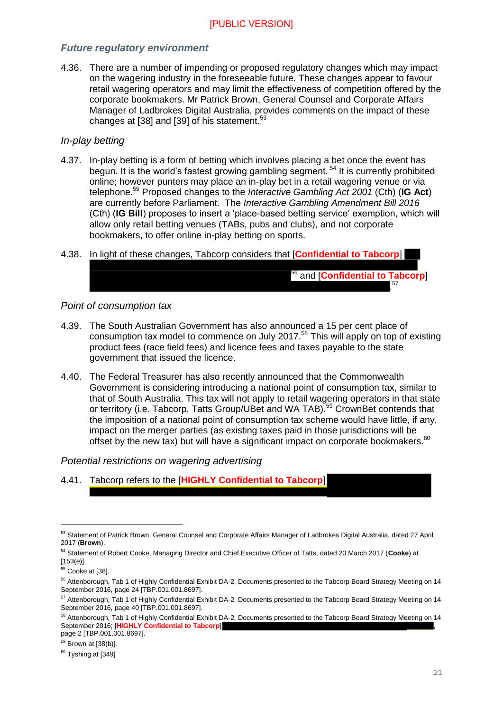#### *Future regulatory environment*

4.36. There are a number of impending or proposed regulatory changes which may impact on the wagering industry in the foreseeable future. These changes appear to favour retail wagering operators and may limit the effectiveness of competition offered by the corporate bookmakers. Mr Patrick Brown, General Counsel and Corporate Affairs Manager of Ladbrokes Digital Australia, provides comments on the impact of these changes at [38] and [39] of his statement.<sup>53</sup>

#### *In-play betting*

- 4.37. In-play betting is a form of betting which involves placing a bet once the event has begun. It is the world's fastest growing gambling segment.<sup>54</sup> It is currently prohibited online; however punters may place an in-play bet in a retail wagering venue or via telephone.<sup>55</sup> Proposed changes to the *Interactive Gambling Act 2001* (Cth) (**IG Act**) are currently before Parliament. The *Interactive Gambling Amendment Bill 2016* (Cth) (**IG Bill**) proposes to insert a 'place-based betting service' exemption, which will allow only retail betting venues (TABs, pubs and clubs), and not corporate bookmakers, to offer online in-play betting on sports.
- 4.38. In light of these changes, Tabcorp considers that [**Confidential to Tabcorp**]

#### *Point of consumption tax*

4.39. The South Australian Government has also announced a 15 per cent place of consumption tax model to commence on July 2017.<sup>58</sup> This will apply on top of existing product fees (race field fees) and licence fees and taxes payable to the state government that issued the licence.

<sup>56</sup> and [**Confidential to Tabcorp**]

. 57

4.40. The Federal Treasurer has also recently announced that the Commonwealth Government is considering introducing a national point of consumption tax, similar to that of South Australia. This tax will not apply to retail wagering operators in that state or territory (i.e. Tabcorp, Tatts Group/UBet and WA TAB).<sup>59</sup> CrownBet contends that the imposition of a national point of consumption tax scheme would have little, if any, impact on the merger parties (as existing taxes paid in those jurisdictions will be offset by the new tax) but will have a significant impact on corporate bookmakers.<sup>60</sup>

#### *Potential restrictions on wagering advertising*

4.41. Tabcorp refers to the [**HIGHLY Confidential to Tabcorp**]

<sup>53</sup> Statement of Patrick Brown, General Counsel and Corporate Affairs Manager of Ladbrokes Digital Australia, dated 27 April 2017 (**Brown**).

<sup>54</sup> Statement of Robert Cooke, Managing Director and Chief Executive Officer of Tatts, dated 20 March 2017 (**Cooke**) at [153(e)].

<sup>&</sup>lt;sup>55</sup> Cooke at [38].

<sup>&</sup>lt;sup>56</sup> Attenborough, Tab 1 of Highly Confidential Exhibit DA-2, Documents presented to the Tabcorp Board Strategy Meeting on 14 September 2016, page 24 [TBP.001.001.8697].

<sup>&</sup>lt;sup>57</sup> Attenborough, Tab 1 of Highly Confidential Exhibit DA-2, Documents presented to the Tabcorp Board Strategy Meeting on 14 September 2016, page 40 [TBP.001.001.8697].

<sup>&</sup>lt;sup>58</sup> Attenborough, Tab 1 of Highly Confidential Exhibit DA-2, Documents presented to the Tabcorp Board Strategy Meeting on 14 September 2016; [HIGHLY Confidential to Tabcorp] page 2 [TBP.001.001.8697].

<sup>59</sup> Brown at [38(b)].

 $60$  Tyshing at [349]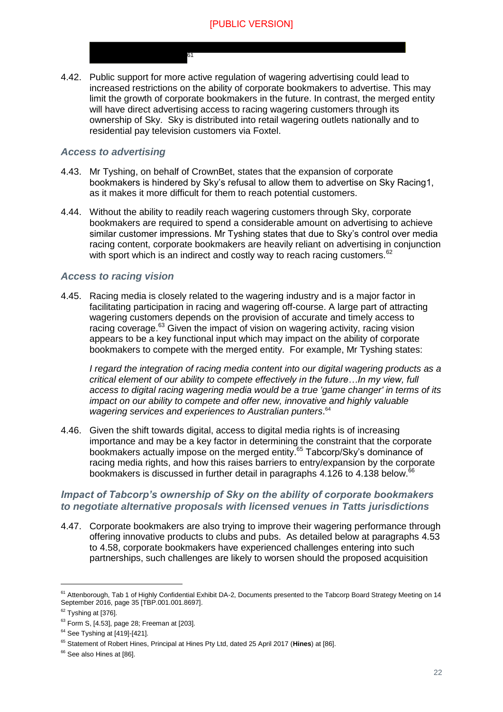4.42. Public support for more active regulation of wagering advertising could lead to increased restrictions on the ability of corporate bookmakers to advertise. This may limit the growth of corporate bookmakers in the future. In contrast, the merged entity will have direct advertising access to racing wagering customers through its ownership of Sky. Sky is distributed into retail wagering outlets nationally and to residential pay television customers via Foxtel.

61

#### *Access to advertising*

- 4.43. Mr Tyshing, on behalf of CrownBet, states that the expansion of corporate bookmakers is hindered by Sky's refusal to allow them to advertise on Sky Racing1, as it makes it more difficult for them to reach potential customers.
- 4.44. Without the ability to readily reach wagering customers through Sky, corporate bookmakers are required to spend a considerable amount on advertising to achieve similar customer impressions. Mr Tyshing states that due to Sky's control over media racing content, corporate bookmakers are heavily reliant on advertising in conjunction with sport which is an indirect and costly way to reach racing customers.<sup>62</sup>

#### *Access to racing vision*

4.45. Racing media is closely related to the wagering industry and is a major factor in facilitating participation in racing and wagering off-course. A large part of attracting wagering customers depends on the provision of accurate and timely access to racing coverage.<sup>63</sup> Given the impact of vision on wagering activity, racing vision appears to be a key functional input which may impact on the ability of corporate bookmakers to compete with the merged entity. For example, Mr Tyshing states:

*I regard the integration of racing media content into our digital wagering products as a critical element of our ability to compete effectively in the future…In my view, full access to digital racing wagering media would be a true 'game changer' in terms of its impact on our ability to compete and offer new, innovative and highly valuable wagering services and experiences to Australian punters*. 64

4.46. Given the shift towards digital, access to digital media rights is of increasing importance and may be a key factor in determining the constraint that the corporate bookmakers actually impose on the merged entity.<sup>65</sup> Tabcorp/Sky's dominance of racing media rights, and how this raises barriers to entry/expansion by the corporate bookmakers is discussed in further detail in paragraphs  $4.126$  to  $4.138$  below.<sup>66</sup>

#### *Impact of Tabcorp's ownership of Sky on the ability of corporate bookmakers to negotiate alternative proposals with licensed venues in Tatts jurisdictions*

4.47. Corporate bookmakers are also trying to improve their wagering performance through offering innovative products to clubs and pubs. As detailed below at paragraphs [4.53](#page-22-0) to [4.58,](#page-23-0) corporate bookmakers have experienced challenges entering into such partnerships, such challenges are likely to worsen should the proposed acquisition

<sup>&</sup>lt;sup>61</sup> Attenborough, Tab 1 of Highly Confidential Exhibit DA-2, Documents presented to the Tabcorp Board Strategy Meeting on 14 September 2016, page 35 [TBP.001.001.8697].

 $62$  Tyshing at [376].

 $63$  Form S, [4.53], page 28; Freeman at [203].

<sup>64</sup> See Tyshing at [419]-[421].

<sup>65</sup> Statement of Robert Hines, Principal at Hines Pty Ltd, dated 25 April 2017 (**Hines**) at [86].

<sup>&</sup>lt;sup>66</sup> See also Hines at [86].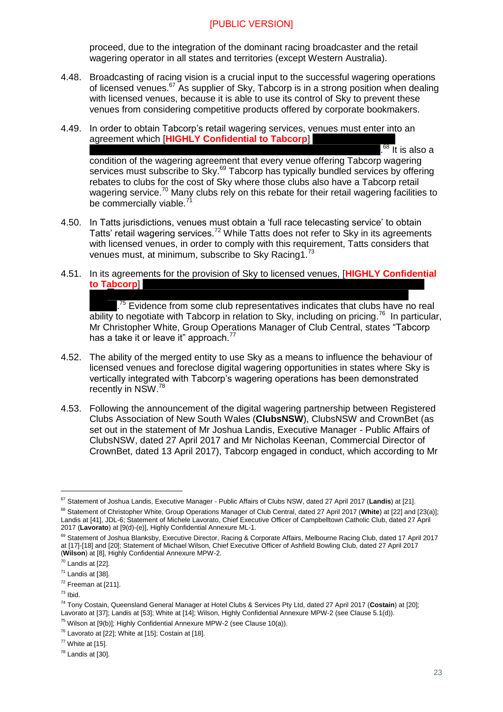proceed, due to the integration of the dominant racing broadcaster and the retail wagering operator in all states and territories (except Western Australia).

- 4.48. Broadcasting of racing vision is a crucial input to the successful wagering operations of licensed venues.<sup>67</sup> As supplier of Sky, Tabcorp is in a strong position when dealing with licensed venues, because it is able to use its control of Sky to prevent these venues from considering competitive products offered by corporate bookmakers.
- 4.49. In order to obtain Tabcorp's retail wagering services, venues must enter into an agreement which [**HIGHLY Confidential to Tabcorp**]  $.68$  It is also a condition of the wagering agreement that every venue offering Tabcorp wagering services must subscribe to Sky.<sup>69</sup> Tabcorp has typically bundled services by offering rebates to clubs for the cost of Sky where those clubs also have a Tabcorp retail wagering service.<sup>70</sup> Many clubs rely on this rebate for their retail wagering facilities to be commercially viable. $7^7$
- 4.50. In Tatts jurisdictions, venues must obtain a 'full race telecasting service' to obtain Tatts' retail wagering services.<sup>72</sup> While Tatts does not refer to Sky in its agreements with licensed venues, in order to comply with this requirement, Tatts considers that venues must, at minimum, subscribe to Sky Racing1.<sup>73</sup>
- 4.51. In its agreements for the provision of Sky to licensed venues, [**HIGHLY Confidential to Tabcorp**]

<sup>75</sup> Evidence from some club representatives indicates that clubs have no real  $\overline{\text{ability}}$  to negotiate with Tabcorp in relation to Sky, including on pricing.<sup>76</sup> In particular, Mr Christopher White, Group Operations Manager of Club Central, states "Tabcorp has a take it or leave it" approach.<sup>77</sup>

- 4.52. The ability of the merged entity to use Sky as a means to influence the behaviour of licensed venues and foreclose digital wagering opportunities in states where Sky is vertically integrated with Tabcorp's wagering operations has been demonstrated recently in NSW.<sup>78</sup>
- <span id="page-22-0"></span>4.53. Following the announcement of the digital wagering partnership between Registered Clubs Association of New South Wales (**ClubsNSW**), ClubsNSW and CrownBet (as set out in the statement of Mr Joshua Landis, Executive Manager - Public Affairs of ClubsNSW, dated 27 April 2017 and Mr Nicholas Keenan, Commercial Director of CrownBet, dated 13 April 2017), Tabcorp engaged in conduct, which according to Mr

<sup>67</sup> Statement of Joshua Landis, Executive Manager - Public Affairs of Clubs NSW, dated 27 April 2017 (**Landis**) at [21].

<sup>68</sup> Statement of Christopher White, Group Operations Manager of Club Central, dated 27 April 2017 (**White**) at [22] and [23(a)]; Landis at [41], JDL-6; Statement of Michele Lavorato, Chief Executive Officer of Campbelltown Catholic Club, dated 27 April 2017 (**Lavorato**) at [9(d)-(e)], Highly Confidential Annexure ML-1.

<sup>&</sup>lt;sup>69</sup> Statement of Joshua Blanksby, Executive Director, Racing & Corporate Affairs, Melbourne Racing Club, dated 17 April 2017 at [17]-[18] and [20]; Statement of Michael Wilson, Chief Executive Officer of Ashfield Bowling Club, dated 27 April 2017 (**Wilson**) at [8], Highly Confidential Annexure MPW-2.

 $70$  Landis at [22].

 $71$  Landis at [38].

 $72$  Freeman at [211].

 $73$  Ibid.

<sup>74</sup> Tony Costain, Queensland General Manager at Hotel Clubs & Services Pty Ltd, dated 27 April 2017 (**Costain**) at [20]; Lavorato at [37]; Landis at [53]; White at [14]; Wilson, Highly Confidential Annexure MPW-2 (see Clause 5.1(d)).

 $75$  Wilson at [9(b)]; Highly Confidential Annexure MPW-2 (see Clause 10(a)).

 $76$  Lavorato at [22]; White at [15]; Costain at [18].

 $77$  White at [15].

 $78$  Landis at [30].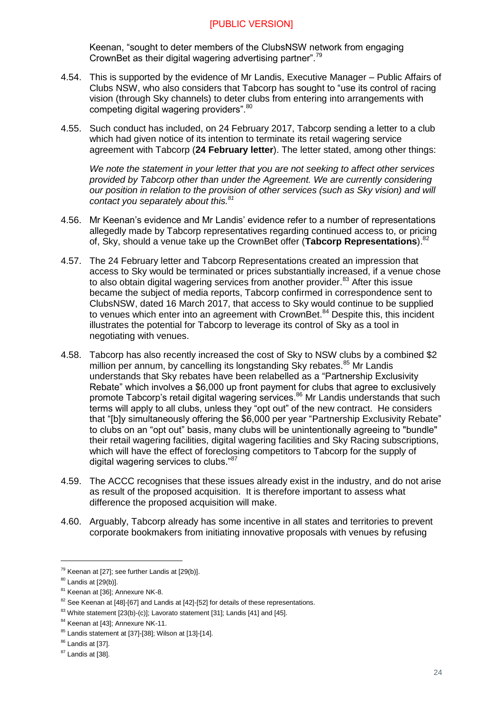Keenan, "sought to deter members of the ClubsNSW network from engaging CrownBet as their digital wagering advertising partner".<sup>79</sup>

- 4.54. This is supported by the evidence of Mr Landis, Executive Manager Public Affairs of Clubs NSW, who also considers that Tabcorp has sought to "use its control of racing vision (through Sky channels) to deter clubs from entering into arrangements with competing digital wagering providers". 80
- 4.55. Such conduct has included, on 24 February 2017, Tabcorp sending a letter to a club which had given notice of its intention to terminate its retail wagering service agreement with Tabcorp (**24 February letter**). The letter stated, among other things:

*We note the statement in your letter that you are not seeking to affect other services provided by Tabcorp other than under the Agreement. We are currently considering our position in relation to the provision of other services (such as Sky vision) and will contact you separately about this.<sup>81</sup>*

- 4.56. Mr Keenan's evidence and Mr Landis' evidence refer to a number of representations allegedly made by Tabcorp representatives regarding continued access to, or pricing of, Sky, should a venue take up the CrownBet offer (**Tabcorp Representations**).<sup>82</sup>
- 4.57. The 24 February letter and Tabcorp Representations created an impression that access to Sky would be terminated or prices substantially increased, if a venue chose to also obtain digital wagering services from another provider.<sup>83</sup> After this issue became the subject of media reports, Tabcorp confirmed in correspondence sent to ClubsNSW, dated 16 March 2017, that access to Sky would continue to be supplied to venues which enter into an agreement with CrownBet.<sup>84</sup> Despite this, this incident illustrates the potential for Tabcorp to leverage its control of Sky as a tool in negotiating with venues.
- <span id="page-23-0"></span>4.58. Tabcorp has also recently increased the cost of Sky to NSW clubs by a combined \$2 million per annum, by cancelling its longstanding Sky rebates.<sup>85</sup> Mr Landis understands that Sky rebates have been relabelled as a "Partnership Exclusivity Rebate" which involves a \$6,000 up front payment for clubs that agree to exclusively promote Tabcorp's retail digital wagering services. $86$  Mr Landis understands that such terms will apply to all clubs, unless they "opt out" of the new contract. He considers that "[b]y simultaneously offering the \$6,000 per year "Partnership Exclusivity Rebate" to clubs on an "opt out" basis, many clubs will be unintentionally agreeing to "bundle" their retail wagering facilities, digital wagering facilities and Sky Racing subscriptions, which will have the effect of foreclosing competitors to Tabcorp for the supply of digital wagering services to clubs."<sup>87</sup>
- 4.59. The ACCC recognises that these issues already exist in the industry, and do not arise as result of the proposed acquisition. It is therefore important to assess what difference the proposed acquisition will make.
- 4.60. Arguably, Tabcorp already has some incentive in all states and territories to prevent corporate bookmakers from initiating innovative proposals with venues by refusing

 $79$  Keenan at [27]; see further Landis at [29(b)].

<sup>80</sup> Landis at [29(b)].

<sup>&</sup>lt;sup>81</sup> Keenan at [36]; Annexure NK-8.

<sup>&</sup>lt;sup>82</sup> See Keenan at [48]-[67] and Landis at [42]-[52] for details of these representations.

<sup>&</sup>lt;sup>83</sup> White statement [23(b)-(c)]; Lavorato statement [31]; Landis [41] and [45].

<sup>&</sup>lt;sup>84</sup> Keenan at [43]; Annexure NK-11.

<sup>85</sup> Landis statement at [37]-[38]; Wilson at [13]-[14].

<sup>86</sup> Landis at [37].

<sup>&</sup>lt;sup>87</sup> Landis at [38].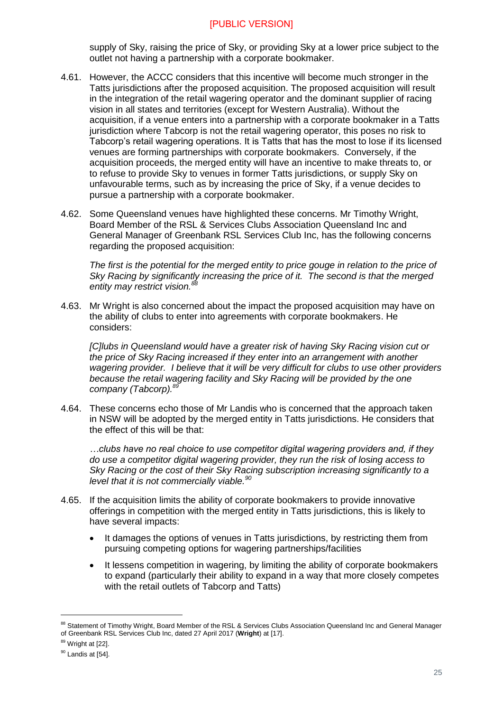supply of Sky, raising the price of Sky, or providing Sky at a lower price subject to the outlet not having a partnership with a corporate bookmaker.

- 4.61. However, the ACCC considers that this incentive will become much stronger in the Tatts jurisdictions after the proposed acquisition. The proposed acquisition will result in the integration of the retail wagering operator and the dominant supplier of racing vision in all states and territories (except for Western Australia). Without the acquisition, if a venue enters into a partnership with a corporate bookmaker in a Tatts jurisdiction where Tabcorp is not the retail wagering operator, this poses no risk to Tabcorp's retail wagering operations. It is Tatts that has the most to lose if its licensed venues are forming partnerships with corporate bookmakers. Conversely, if the acquisition proceeds, the merged entity will have an incentive to make threats to, or to refuse to provide Sky to venues in former Tatts jurisdictions, or supply Sky on unfavourable terms, such as by increasing the price of Sky, if a venue decides to pursue a partnership with a corporate bookmaker.
- 4.62. Some Queensland venues have highlighted these concerns. Mr Timothy Wright, Board Member of the RSL & Services Clubs Association Queensland Inc and General Manager of Greenbank RSL Services Club Inc, has the following concerns regarding the proposed acquisition:

*The first is the potential for the merged entity to price gouge in relation to the price of Sky Racing by significantly increasing the price of it. The second is that the merged entity may restrict vision.<sup>88</sup>*

4.63. Mr Wright is also concerned about the impact the proposed acquisition may have on the ability of clubs to enter into agreements with corporate bookmakers. He considers:

*[C]lubs in Queensland would have a greater risk of having Sky Racing vision cut or the price of Sky Racing increased if they enter into an arrangement with another wagering provider. I believe that it will be very difficult for clubs to use other providers because the retail wagering facility and Sky Racing will be provided by the one company (Tabcorp).<sup>89</sup>*

4.64. These concerns echo those of Mr Landis who is concerned that the approach taken in NSW will be adopted by the merged entity in Tatts jurisdictions. He considers that the effect of this will be that:

*…clubs have no real choice to use competitor digital wagering providers and, if they do use a competitor digital wagering provider, they run the risk of losing access to Sky Racing or the cost of their Sky Racing subscription increasing significantly to a level that it is not commercially viable.<sup>90</sup>*

- 4.65. If the acquisition limits the ability of corporate bookmakers to provide innovative offerings in competition with the merged entity in Tatts jurisdictions, this is likely to have several impacts:
	- It damages the options of venues in Tatts jurisdictions, by restricting them from pursuing competing options for wagering partnerships/facilities
	- It lessens competition in wagering, by limiting the ability of corporate bookmakers to expand (particularly their ability to expand in a way that more closely competes with the retail outlets of Tabcorp and Tatts)

<sup>88</sup> Statement of Timothy Wright, Board Member of the RSL & Services Clubs Association Queensland Inc and General Manager of Greenbank RSL Services Club Inc, dated 27 April 2017 (**Wright**) at [17].

<sup>89</sup> Wright at [22].

 $90$  Landis at [54].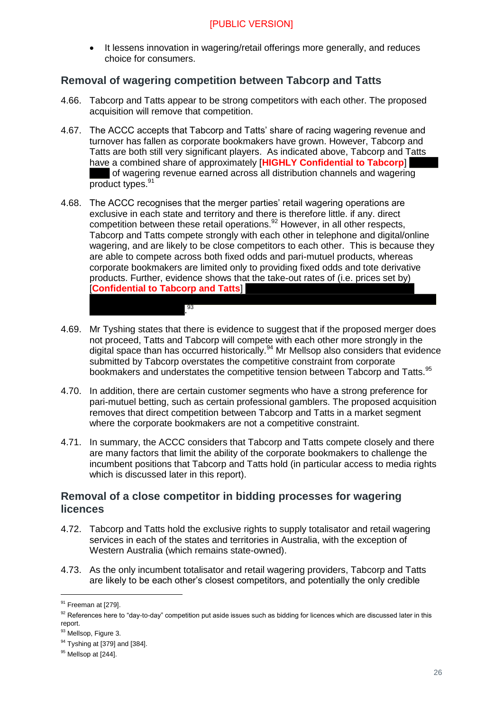• It lessens innovation in wagering/retail offerings more generally, and reduces choice for consumers.

#### <span id="page-25-0"></span>**Removal of wagering competition between Tabcorp and Tatts**

- 4.66. Tabcorp and Tatts appear to be strong competitors with each other. The proposed acquisition will remove that competition.
- 4.67. The ACCC accepts that Tabcorp and Tatts' share of racing wagering revenue and turnover has fallen as corporate bookmakers have grown. However, Tabcorp and Tatts are both still very significant players. As indicated above, Tabcorp and Tatts have a combined share of approximately [**HIGHLY Confidential to Tabcorp**] of wagering revenue earned across all distribution channels and wagering product types.<sup>91</sup>
- 4.68. The ACCC recognises that the merger parties' retail wagering operations are exclusive in each state and territory and there is therefore little. if any. direct competition between these retail operations.<sup>92</sup> However, in all other respects, Tabcorp and Tatts compete strongly with each other in telephone and digital/online wagering, and are likely to be close competitors to each other. This is because they are able to compete across both fixed odds and pari-mutuel products, whereas corporate bookmakers are limited only to providing fixed odds and tote derivative products. Further, evidence shows that the take-out rates of (i.e. prices set by) [**Confidential to Tabcorp and Tatts**]
- 4.69. Mr Tyshing states that there is evidence to suggest that if the proposed merger does not proceed, Tatts and Tabcorp will compete with each other more strongly in the digital space than has occurred historically.<sup>94</sup> Mr Mellsop also considers that evidence submitted by Tabcorp overstates the competitive constraint from corporate bookmakers and understates the competitive tension between Tabcorp and Tatts.<sup>95</sup>

. 93

- 4.70. In addition, there are certain customer segments who have a strong preference for pari-mutuel betting, such as certain professional gamblers. The proposed acquisition removes that direct competition between Tabcorp and Tatts in a market segment where the corporate bookmakers are not a competitive constraint.
- 4.71. In summary, the ACCC considers that Tabcorp and Tatts compete closely and there are many factors that limit the ability of the corporate bookmakers to challenge the incumbent positions that Tabcorp and Tatts hold (in particular access to media rights which is discussed later in this report).

#### <span id="page-25-1"></span>**Removal of a close competitor in bidding processes for wagering licences**

- 4.72. Tabcorp and Tatts hold the exclusive rights to supply totalisator and retail wagering services in each of the states and territories in Australia, with the exception of Western Australia (which remains state-owned).
- 4.73. As the only incumbent totalisator and retail wagering providers, Tabcorp and Tatts are likely to be each other's closest competitors, and potentially the only credible

<sup>&</sup>lt;sup>91</sup> Freeman at [279].

<sup>92</sup> References here to "day-to-day" competition put aside issues such as bidding for licences which are discussed later in this report.

<sup>93</sup> Mellsop, Figure 3.

<sup>94</sup> Tyshing at [379] and [384].

<sup>&</sup>lt;sup>95</sup> Mellsop at [244].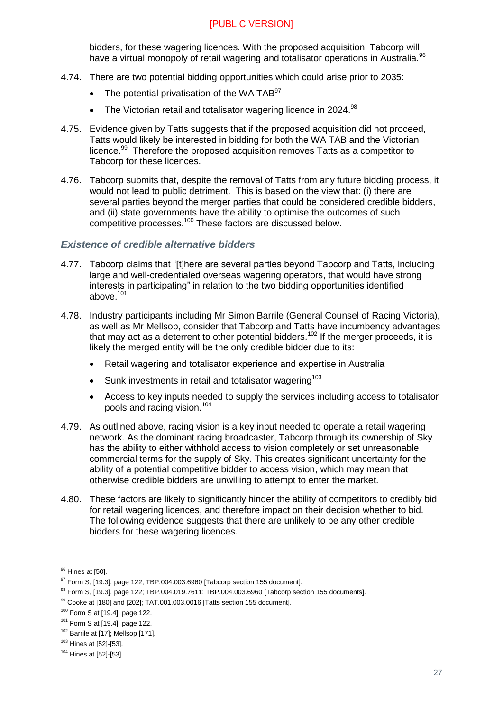bidders, for these wagering licences. With the proposed acquisition, Tabcorp will have a virtual monopoly of retail wagering and totalisator operations in Australia.<sup>96</sup>

- 4.74. There are two potential bidding opportunities which could arise prior to 2035:
	- The potential privatisation of the WA TAB $97$
	- The Victorian retail and totalisator wagering licence in 2024. $98$
- 4.75. Evidence given by Tatts suggests that if the proposed acquisition did not proceed, Tatts would likely be interested in bidding for both the WA TAB and the Victorian licence.<sup>99</sup> Therefore the proposed acquisition removes Tatts as a competitor to Tabcorp for these licences.
- 4.76. Tabcorp submits that, despite the removal of Tatts from any future bidding process, it would not lead to public detriment. This is based on the view that: (i) there are several parties beyond the merger parties that could be considered credible bidders, and (ii) state governments have the ability to optimise the outcomes of such competitive processes.<sup>100</sup> These factors are discussed below.

#### *Existence of credible alternative bidders*

- 4.77. Tabcorp claims that "[t]here are several parties beyond Tabcorp and Tatts, including large and well-credentialed overseas wagering operators, that would have strong interests in participating" in relation to the two bidding opportunities identified above $101$
- 4.78. Industry participants including Mr Simon Barrile (General Counsel of Racing Victoria), as well as Mr Mellsop, consider that Tabcorp and Tatts have incumbency advantages that may act as a deterrent to other potential bidders.<sup>102</sup> If the merger proceeds, it is likely the merged entity will be the only credible bidder due to its:
	- Retail wagering and totalisator experience and expertise in Australia
	- $\bullet$  Sunk investments in retail and totalisator wagering<sup>103</sup>
	- Access to key inputs needed to supply the services including access to totalisator pools and racing vision.<sup>104</sup>
- 4.79. As outlined above, racing vision is a key input needed to operate a retail wagering network. As the dominant racing broadcaster, Tabcorp through its ownership of Sky has the ability to either withhold access to vision completely or set unreasonable commercial terms for the supply of Sky. This creates significant uncertainty for the ability of a potential competitive bidder to access vision, which may mean that otherwise credible bidders are unwilling to attempt to enter the market.
- 4.80. These factors are likely to significantly hinder the ability of competitors to credibly bid for retail wagering licences, and therefore impact on their decision whether to bid. The following evidence suggests that there are unlikely to be any other credible bidders for these wagering licences.

<sup>&</sup>lt;sup>96</sup> Hines at [50].

<sup>97</sup> Form S, [19.3], page 122; TBP.004.003.6960 [Tabcorp section 155 document].

<sup>98</sup> Form S, [19.3], page 122; TBP.004.019.7611; TBP.004.003.6960 [Tabcorp section 155 documents].

<sup>99</sup> Cooke at [180] and [202]; TAT.001.003.0016 [Tatts section 155 document].

<sup>100</sup> Form S at [19.4], page 122.

 $101$  Form S at [19.4], page 122.

<sup>&</sup>lt;sup>102</sup> Barrile at [17]; Mellsop [171].

<sup>103</sup> Hines at [52]-[53].

<sup>104</sup> Hines at [52]-[53].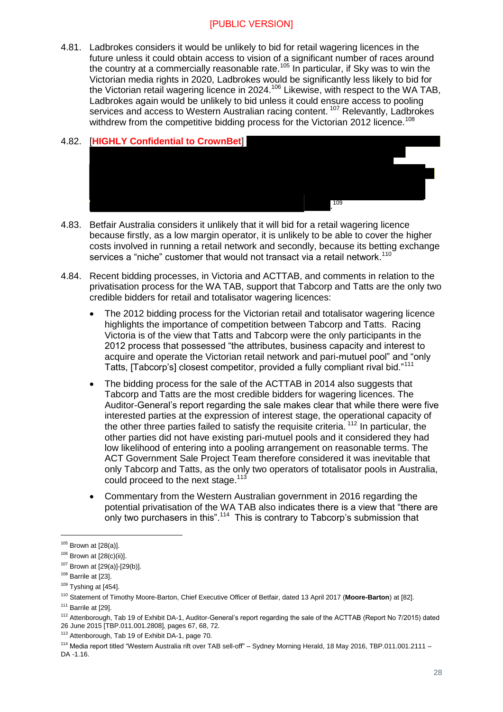4.81. Ladbrokes considers it would be unlikely to bid for retail wagering licences in the future unless it could obtain access to vision of a significant number of races around the country at a commercially reasonable rate.<sup>105</sup> In particular, if Sky was to win the Victorian media rights in 2020, Ladbrokes would be significantly less likely to bid for the Victorian retail wagering licence in 2024.<sup>106</sup> Likewise, with respect to the WA TAB, Ladbrokes again would be unlikely to bid unless it could ensure access to pooling services and access to Western Australian racing content.<sup>107</sup> Relevantly, Ladbrokes withdrew from the competitive bidding process for the Victorian 2012 licence.<sup>108</sup>

# 4.82. [**HIGHLY Confidential to CrownBet**] . 109

- 4.83. Betfair Australia considers it unlikely that it will bid for a retail wagering licence because firstly, as a low margin operator, it is unlikely to be able to cover the higher costs involved in running a retail network and secondly, because its betting exchange services a "niche" customer that would not transact via a retail network.<sup>110</sup>
- 4.84. Recent bidding processes, in Victoria and ACTTAB, and comments in relation to the privatisation process for the WA TAB, support that Tabcorp and Tatts are the only two credible bidders for retail and totalisator wagering licences:
	- The 2012 bidding process for the Victorian retail and totalisator wagering licence highlights the importance of competition between Tabcorp and Tatts. Racing Victoria is of the view that Tatts and Tabcorp were the only participants in the 2012 process that possessed "the attributes, business capacity and interest to acquire and operate the Victorian retail network and pari-mutuel pool" and "only Tatts, [Tabcorp's] closest competitor, provided a fully compliant rival bid."<sup>111</sup>
	- The bidding process for the sale of the ACTTAB in 2014 also suggests that Tabcorp and Tatts are the most credible bidders for wagering licences. The Auditor-General's report regarding the sale makes clear that while there were five interested parties at the expression of interest stage, the operational capacity of the other three parties failed to satisfy the requisite criteria.<sup>112</sup> In particular, the other parties did not have existing pari-mutuel pools and it considered they had low likelihood of entering into a pooling arrangement on reasonable terms. The ACT Government Sale Project Team therefore considered it was inevitable that only Tabcorp and Tatts, as the only two operators of totalisator pools in Australia, could proceed to the next stage.<sup>113</sup>
	- Commentary from the Western Australian government in 2016 regarding the potential privatisation of the WA TAB also indicates there is a view that "there are only two purchasers in this".<sup>114</sup> This is contrary to Tabcorp's submission that

 $105$  Brown at [28(a)].

 $106$  Brown at  $[28(c)(ii)].$ 

<sup>107</sup> Brown at [29(a)]-[29(b)].

<sup>108</sup> Barrile at [23].

 $109$  Tyshing at [454].

<sup>110</sup> Statement of Timothy Moore-Barton, Chief Executive Officer of Betfair, dated 13 April 2017 (**Moore-Barton**) at [82].

 $111$  Barrile at [29].

<sup>&</sup>lt;sup>112</sup> Attenborough, Tab 19 of Exhibit DA-1, Auditor-General's report regarding the sale of the ACTTAB (Report No 7/2015) dated

<sup>26</sup> June 2015 [TBP.011.001.2808], pages 67, 68, 72.

<sup>113</sup> Attenborough, Tab 19 of Exhibit DA-1, page 70.

<sup>114</sup> Media report titled "Western Australia rift over TAB sell-off" – Sydney Morning Herald, 18 May 2016, TBP.011.001.2111 – DA -1.16.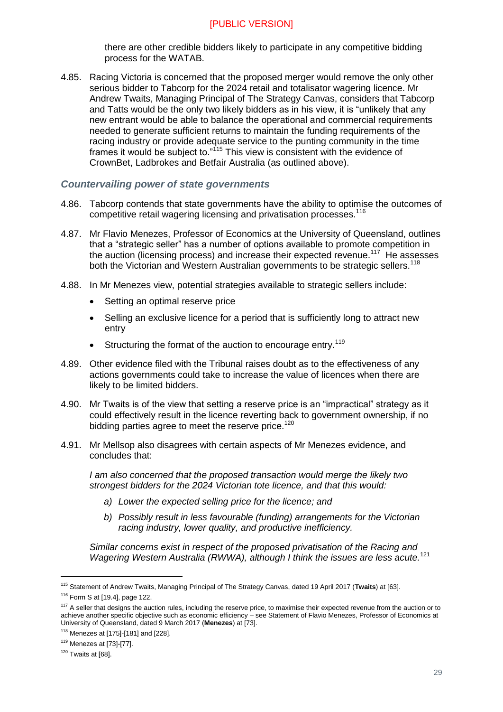there are other credible bidders likely to participate in any competitive bidding process for the WATAB.

4.85. Racing Victoria is concerned that the proposed merger would remove the only other serious bidder to Tabcorp for the 2024 retail and totalisator wagering licence. Mr Andrew Twaits, Managing Principal of The Strategy Canvas, considers that Tabcorp and Tatts would be the only two likely bidders as in his view, it is "unlikely that any new entrant would be able to balance the operational and commercial requirements needed to generate sufficient returns to maintain the funding requirements of the racing industry or provide adequate service to the punting community in the time frames it would be subject to."<sup>115</sup> This view is consistent with the evidence of CrownBet, Ladbrokes and Betfair Australia (as outlined above).

#### *Countervailing power of state governments*

- 4.86. Tabcorp contends that state governments have the ability to optimise the outcomes of competitive retail wagering licensing and privatisation processes.<sup>116</sup>
- 4.87. Mr Flavio Menezes, Professor of Economics at the University of Queensland, outlines that a "strategic seller" has a number of options available to promote competition in the auction (licensing process) and increase their expected revenue.<sup>117</sup> He assesses both the Victorian and Western Australian governments to be strategic sellers.<sup>118</sup>
- 4.88. In Mr Menezes view, potential strategies available to strategic sellers include:
	- Setting an optimal reserve price
	- Selling an exclusive licence for a period that is sufficiently long to attract new entry
	- Structuring the format of the auction to encourage entry.<sup>119</sup>
- 4.89. Other evidence filed with the Tribunal raises doubt as to the effectiveness of any actions governments could take to increase the value of licences when there are likely to be limited bidders.
- 4.90. Mr Twaits is of the view that setting a reserve price is an "impractical" strategy as it could effectively result in the licence reverting back to government ownership, if no bidding parties agree to meet the reserve price.<sup>120</sup>
- 4.91. Mr Mellsop also disagrees with certain aspects of Mr Menezes evidence, and concludes that:

*I am also concerned that the proposed transaction would merge the likely two strongest bidders for the 2024 Victorian tote licence, and that this would:*

- *a) Lower the expected selling price for the licence; and*
- *b) Possibly result in less favourable (funding) arrangements for the Victorian racing industry, lower quality, and productive inefficiency.*

*Similar concerns exist in respect of the proposed privatisation of the Racing and Wagering Western Australia (RWWA), although I think the issues are less acute.*<sup>121</sup>

<sup>115</sup> Statement of Andrew Twaits, Managing Principal of The Strategy Canvas, dated 19 April 2017 (**Twaits**) at [63].

<sup>116</sup> Form S at [19.4], page 122.

<sup>&</sup>lt;sup>117</sup> A seller that designs the auction rules, including the reserve price, to maximise their expected revenue from the auction or to achieve another specific objective such as economic efficiency – see Statement of Flavio Menezes, Professor of Economics at University of Queensland, dated 9 March 2017 (**Menezes**) at [73].

 $118$  Menezes at [175]-[181] and [228].

<sup>119</sup> Menezes at [73]-[77].

 $120$  Twaits at [68].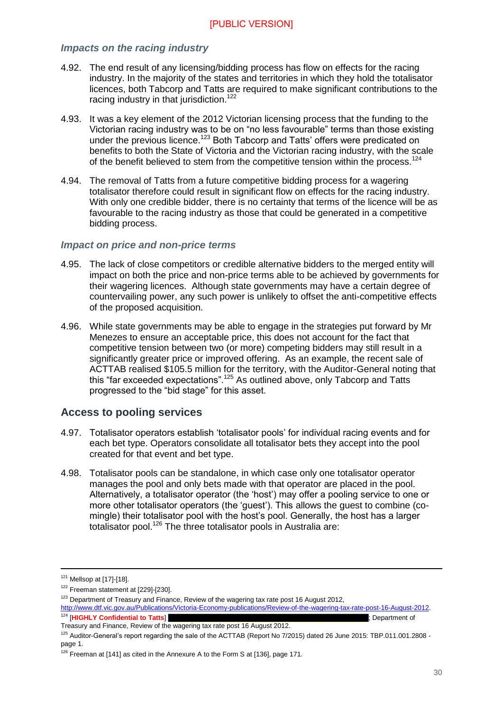#### *Impacts on the racing industry*

- 4.92. The end result of any licensing/bidding process has flow on effects for the racing industry. In the majority of the states and territories in which they hold the totalisator licences, both Tabcorp and Tatts are required to make significant contributions to the racing industry in that jurisdiction.<sup>122</sup>
- 4.93. It was a key element of the 2012 Victorian licensing process that the funding to the Victorian racing industry was to be on "no less favourable" terms than those existing under the previous licence.<sup>123</sup> Both Tabcorp and Tatts' offers were predicated on benefits to both the State of Victoria and the Victorian racing industry, with the scale of the benefit believed to stem from the competitive tension within the process.<sup>124</sup>
- 4.94. The removal of Tatts from a future competitive bidding process for a wagering totalisator therefore could result in significant flow on effects for the racing industry. With only one credible bidder, there is no certainty that terms of the licence will be as favourable to the racing industry as those that could be generated in a competitive bidding process.

#### *Impact on price and non-price terms*

- 4.95. The lack of close competitors or credible alternative bidders to the merged entity will impact on both the price and non-price terms able to be achieved by governments for their wagering licences. Although state governments may have a certain degree of countervailing power, any such power is unlikely to offset the anti-competitive effects of the proposed acquisition.
- 4.96. While state governments may be able to engage in the strategies put forward by Mr Menezes to ensure an acceptable price, this does not account for the fact that competitive tension between two (or more) competing bidders may still result in a significantly greater price or improved offering. As an example, the recent sale of ACTTAB realised \$105.5 million for the territory, with the Auditor-General noting that this "far exceeded expectations".<sup>125</sup> As outlined above, only Tabcorp and Tatts progressed to the "bid stage" for this asset.

#### <span id="page-29-0"></span>**Access to pooling services**

- 4.97. Totalisator operators establish 'totalisator pools' for individual racing events and for each bet type. Operators consolidate all totalisator bets they accept into the pool created for that event and bet type.
- 4.98. Totalisator pools can be standalone, in which case only one totalisator operator manages the pool and only bets made with that operator are placed in the pool. Alternatively, a totalisator operator (the 'host') may offer a pooling service to one or more other totalisator operators (the 'guest'). This allows the guest to combine (comingle) their totalisator pool with the host's pool. Generally, the host has a larger totalisator pool.<sup>126</sup> The three totalisator pools in Australia are:

 $121$  Mellsop at [17]-[18].

<sup>122</sup> Freeman statement at [229]-[230].

<sup>&</sup>lt;sup>123</sup> Department of Treasury and Finance, Review of the wagering tax rate post 16 August 2012,

[http://www.dtf.vic.gov.au/Publications/Victoria-Economy-publications/Review-of-the-wagering-tax-rate-post-16-August-2012.](http://www.dtf.vic.gov.au/Publications/Victoria-Economy-publications/Review-of-the-wagering-tax-rate-post-16-August-2012) <sup>124</sup> [**HIGHLY Confidential to Tatts**] ; Department of

Treasury and Finance, Review of the wagering tax rate post 16 August 2012.

<sup>125</sup> Auditor-General's report regarding the sale of the ACTTAB (Report No 7/2015) dated 26 June 2015: TBP.011.001.2808 page 1.

 $126$  Freeman at [141] as cited in the Annexure A to the Form S at [136], page 171.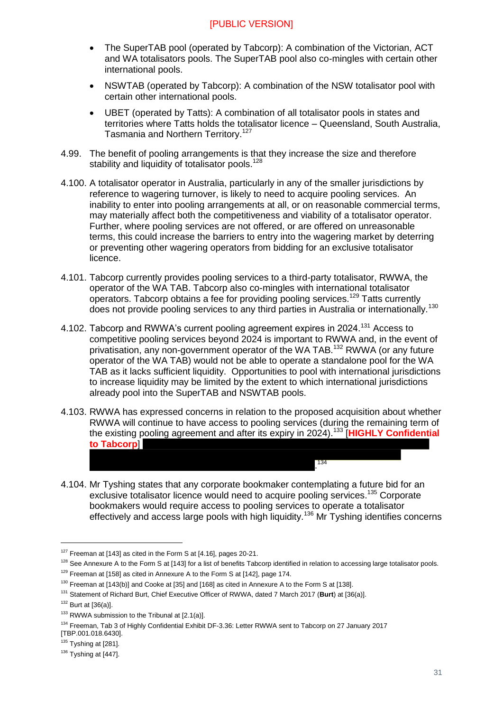- The SuperTAB pool (operated by Tabcorp): A combination of the Victorian, ACT and WA totalisators pools. The SuperTAB pool also co-mingles with certain other international pools.
- NSWTAB (operated by Tabcorp): A combination of the NSW totalisator pool with certain other international pools.
- UBET (operated by Tatts): A combination of all totalisator pools in states and territories where Tatts holds the totalisator licence – Queensland, South Australia, Tasmania and Northern Territory.<sup>127</sup>
- 4.99. The benefit of pooling arrangements is that they increase the size and therefore stability and liquidity of totalisator pools.<sup>128</sup>
- 4.100. A totalisator operator in Australia, particularly in any of the smaller jurisdictions by reference to wagering turnover, is likely to need to acquire pooling services. An inability to enter into pooling arrangements at all, or on reasonable commercial terms, may materially affect both the competitiveness and viability of a totalisator operator. Further, where pooling services are not offered, or are offered on unreasonable terms, this could increase the barriers to entry into the wagering market by deterring or preventing other wagering operators from bidding for an exclusive totalisator licence.
- 4.101. Tabcorp currently provides pooling services to a third-party totalisator, RWWA, the operator of the WA TAB. Tabcorp also co-mingles with international totalisator operators. Tabcorp obtains a fee for providing pooling services.<sup>129</sup> Tatts currently does not provide pooling services to any third parties in Australia or internationally.<sup>130</sup>
- 4.102. Tabcorp and RWWA's current pooling agreement expires in 2024.<sup>131</sup> Access to competitive pooling services beyond 2024 is important to RWWA and, in the event of privatisation, any non-government operator of the WA TAB.<sup>132</sup> RWWA (or any future operator of the WA TAB) would not be able to operate a standalone pool for the WA TAB as it lacks sufficient liquidity. Opportunities to pool with international jurisdictions to increase liquidity may be limited by the extent to which international jurisdictions already pool into the SuperTAB and NSWTAB pools.
- 4.103. RWWA has expressed concerns in relation to the proposed acquisition about whether RWWA will continue to have access to pooling services (during the remaining term of the existing pooling agreement and after its expiry in 2024).<sup>133</sup> [**HIGHLY Confidential to Tabcorp**]

. 134

4.104. Mr Tyshing states that any corporate bookmaker contemplating a future bid for an exclusive totalisator licence would need to acquire pooling services.<sup>135</sup> Corporate bookmakers would require access to pooling services to operate a totalisator effectively and access large pools with high liquidity.<sup>136</sup> Mr Tyshing identifies concerns

 $127$  Freeman at [143] as cited in the Form S at [4.16], pages 20-21.

<sup>&</sup>lt;sup>128</sup> See Annexure A to the Form S at [143] for a list of benefits Tabcorp identified in relation to accessing large totalisator pools.

 $129$  Freeman at [158] as cited in Annexure A to the Form S at [142], page 174.

<sup>&</sup>lt;sup>130</sup> Freeman at [143(b)] and Cooke at [35] and [168] as cited in Annexure A to the Form S at [138].

<sup>131</sup> Statement of Richard Burt, Chief Executive Officer of RWWA, dated 7 March 2017 (**Burt**) at [36(a)].

 $132$  Burt at [36(a)].

 $133$  RWWA submission to the Tribunal at  $[2.1(a)]$ .

<sup>&</sup>lt;sup>134</sup> Freeman, Tab 3 of Highly Confidential Exhibit DF-3.36: Letter RWWA sent to Tabcorp on 27 January 2017 [TBP.001.018.6430].

 $135$  Tyshing at [281].

 $136$  Tyshing at [447].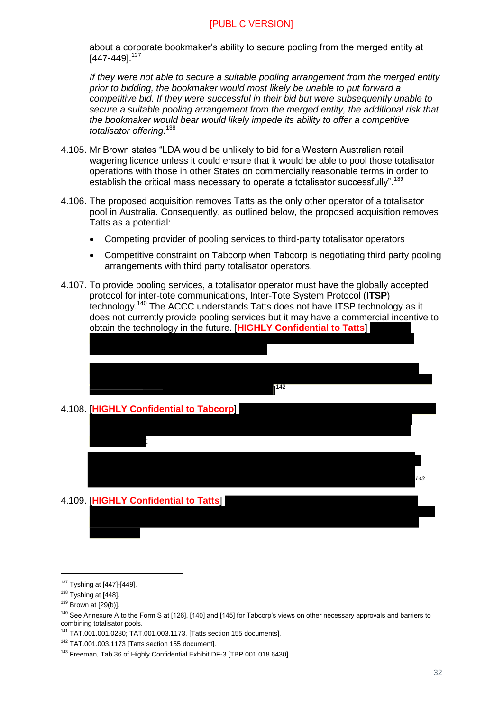about a corporate bookmaker's ability to secure pooling from the merged entity at  $[447-449]^{137}$ 

*If they were not able to secure a suitable pooling arrangement from the merged entity prior to bidding, the bookmaker would most likely be unable to put forward a competitive bid. If they were successful in their bid but were subsequently unable to secure a suitable pooling arrangement from the merged entity, the additional risk that the bookmaker would bear would likely impede its ability to offer a competitive totalisator offering.*<sup>138</sup>

- 4.105. Mr Brown states "LDA would be unlikely to bid for a Western Australian retail wagering licence unless it could ensure that it would be able to pool those totalisator operations with those in other States on commercially reasonable terms in order to establish the critical mass necessary to operate a totalisator successfully".<sup>139</sup>
- 4.106. The proposed acquisition removes Tatts as the only other operator of a totalisator pool in Australia. Consequently, as outlined below, the proposed acquisition removes Tatts as a potential:
	- Competing provider of pooling services to third-party totalisator operators
	- Competitive constraint on Tabcorp when Tabcorp is negotiating third party pooling arrangements with third party totalisator operators.
- 4.107. To provide pooling services, a totalisator operator must have the globally accepted protocol for inter-tote communications, Inter-Tote System Protocol (**ITSP**) technology.<sup>140</sup> The ACCC understands Tatts does not have ITSP technology as it does not currently provide pooling services but it may have a commercial incentive to obtain the technology in the future. [**HIGHLY Confidential to Tatts**]



#### 4.109. [**HIGHLY Confidential to Tatts**]

<sup>137</sup> Tyshing at [447]-[449].

 $138$  Tyshing at [448].

 $139$  Brown at [29(b)].

<sup>&</sup>lt;sup>140</sup> See Annexure A to the Form S at [126], [140] and [145] for Tabcorp's views on other necessary approvals and barriers to combining totalisator pools.

<sup>141</sup> TAT.001.001.0280; TAT.001.003.1173. [Tatts section 155 documents].

<sup>142</sup> TAT.001.003.1173 [Tatts section 155 document].

<sup>143</sup> Freeman, Tab 36 of Highly Confidential Exhibit DF-3 [TBP.001.018.6430].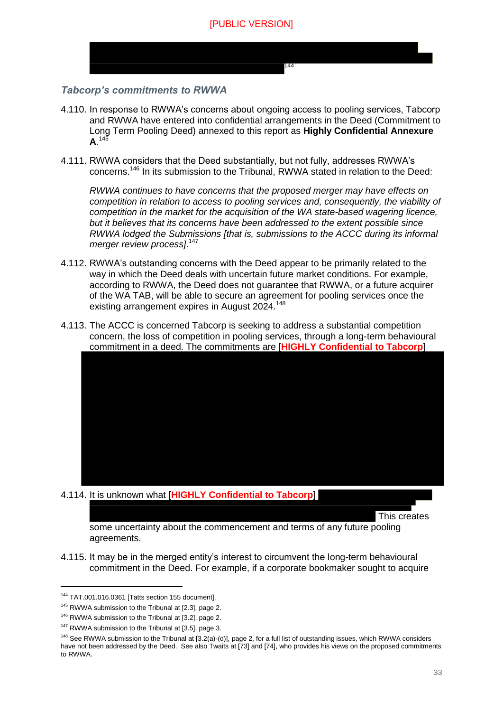

#### *Tabcorp's commitments to RWWA*

- 4.110. In response to RWWA's concerns about ongoing access to pooling services, Tabcorp and RWWA have entered into confidential arrangements in the Deed (Commitment to Long Term Pooling Deed) annexed to this report as **Highly Confidential Annexure**   $A.$ <sup>145</sup>
- 4.111. RWWA considers that the Deed substantially, but not fully, addresses RWWA's concerns.<sup>146</sup> In its submission to the Tribunal, RWWA stated in relation to the Deed:

*RWWA continues to have concerns that the proposed merger may have effects on competition in relation to access to pooling services and, consequently, the viability of competition in the market for the acquisition of the WA state-based wagering licence, but it believes that its concerns have been addressed to the extent possible since RWWA lodged the Submissions [that is, submissions to the ACCC during its informal merger review process]*. 147

- 4.112. RWWA's outstanding concerns with the Deed appear to be primarily related to the way in which the Deed deals with uncertain future market conditions. For example, according to RWWA, the Deed does not guarantee that RWWA, or a future acquirer of the WA TAB, will be able to secure an agreement for pooling services once the existing arrangement expires in August 2024.<sup>148</sup>
- 4.113. The ACCC is concerned Tabcorp is seeking to address a substantial competition concern, the loss of competition in pooling services, through a long-term behavioural commitment in a deed. The commitments are [**HIGHLY Confidential to Tabcorp**]

#### 4.114. It is unknown what [**HIGHLY Confidential to Tabcorp**]

This creates

some uncertainty about the commencement and terms of any future pooling agreements.

4.115. It may be in the merged entity's interest to circumvent the long-term behavioural commitment in the Deed. For example, if a corporate bookmaker sought to acquire

<sup>144</sup> TAT.001.016.0361 [Tatts section 155 document].

<sup>&</sup>lt;sup>145</sup> RWWA submission to the Tribunal at [2.3], page 2.

<sup>146</sup> RWWA submission to the Tribunal at [3.2], page 2.

<sup>&</sup>lt;sup>147</sup> RWWA submission to the Tribunal at [3.5], page 3.

<sup>&</sup>lt;sup>148</sup> See RWWA submission to the Tribunal at [3.2(a)-(d)], page 2, for a full list of outstanding issues, which RWWA considers have not been addressed by the Deed. See also Twaits at [73] and [74], who provides his views on the proposed commitments to RWWA.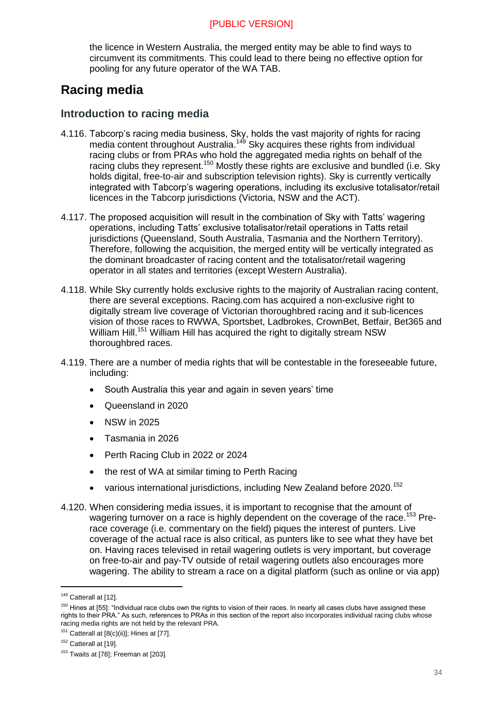the licence in Western Australia, the merged entity may be able to find ways to circumvent its commitments. This could lead to there being no effective option for pooling for any future operator of the WA TAB.

## <span id="page-33-0"></span>**Racing media**

#### <span id="page-33-1"></span>**Introduction to racing media**

- 4.116. Tabcorp's racing media business, Sky, holds the vast majority of rights for racing media content throughout Australia.<sup>149</sup> Sky acquires these rights from individual racing clubs or from PRAs who hold the aggregated media rights on behalf of the racing clubs they represent.<sup>150</sup> Mostly these rights are exclusive and bundled (i.e. Sky holds digital, free-to-air and subscription television rights). Sky is currently vertically integrated with Tabcorp's wagering operations, including its exclusive totalisator/retail licences in the Tabcorp jurisdictions (Victoria, NSW and the ACT).
- 4.117. The proposed acquisition will result in the combination of Sky with Tatts' wagering operations, including Tatts' exclusive totalisator/retail operations in Tatts retail jurisdictions (Queensland, South Australia, Tasmania and the Northern Territory). Therefore, following the acquisition, the merged entity will be vertically integrated as the dominant broadcaster of racing content and the totalisator/retail wagering operator in all states and territories (except Western Australia).
- 4.118. While Sky currently holds exclusive rights to the majority of Australian racing content, there are several exceptions. Racing.com has acquired a non-exclusive right to digitally stream live coverage of Victorian thoroughbred racing and it sub-licences vision of those races to RWWA, Sportsbet, Ladbrokes, CrownBet, Betfair, Bet365 and William Hill.<sup>151</sup> William Hill has acquired the right to digitally stream NSW thoroughbred races.
- 4.119. There are a number of media rights that will be contestable in the foreseeable future, including:
	- South Australia this year and again in seven years' time
	- Queensland in 2020
	- NSW in 2025
	- Tasmania in 2026
	- Perth Racing Club in 2022 or 2024
	- the rest of WA at similar timing to Perth Racing
	- various international jurisdictions, including New Zealand before 2020.<sup>152</sup>
- 4.120. When considering media issues, it is important to recognise that the amount of wagering turnover on a race is highly dependent on the coverage of the race.<sup>153</sup> Prerace coverage (i.e. commentary on the field) piques the interest of punters. Live coverage of the actual race is also critical, as punters like to see what they have bet on. Having races televised in retail wagering outlets is very important, but coverage on free-to-air and pay-TV outside of retail wagering outlets also encourages more wagering. The ability to stream a race on a digital platform (such as online or via app)

<sup>149</sup> Catterall at [12].

<sup>&</sup>lt;sup>150</sup> Hines at [55]: "Individual race clubs own the rights to vision of their races. In nearly all cases clubs have assigned these rights to their PRA." As such, references to PRAs in this section of the report also incorporates individual racing clubs whose racing media rights are not held by the relevant PRA.

 $151$  Catterall at  $[8(c)(ii)]$ ; Hines at [77].

<sup>&</sup>lt;sup>152</sup> Catterall at [19].

 $153$  Twaits at [78]; Freeman at [203].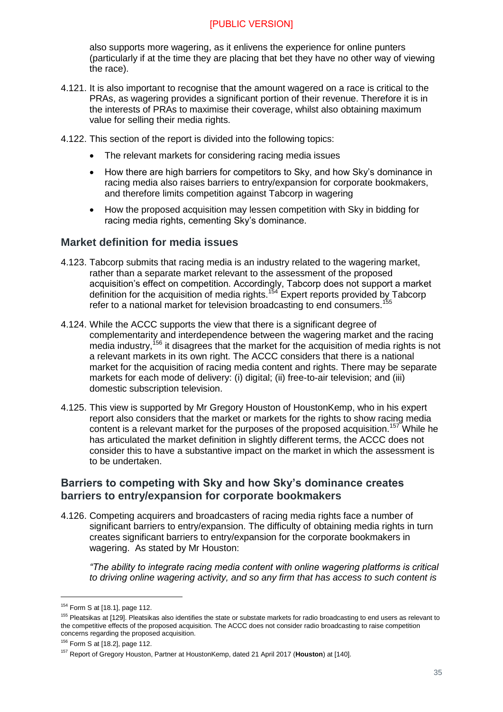also supports more wagering, as it enlivens the experience for online punters (particularly if at the time they are placing that bet they have no other way of viewing the race).

- 4.121. It is also important to recognise that the amount wagered on a race is critical to the PRAs, as wagering provides a significant portion of their revenue. Therefore it is in the interests of PRAs to maximise their coverage, whilst also obtaining maximum value for selling their media rights.
- 4.122. This section of the report is divided into the following topics:
	- The relevant markets for considering racing media issues
	- How there are high barriers for competitors to Sky, and how Sky's dominance in racing media also raises barriers to entry/expansion for corporate bookmakers, and therefore limits competition against Tabcorp in wagering
	- How the proposed acquisition may lessen competition with Sky in bidding for racing media rights, cementing Sky's dominance.

#### <span id="page-34-0"></span>**Market definition for media issues**

- 4.123. Tabcorp submits that racing media is an industry related to the wagering market, rather than a separate market relevant to the assessment of the proposed acquisition's effect on competition. Accordingly, Tabcorp does not support a market definition for the acquisition of media rights.<sup>154</sup> Expert reports provided by Tabcorp refer to a national market for television broadcasting to end consumers.<sup>15</sup>
- 4.124. While the ACCC supports the view that there is a significant degree of complementarity and interdependence between the wagering market and the racing media industry,<sup>156</sup> it disagrees that the market for the acquisition of media rights is not a relevant markets in its own right. The ACCC considers that there is a national market for the acquisition of racing media content and rights. There may be separate markets for each mode of delivery: (i) digital; (ii) free-to-air television; and (iii) domestic subscription television.
- 4.125. This view is supported by Mr Gregory Houston of HoustonKemp, who in his expert report also considers that the market or markets for the rights to show racing media content is a relevant market for the purposes of the proposed acquisition.<sup>157</sup> While he has articulated the market definition in slightly different terms, the ACCC does not consider this to have a substantive impact on the market in which the assessment is to be undertaken.

#### <span id="page-34-1"></span>**Barriers to competing with Sky and how Sky's dominance creates barriers to entry/expansion for corporate bookmakers**

<span id="page-34-2"></span>4.126. Competing acquirers and broadcasters of racing media rights face a number of significant barriers to entry/expansion. The difficulty of obtaining media rights in turn creates significant barriers to entry/expansion for the corporate bookmakers in wagering. As stated by Mr Houston:

*"The ability to integrate racing media content with online wagering platforms is critical to driving online wagering activity, and so any firm that has access to such content is* 

<sup>154</sup> Form S at [18.1], page 112.

<sup>&</sup>lt;sup>155</sup> Pleatsikas at [129]. Pleatsikas also identifies the state or substate markets for radio broadcasting to end users as relevant to the competitive effects of the proposed acquisition. The ACCC does not consider radio broadcasting to raise competition concerns regarding the proposed acquisition.

<sup>156</sup> Form S at [18.2], page 112.

<sup>157</sup> Report of Gregory Houston, Partner at HoustonKemp, dated 21 April 2017 (**Houston**) at [140].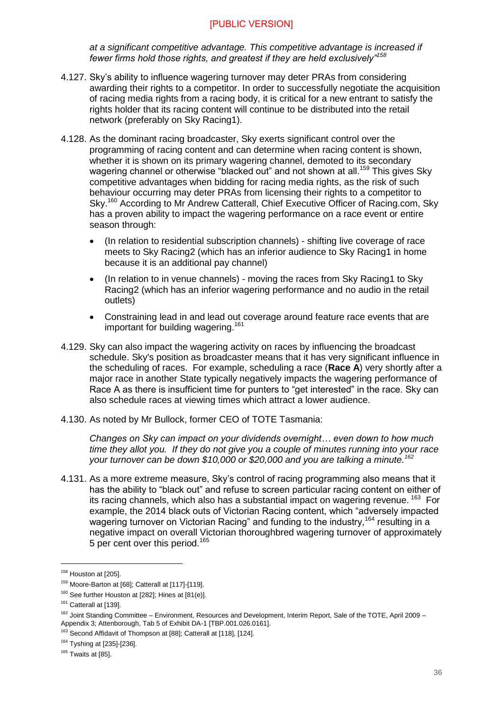*at a significant competitive advantage. This competitive advantage is increased if fewer firms hold those rights, and greatest if they are held exclusively"<sup>158</sup>*

- 4.127. Sky's ability to influence wagering turnover may deter PRAs from considering awarding their rights to a competitor. In order to successfully negotiate the acquisition of racing media rights from a racing body, it is critical for a new entrant to satisfy the rights holder that its racing content will continue to be distributed into the retail network (preferably on Sky Racing1).
- 4.128. As the dominant racing broadcaster, Sky exerts significant control over the programming of racing content and can determine when racing content is shown, whether it is shown on its primary wagering channel, demoted to its secondary wagering channel or otherwise "blacked out" and not shown at all.<sup>159</sup> This gives Sky competitive advantages when bidding for racing media rights, as the risk of such behaviour occurring may deter PRAs from licensing their rights to a competitor to Sky.<sup>160</sup> According to Mr Andrew Catterall, Chief Executive Officer of Racing.com, Sky has a proven ability to impact the wagering performance on a race event or entire season through:
	- (In relation to residential subscription channels) shifting live coverage of race meets to Sky Racing2 (which has an inferior audience to Sky Racing1 in home because it is an additional pay channel)
	- (In relation to in venue channels) moving the races from Sky Racing1 to Sky Racing2 (which has an inferior wagering performance and no audio in the retail outlets)
	- Constraining lead in and lead out coverage around feature race events that are important for building wagering.<sup>161</sup>
- 4.129. Sky can also impact the wagering activity on races by influencing the broadcast schedule. Sky's position as broadcaster means that it has very significant influence in the scheduling of races. For example, scheduling a race (**Race A**) very shortly after a major race in another State typically negatively impacts the wagering performance of Race A as there is insufficient time for punters to "get interested" in the race. Sky can also schedule races at viewing times which attract a lower audience.
- 4.130. As noted by Mr Bullock, former CEO of TOTE Tasmania:

*Changes on Sky can impact on your dividends overnight… even down to how much time they allot you. If they do not give you a couple of minutes running into your race your turnover can be down \$10,000 or \$20,000 and you are talking a minute.<sup>162</sup>*

4.131. As a more extreme measure, Sky's control of racing programming also means that it has the ability to "black out" and refuse to screen particular racing content on either of its racing channels, which also has a substantial impact on wagering revenue. <sup>163</sup> For example, the 2014 black outs of Victorian Racing content, which "adversely impacted wagering turnover on Victorian Racing" and funding to the industry.<sup>164</sup> resulting in a negative impact on overall Victorian thoroughbred wagering turnover of approximately 5 per cent over this period.<sup>165</sup>

-

<sup>163</sup> Second Affidavit of Thompson at [88]; Catterall at [118], [124].

<sup>&</sup>lt;sup>158</sup> Houston at [205].

<sup>159</sup> Moore-Barton at [68]; Catterall at [117]-[119].

 $160$  See further Houston at [282]; Hines at [81(e)].

<sup>&</sup>lt;sup>161</sup> Catterall at [139].

<sup>&</sup>lt;sup>162</sup> Joint Standing Committee – Environment, Resources and Development, Interim Report, Sale of the TOTE, April 2009 – Appendix 3; Attenborough, Tab 5 of Exhibit DA-1 [TBP.001.026.0161].

<sup>164</sup> Tyshing at [235]-[236].

 $165$  Twaits at [85].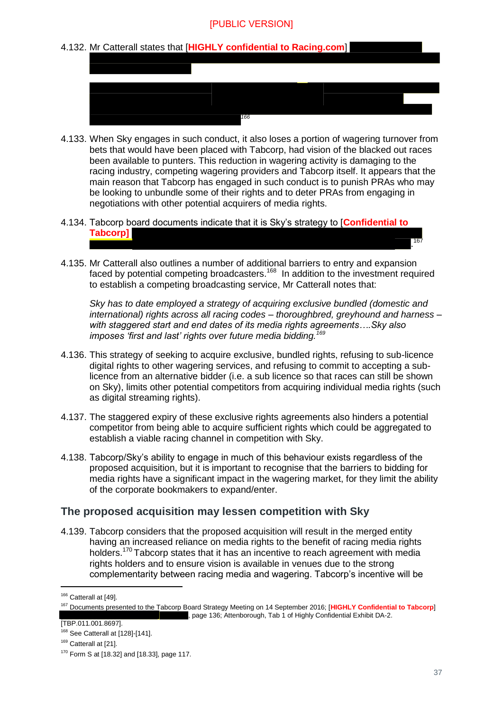#### 4.132. Mr Catterall states that [**HIGHLY confidential to Racing.com**]



- 4.133. When Sky engages in such conduct, it also loses a portion of wagering turnover from bets that would have been placed with Tabcorp, had vision of the blacked out races been available to punters. This reduction in wagering activity is damaging to the racing industry, competing wagering providers and Tabcorp itself. It appears that the main reason that Tabcorp has engaged in such conduct is to punish PRAs who may be looking to unbundle some of their rights and to deter PRAs from engaging in negotiations with other potential acquirers of media rights.
- 4.134. Tabcorp board documents indicate that it is Sky's strategy to [**Confidential to Tabcorp]**
- 4.135. Mr Catterall also outlines a number of additional barriers to entry and expansion faced by potential competing broadcasters.<sup>168</sup> In addition to the investment required to establish a competing broadcasting service, Mr Catterall notes that:

*Sky has to date employed a strategy of acquiring exclusive bundled (domestic and international) rights across all racing codes – thoroughbred, greyhound and harness – with staggered start and end dates of its media rights agreements….Sky also imposes 'first and last' rights over future media bidding.<sup>169</sup>*

- 4.136. This strategy of seeking to acquire exclusive, bundled rights, refusing to sub-licence digital rights to other wagering services, and refusing to commit to accepting a sublicence from an alternative bidder (i.e. a sub licence so that races can still be shown on Sky), limits other potential competitors from acquiring individual media rights (such as digital streaming rights).
- 4.137. The staggered expiry of these exclusive rights agreements also hinders a potential competitor from being able to acquire sufficient rights which could be aggregated to establish a viable racing channel in competition with Sky.
- <span id="page-36-1"></span>4.138. Tabcorp/Sky's ability to engage in much of this behaviour exists regardless of the proposed acquisition, but it is important to recognise that the barriers to bidding for media rights have a significant impact in the wagering market, for they limit the ability of the corporate bookmakers to expand/enter.

#### <span id="page-36-0"></span>**The proposed acquisition may lessen competition with Sky**

4.139. Tabcorp considers that the proposed acquisition will result in the merged entity having an increased reliance on media rights to the benefit of racing media rights holders.<sup>170</sup> Tabcorp states that it has an incentive to reach agreement with media rights holders and to ensure vision is available in venues due to the strong complementarity between racing media and wagering. Tabcorp's incentive will be

-

. 167

<sup>&</sup>lt;sup>166</sup> Catterall at [49].

<sup>167</sup> Documents presented to the Tabcorp Board Strategy Meeting on 14 September 2016; [**HIGHLY Confidential to Tabcorp**] , page 136; Attenborough, Tab 1 of Highly Confidential Exhibit DA-2.

<sup>[</sup>TBP.011.001.8697].

<sup>168</sup> See Catterall at [128]-[141].

<sup>&</sup>lt;sup>169</sup> Catterall at [21].

<sup>170</sup> Form S at [18.32] and [18.33], page 117.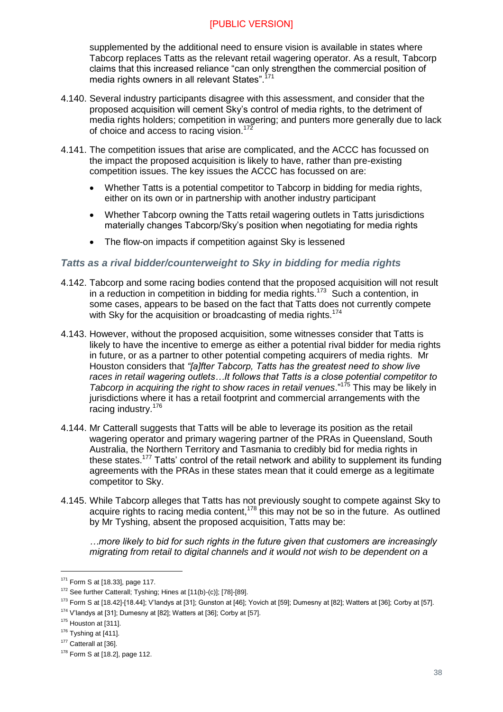supplemented by the additional need to ensure vision is available in states where Tabcorp replaces Tatts as the relevant retail wagering operator. As a result, Tabcorp claims that this increased reliance "can only strengthen the commercial position of media rights owners in all relevant States".<sup>171</sup>

- 4.140. Several industry participants disagree with this assessment, and consider that the proposed acquisition will cement Sky's control of media rights, to the detriment of media rights holders; competition in wagering; and punters more generally due to lack of choice and access to racing vision.<sup>172</sup>
- 4.141. The competition issues that arise are complicated, and the ACCC has focussed on the impact the proposed acquisition is likely to have, rather than pre-existing competition issues. The key issues the ACCC has focussed on are:
	- Whether Tatts is a potential competitor to Tabcorp in bidding for media rights, either on its own or in partnership with another industry participant
	- Whether Tabcorp owning the Tatts retail wagering outlets in Tatts jurisdictions materially changes Tabcorp/Sky's position when negotiating for media rights
	- The flow-on impacts if competition against Sky is lessened

#### *Tatts as a rival bidder/counterweight to Sky in bidding for media rights*

- 4.142. Tabcorp and some racing bodies contend that the proposed acquisition will not result in a reduction in competition in bidding for media rights.<sup>173</sup> Such a contention, in some cases, appears to be based on the fact that Tatts does not currently compete with Sky for the acquisition or broadcasting of media rights.<sup>174</sup>
- 4.143. However, without the proposed acquisition, some witnesses consider that Tatts is likely to have the incentive to emerge as either a potential rival bidder for media rights in future, or as a partner to other potential competing acquirers of media rights. Mr Houston considers that *"[a]fter Tabcorp, Tatts has the greatest need to show live races in retail wagering outlets…It follows that Tatts is a close potential competitor to Tabcorp in acquiring the right to show races in retail venues*."<sup>175</sup> This may be likely in jurisdictions where it has a retail footprint and commercial arrangements with the racing industry.<sup>176</sup>
- 4.144. Mr Catterall suggests that Tatts will be able to leverage its position as the retail wagering operator and primary wagering partner of the PRAs in Queensland, South Australia, the Northern Territory and Tasmania to credibly bid for media rights in these states.<sup>177</sup> Tatts' control of the retail network and ability to supplement its funding agreements with the PRAs in these states mean that it could emerge as a legitimate competitor to Sky.
- 4.145. While Tabcorp alleges that Tatts has not previously sought to compete against Sky to acquire rights to racing media content,  $178$  this may not be so in the future. As outlined by Mr Tyshing, absent the proposed acquisition, Tatts may be:

*…more likely to bid for such rights in the future given that customers are increasingly migrating from retail to digital channels and it would not wish to be dependent on a* 

<sup>171</sup> Form S at [18.33], page 117.

<sup>172</sup> See further Catterall; Tyshing; Hines at [11(b)-(c)]; [78]-[89].

<sup>173</sup> Form S at [18.42]-[18.44]; V'landys at [31]; Gunston at [46]; Yovich at [59]; Dumesny at [82]; Watters at [36]; Corby at [57].

<sup>174</sup> V'landys at [31]; Dumesny at [82]; Watters at [36]; Corby at [57].

 $175$  Houston at [311].

 $176$  Tyshing at [411].

<sup>&</sup>lt;sup>177</sup> Catterall at [36].

<sup>178</sup> Form S at [18.2], page 112.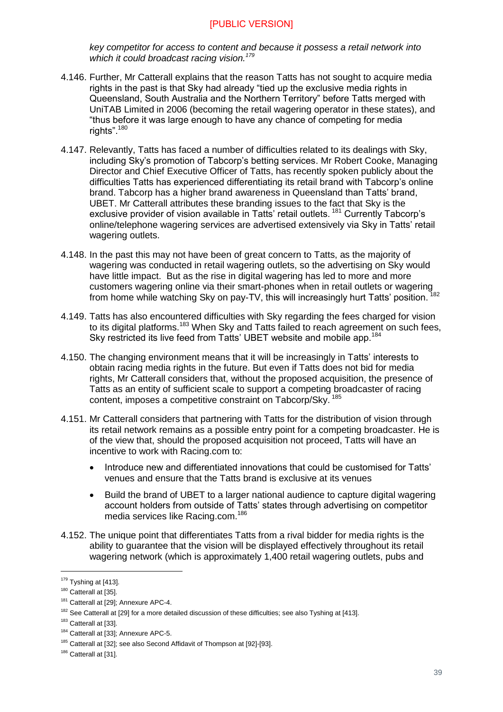*key competitor for access to content and because it possess a retail network into which it could broadcast racing vision.<sup>179</sup>*

- 4.146. Further, Mr Catterall explains that the reason Tatts has not sought to acquire media rights in the past is that Sky had already "tied up the exclusive media rights in Queensland, South Australia and the Northern Territory" before Tatts merged with UniTAB Limited in 2006 (becoming the retail wagering operator in these states), and "thus before it was large enough to have any chance of competing for media rights". $180$
- 4.147. Relevantly, Tatts has faced a number of difficulties related to its dealings with Sky, including Sky's promotion of Tabcorp's betting services. Mr Robert Cooke, Managing Director and Chief Executive Officer of Tatts, has recently spoken publicly about the difficulties Tatts has experienced differentiating its retail brand with Tabcorp's online brand. Tabcorp has a higher brand awareness in Queensland than Tatts' brand, UBET. Mr Catterall attributes these branding issues to the fact that Sky is the exclusive provider of vision available in Tatts' retail outlets. <sup>181</sup> Currently Tabcorp's online/telephone wagering services are advertised extensively via Sky in Tatts' retail wagering outlets.
- 4.148. In the past this may not have been of great concern to Tatts, as the majority of wagering was conducted in retail wagering outlets, so the advertising on Sky would have little impact. But as the rise in digital wagering has led to more and more nave little impact. But as the new in signal maged is seen in retail outlets or wagering<br>customers wagering online via their smart-phones when in retail outlets or wagering from home while watching Sky on pay-TV, this will increasingly hurt Tatts' position.
- 4.149. Tatts has also encountered difficulties with Sky regarding the fees charged for vision to its digital platforms.<sup>183</sup> When Sky and Tatts failed to reach agreement on such fees, Sky restricted its live feed from Tatts' UBET website and mobile app.<sup>184</sup>
- 4.150. The changing environment means that it will be increasingly in Tatts' interests to obtain racing media rights in the future. But even if Tatts does not bid for media rights, Mr Catterall considers that, without the proposed acquisition, the presence of Tatts as an entity of sufficient scale to support a competing broadcaster of racing content, imposes a competitive constraint on Tabcorp/Sky.<sup>185</sup>
- 4.151. Mr Catterall considers that partnering with Tatts for the distribution of vision through its retail network remains as a possible entry point for a competing broadcaster. He is of the view that, should the proposed acquisition not proceed, Tatts will have an incentive to work with Racing.com to:
	- Introduce new and differentiated innovations that could be customised for Tatts' venues and ensure that the Tatts brand is exclusive at its venues
	- Build the brand of UBET to a larger national audience to capture digital wagering account holders from outside of Tatts' states through advertising on competitor media services like Racing.com.<sup>186</sup>
- 4.152. The unique point that differentiates Tatts from a rival bidder for media rights is the ability to guarantee that the vision will be displayed effectively throughout its retail wagering network (which is approximately 1,400 retail wagering outlets, pubs and

 $179$  Tyshing at [413].

<sup>&</sup>lt;sup>180</sup> Catterall at [35].

<sup>&</sup>lt;sup>181</sup> Catterall at [29]; Annexure APC-4.

<sup>&</sup>lt;sup>182</sup> See Catterall at [29] for a more detailed discussion of these difficulties; see also Tyshing at [413].

<sup>&</sup>lt;sup>183</sup> Catterall at [33].

<sup>184</sup> Catterall at [33]; Annexure APC-5.

<sup>&</sup>lt;sup>185</sup> Catterall at [32]; see also Second Affidavit of Thompson at [92]-[93].

<sup>&</sup>lt;sup>186</sup> Catterall at [31].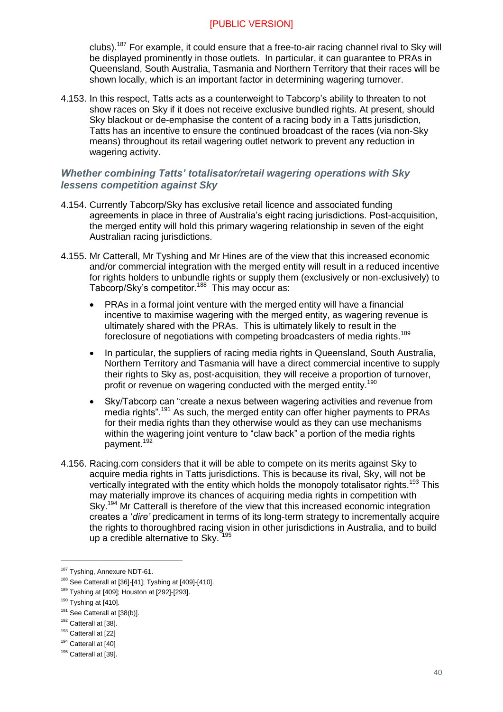clubs).<sup>187</sup> For example, it could ensure that a free-to-air racing channel rival to Sky will be displayed prominently in those outlets. In particular, it can guarantee to PRAs in Queensland, South Australia, Tasmania and Northern Territory that their races will be shown locally, which is an important factor in determining wagering turnover.

4.153. In this respect, Tatts acts as a counterweight to Tabcorp's ability to threaten to not show races on Sky if it does not receive exclusive bundled rights. At present, should Sky blackout or de-emphasise the content of a racing body in a Tatts jurisdiction, Tatts has an incentive to ensure the continued broadcast of the races (via non-Sky means) throughout its retail wagering outlet network to prevent any reduction in wagering activity.

#### *Whether combining Tatts' totalisator/retail wagering operations with Sky lessens competition against Sky*

- 4.154. Currently Tabcorp/Sky has exclusive retail licence and associated funding agreements in place in three of Australia's eight racing jurisdictions. Post-acquisition, the merged entity will hold this primary wagering relationship in seven of the eight Australian racing jurisdictions.
- 4.155. Mr Catterall, Mr Tyshing and Mr Hines are of the view that this increased economic and/or commercial integration with the merged entity will result in a reduced incentive for rights holders to unbundle rights or supply them (exclusively or non-exclusively) to Tabcorp/Sky's competitor.<sup>188</sup> This may occur as:
	- PRAs in a formal joint venture with the merged entity will have a financial incentive to maximise wagering with the merged entity, as wagering revenue is ultimately shared with the PRAs. This is ultimately likely to result in the foreclosure of negotiations with competing broadcasters of media rights.<sup>189</sup>
	- In particular, the suppliers of racing media rights in Queensland, South Australia, Northern Territory and Tasmania will have a direct commercial incentive to supply their rights to Sky as, post-acquisition, they will receive a proportion of turnover, profit or revenue on wagering conducted with the merged entity.<sup>190</sup>
	- Sky/Tabcorp can "create a nexus between wagering activities and revenue from media rights".<sup>191</sup> As such, the merged entity can offer higher payments to PRAs for their media rights than they otherwise would as they can use mechanisms within the wagering joint venture to "claw back" a portion of the media rights payment.<sup>192</sup>
- 4.156. Racing.com considers that it will be able to compete on its merits against Sky to acquire media rights in Tatts jurisdictions. This is because its rival, Sky, will not be vertically integrated with the entity which holds the monopoly totalisator rights.<sup>193</sup> This may materially improve its chances of acquiring media rights in competition with Sky.<sup>194</sup> Mr Catterall is therefore of the view that this increased economic integration creates a '*dire'* predicament in terms of its long-term strategy to incrementally acquire the rights to thoroughbred racing vision in other jurisdictions in Australia, and to build up a credible alternative to Sky.

<sup>&</sup>lt;sup>187</sup> Tyshing, Annexure NDT-61.

<sup>188</sup> See Catterall at [36]-[41]; Tyshing at [409]-[410].

<sup>189</sup> Tyshing at [409]; Houston at [292]-[293].

 $190$  Tyshing at [410].

<sup>&</sup>lt;sup>191</sup> See Catterall at [38(b)].

<sup>&</sup>lt;sup>192</sup> Catterall at [38].

<sup>193</sup> Catterall at [22]

<sup>&</sup>lt;sup>194</sup> Catterall at [40]

<sup>&</sup>lt;sup>195</sup> Catterall at [39].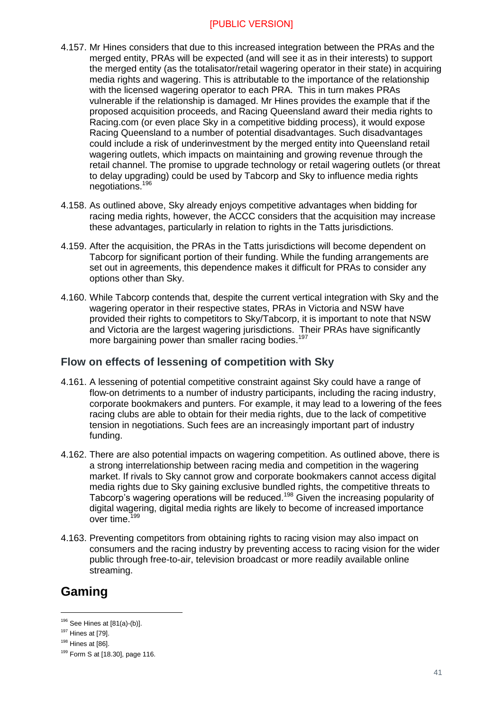- 4.157. Mr Hines considers that due to this increased integration between the PRAs and the merged entity, PRAs will be expected (and will see it as in their interests) to support the merged entity (as the totalisator/retail wagering operator in their state) in acquiring media rights and wagering. This is attributable to the importance of the relationship with the licensed wagering operator to each PRA. This in turn makes PRAs vulnerable if the relationship is damaged. Mr Hines provides the example that if the proposed acquisition proceeds, and Racing Queensland award their media rights to Racing.com (or even place Sky in a competitive bidding process), it would expose Racing Queensland to a number of potential disadvantages. Such disadvantages could include a risk of underinvestment by the merged entity into Queensland retail wagering outlets, which impacts on maintaining and growing revenue through the retail channel. The promise to upgrade technology or retail wagering outlets (or threat to delay upgrading) could be used by Tabcorp and Sky to influence media rights negotiations.<sup>196</sup>
- 4.158. As outlined above, Sky already enjoys competitive advantages when bidding for racing media rights, however, the ACCC considers that the acquisition may increase these advantages, particularly in relation to rights in the Tatts jurisdictions.
- 4.159. After the acquisition, the PRAs in the Tatts jurisdictions will become dependent on Tabcorp for significant portion of their funding. While the funding arrangements are set out in agreements, this dependence makes it difficult for PRAs to consider any options other than Sky.
- 4.160. While Tabcorp contends that, despite the current vertical integration with Sky and the wagering operator in their respective states, PRAs in Victoria and NSW have provided their rights to competitors to Sky/Tabcorp, it is important to note that NSW and Victoria are the largest wagering jurisdictions. Their PRAs have significantly more bargaining power than smaller racing bodies.<sup>197</sup>

#### <span id="page-40-0"></span>**Flow on effects of lessening of competition with Sky**

- 4.161. A lessening of potential competitive constraint against Sky could have a range of flow-on detriments to a number of industry participants, including the racing industry, corporate bookmakers and punters. For example, it may lead to a lowering of the fees racing clubs are able to obtain for their media rights, due to the lack of competitive tension in negotiations. Such fees are an increasingly important part of industry funding.
- 4.162. There are also potential impacts on wagering competition. As outlined above, there is a strong interrelationship between racing media and competition in the wagering market. If rivals to Sky cannot grow and corporate bookmakers cannot access digital media rights due to Sky gaining exclusive bundled rights, the competitive threats to Tabcorp's wagering operations will be reduced.<sup>198</sup> Given the increasing popularity of digital wagering, digital media rights are likely to become of increased importance over time.<sup>199</sup>
- 4.163. Preventing competitors from obtaining rights to racing vision may also impact on consumers and the racing industry by preventing access to racing vision for the wider public through free-to-air, television broadcast or more readily available online streaming.

## <span id="page-40-1"></span>**Gaming**

 $196$  See Hines at  $[81(a)-(b)].$ 

<sup>197</sup> Hines at [79].

<sup>198</sup> Hines at [86].

<sup>199</sup> Form S at [18.30], page 116.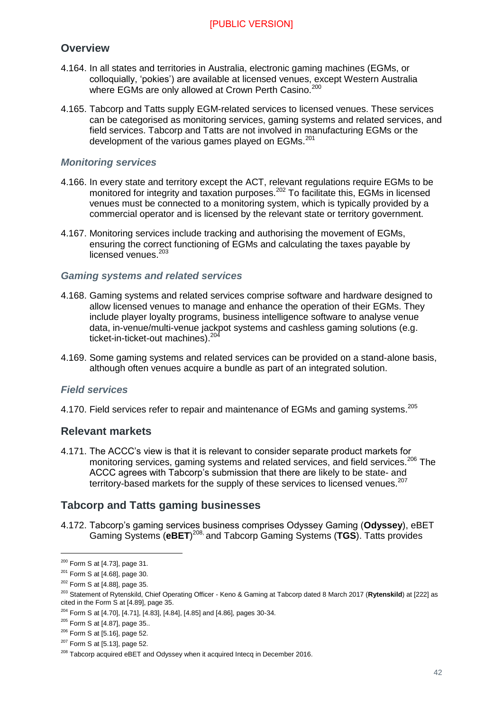#### <span id="page-41-0"></span>**Overview**

- 4.164. In all states and territories in Australia, electronic gaming machines (EGMs, or colloquially, 'pokies') are available at licensed venues, except Western Australia where EGMs are only allowed at Crown Perth Casino.<sup>200</sup>
- 4.165. Tabcorp and Tatts supply EGM-related services to licensed venues. These services can be categorised as monitoring services, gaming systems and related services, and field services. Tabcorp and Tatts are not involved in manufacturing EGMs or the development of the various games played on EGMs.<sup>201</sup>

#### *Monitoring services*

- 4.166. In every state and territory except the ACT, relevant regulations require EGMs to be monitored for integrity and taxation purposes.<sup>202</sup> To facilitate this, EGMs in licensed venues must be connected to a monitoring system, which is typically provided by a commercial operator and is licensed by the relevant state or territory government.
- 4.167. Monitoring services include tracking and authorising the movement of EGMs, ensuring the correct functioning of EGMs and calculating the taxes payable by licensed venues.<sup>203</sup>

#### *Gaming systems and related services*

- 4.168. Gaming systems and related services comprise software and hardware designed to allow licensed venues to manage and enhance the operation of their EGMs. They include player loyalty programs, business intelligence software to analyse venue data, in-venue/multi-venue jackpot systems and cashless gaming solutions (e.g. ticket-in-ticket-out machines).<sup>204</sup>
- 4.169. Some gaming systems and related services can be provided on a stand-alone basis, although often venues acquire a bundle as part of an integrated solution.

#### *Field services*

4.170. Field services refer to repair and maintenance of EGMs and gaming systems.<sup>205</sup>

#### <span id="page-41-1"></span>**Relevant markets**

4.171. The ACCC's view is that it is relevant to consider separate product markets for monitoring services, gaming systems and related services, and field services.<sup>206</sup> The ACCC agrees with Tabcorp's submission that there are likely to be state- and territory-based markets for the supply of these services to licensed venues.<sup>207</sup>

#### <span id="page-41-2"></span>**Tabcorp and Tatts gaming businesses**

4.172. Tabcorp's gaming services business comprises Odyssey Gaming (**Odyssey**), eBET Gaming Systems (**eBET**) 208, and Tabcorp Gaming Systems (**TGS**). Tatts provides

 $200$  Form S at [4.73], page 31.

 $201$  Form S at [4.68], page 30.

<sup>&</sup>lt;sup>202</sup> Form S at [4.88], page 35.

<sup>203</sup> Statement of Rytenskild, Chief Operating Officer - Keno & Gaming at Tabcorp dated 8 March 2017 (**Rytenskild**) at [222] as cited in the Form S at [4.89], page 35.

<sup>204</sup> Form S at [4.70], [4.71], [4.83], [4.84], [4.85] and [4.86], pages 30-34.

 $205$  Form S at [4.87], page 35..

 $206$  Form S at [5.16], page 52.

 $207$  Form S at [5.13], page 52.

<sup>&</sup>lt;sup>208</sup> Tabcorp acquired eBET and Odyssey when it acquired Intecq in December 2016.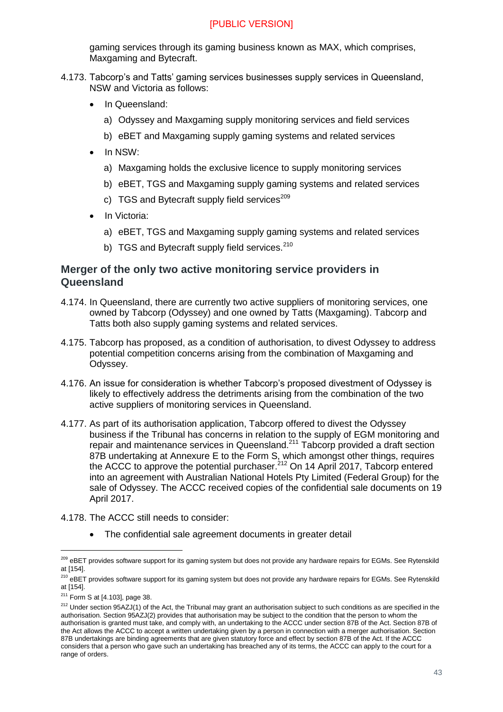gaming services through its gaming business known as MAX, which comprises, Maxgaming and Bytecraft.

- 4.173. Tabcorp's and Tatts' gaming services businesses supply services in Queensland, NSW and Victoria as follows:
	- In Queensland:
		- a) Odyssey and Maxgaming supply monitoring services and field services
		- b) eBET and Maxgaming supply gaming systems and related services
	- In NSW:
		- a) Maxgaming holds the exclusive licence to supply monitoring services
		- b) eBET, TGS and Maxgaming supply gaming systems and related services
		- c)  $TGS$  and Bytecraft supply field services<sup>209</sup>
	- In Victoria:
		- a) eBET, TGS and Maxgaming supply gaming systems and related services
		- b) TGS and Bytecraft supply field services.<sup>210</sup>

#### <span id="page-42-0"></span>**Merger of the only two active monitoring service providers in Queensland**

- 4.174. In Queensland, there are currently two active suppliers of monitoring services, one owned by Tabcorp (Odyssey) and one owned by Tatts (Maxgaming). Tabcorp and Tatts both also supply gaming systems and related services.
- 4.175. Tabcorp has proposed, as a condition of authorisation, to divest Odyssey to address potential competition concerns arising from the combination of Maxgaming and Odyssey.
- 4.176. An issue for consideration is whether Tabcorp's proposed divestment of Odyssey is likely to effectively address the detriments arising from the combination of the two active suppliers of monitoring services in Queensland.
- 4.177. As part of its authorisation application, Tabcorp offered to divest the Odyssey business if the Tribunal has concerns in relation to the supply of EGM monitoring and repair and maintenance services in Queensland.<sup>211</sup> Tabcorp provided a draft section 87B undertaking at Annexure E to the Form S, which amongst other things, requires the ACCC to approve the potential purchaser.<sup>212</sup> On 14 April 2017, Tabcorp entered into an agreement with Australian National Hotels Pty Limited (Federal Group) for the sale of Odyssey. The ACCC received copies of the confidential sale documents on 19 April 2017.
- 4.178. The ACCC still needs to consider:
	- The confidential sale agreement documents in greater detail

<sup>&</sup>lt;sup>209</sup> eBET provides software support for its gaming system but does not provide any hardware repairs for EGMs. See Rytenskild at [154].

<sup>&</sup>lt;sup>210</sup> eBET provides software support for its gaming system but does not provide any hardware repairs for EGMs. See Rytenskild at [154].

<sup>&</sup>lt;sup>211</sup> Form S at [4.103], page 38.

<sup>&</sup>lt;sup>212</sup> Under section 95AZJ(1) of the Act, the Tribunal may grant an authorisation subject to such conditions as are specified in the authorisation. Section 95AZJ(2) provides that authorisation may be subject to the condition that the person to whom the authorisation is granted must take, and comply with, an undertaking to the ACCC under section 87B of the Act. Section 87B of the Act allows the ACCC to accept a written undertaking given by a person in connection with a merger authorisation. Section 87B undertakings are binding agreements that are given statutory force and effect by section 87B of the Act. If the ACCC considers that a person who gave such an undertaking has breached any of its terms, the ACCC can apply to the court for a range of orders.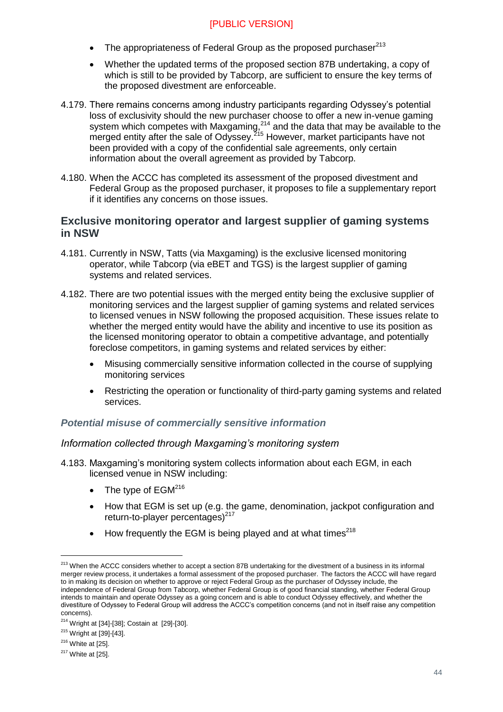- The appropriateness of Federal Group as the proposed purchaser $213$
- Whether the updated terms of the proposed section 87B undertaking, a copy of which is still to be provided by Tabcorp, are sufficient to ensure the key terms of the proposed divestment are enforceable.
- 4.179. There remains concerns among industry participants regarding Odyssey's potential loss of exclusivity should the new purchaser choose to offer a new in-venue gaming system which competes with Maxgaming.<sup>214</sup> and the data that may be available to the merged entity after the sale of Odyssey.<sup>215</sup> However, market participants have not been provided with a copy of the confidential sale agreements, only certain information about the overall agreement as provided by Tabcorp.
- 4.180. When the ACCC has completed its assessment of the proposed divestment and Federal Group as the proposed purchaser, it proposes to file a supplementary report if it identifies any concerns on those issues.

#### <span id="page-43-0"></span>**Exclusive monitoring operator and largest supplier of gaming systems in NSW**

- 4.181. Currently in NSW, Tatts (via Maxgaming) is the exclusive licensed monitoring operator, while Tabcorp (via eBET and TGS) is the largest supplier of gaming systems and related services.
- 4.182. There are two potential issues with the merged entity being the exclusive supplier of monitoring services and the largest supplier of gaming systems and related services to licensed venues in NSW following the proposed acquisition. These issues relate to whether the merged entity would have the ability and incentive to use its position as the licensed monitoring operator to obtain a competitive advantage, and potentially foreclose competitors, in gaming systems and related services by either:
	- Misusing commercially sensitive information collected in the course of supplying monitoring services
	- Restricting the operation or functionality of third-party gaming systems and related services.

#### *Potential misuse of commercially sensitive information*

#### *Information collected through Maxgaming's monitoring system*

- 4.183. Maxgaming's monitoring system collects information about each EGM, in each licensed venue in NSW including:
	- $\bullet$  The type of EGM<sup>216</sup>
	- How that EGM is set up (e.g. the game, denomination, jackpot configuration and return-to-player percentages) $^{217}$
	- $\bullet$  How frequently the EGM is being played and at what times<sup>218</sup>

<sup>&</sup>lt;sup>213</sup> When the ACCC considers whether to accept a section 87B undertaking for the divestment of a business in its informal merger review process, it undertakes a formal assessment of the proposed purchaser. The factors the ACCC will have regard to in making its decision on whether to approve or reject Federal Group as the purchaser of Odyssey include, the independence of Federal Group from Tabcorp, whether Federal Group is of good financial standing, whether Federal Group intends to maintain and operate Odyssey as a going concern and is able to conduct Odyssey effectively, and whether the divestiture of Odyssey to Federal Group will address the ACCC's competition concerns (and not in itself raise any competition concerns).

 $214$  Wright at [34]-[38]; Costain at [29]-[30].

<sup>215</sup> Wright at [39]-[43].

 $216$  White at [25].

 $217$  White at [25].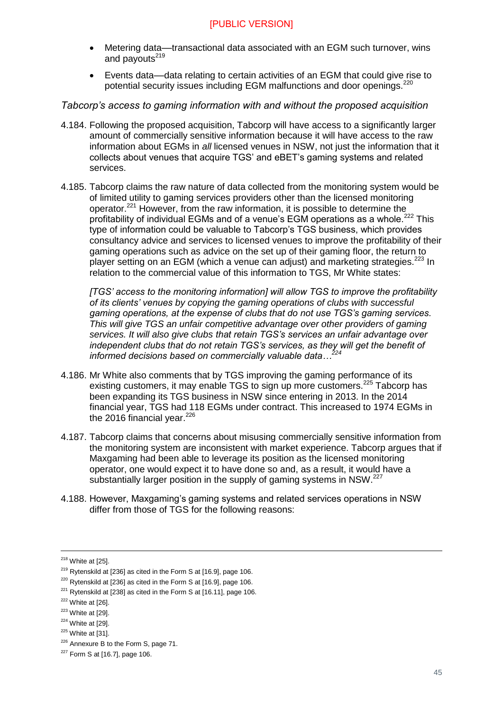- Metering data––transactional data associated with an EGM such turnover, wins and payouts<sup>219</sup>
- Events data––data relating to certain activities of an EGM that could give rise to potential security issues including EGM malfunctions and door openings.<sup>220</sup>

#### *Tabcorp's access to gaming information with and without the proposed acquisition*

- 4.184. Following the proposed acquisition, Tabcorp will have access to a significantly larger amount of commercially sensitive information because it will have access to the raw information about EGMs in *all* licensed venues in NSW, not just the information that it collects about venues that acquire TGS' and eBET's gaming systems and related services.
- 4.185. Tabcorp claims the raw nature of data collected from the monitoring system would be of limited utility to gaming services providers other than the licensed monitoring operator.<sup>221</sup> However, from the raw information, it is possible to determine the profitability of individual EGMs and of a venue's EGM operations as a whole.<sup>222</sup> This type of information could be valuable to Tabcorp's TGS business, which provides consultancy advice and services to licensed venues to improve the profitability of their gaming operations such as advice on the set up of their gaming floor, the return to player setting on an EGM (which a venue can adjust) and marketing strategies. $^{223}$  In relation to the commercial value of this information to TGS, Mr White states:

*[TGS' access to the monitoring information] will allow TGS to improve the profitability of its clients' venues by copying the gaming operations of clubs with successful gaming operations, at the expense of clubs that do not use TGS's gaming services. This will give TGS an unfair competitive advantage over other providers of gaming services. It will also give clubs that retain TGS's services an unfair advantage over independent clubs that do not retain TGS's services, as they will get the benefit of informed decisions based on commercially valuable data...*<sup>2</sup>

- 4.186. Mr White also comments that by TGS improving the gaming performance of its existing customers, it may enable TGS to sign up more customers.<sup>225</sup> Tabcorp has been expanding its TGS business in NSW since entering in 2013. In the 2014 financial year, TGS had 118 EGMs under contract. This increased to 1974 EGMs in the 2016 financial vear. $226$
- 4.187. Tabcorp claims that concerns about misusing commercially sensitive information from the monitoring system are inconsistent with market experience. Tabcorp argues that if Maxgaming had been able to leverage its position as the licensed monitoring operator, one would expect it to have done so and, as a result, it would have a substantially larger position in the supply of gaming systems in NSW.<sup>227</sup>
- 4.188. However, Maxgaming's gaming systems and related services operations in NSW differ from those of TGS for the following reasons:

 $218$  White at [25].

 $219$  Rytenskild at [236] as cited in the Form S at [16.9], page 106.

 $220$  Rytenskild at [236] as cited in the Form S at [16.9], page 106.

 $221$  Rytenskild at [238] as cited in the Form S at [16.11], page 106.

 $222$  White at [26].

 $223$  White at [29].

 $224$  White at [29].

 $225$  White at [31].

<sup>&</sup>lt;sup>226</sup> Annexure B to the Form S, page 71.

 $227$  Form S at [16.7], page 106.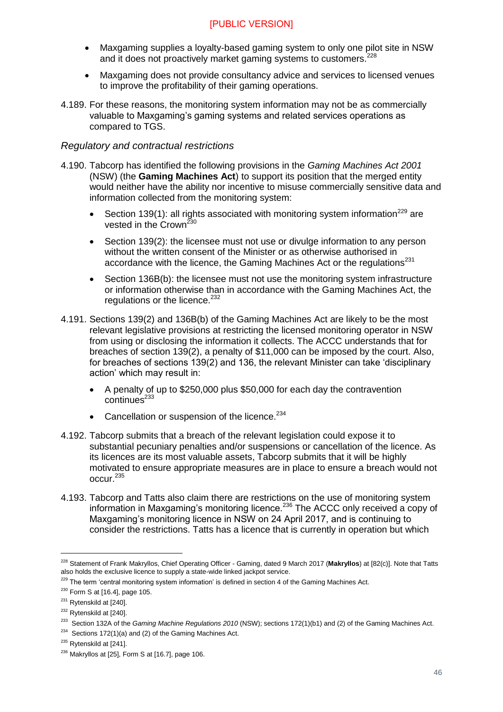- Maxgaming supplies a loyalty-based gaming system to only one pilot site in NSW and it does not proactively market gaming systems to customers.<sup>228</sup>
- Maxgaming does not provide consultancy advice and services to licensed venues to improve the profitability of their gaming operations.
- 4.189. For these reasons, the monitoring system information may not be as commercially valuable to Maxgaming's gaming systems and related services operations as compared to TGS.

#### *Regulatory and contractual restrictions*

- 4.190. Tabcorp has identified the following provisions in the *Gaming Machines Act 2001* (NSW) (the **Gaming Machines Act**) to support its position that the merged entity would neither have the ability nor incentive to misuse commercially sensitive data and information collected from the monitoring system:
	- Section 139(1): all rights associated with monitoring system information<sup>229</sup> are vested in the Crown<sup>230</sup>
	- Section 139(2): the licensee must not use or divulge information to any person without the written consent of the Minister or as otherwise authorised in accordance with the licence, the Gaming Machines Act or the regulations $^{231}$
	- Section 136B(b): the licensee must not use the monitoring system infrastructure or information otherwise than in accordance with the Gaming Machines Act, the regulations or the licence.<sup>232</sup>
- 4.191. Sections 139(2) and 136B(b) of the Gaming Machines Act are likely to be the most relevant legislative provisions at restricting the licensed monitoring operator in NSW from using or disclosing the information it collects. The ACCC understands that for breaches of section 139(2), a penalty of \$11,000 can be imposed by the court. Also, for breaches of sections 139(2) and 136, the relevant Minister can take 'disciplinary action' which may result in:
	- A penalty of up to \$250,000 plus \$50,000 for each day the contravention  $\text{continu}\text{es}^{233}$
	- Cancellation or suspension of the licence. $234$
- 4.192. Tabcorp submits that a breach of the relevant legislation could expose it to substantial pecuniary penalties and/or suspensions or cancellation of the licence. As its licences are its most valuable assets, Tabcorp submits that it will be highly motivated to ensure appropriate measures are in place to ensure a breach would not occur.<sup>235</sup>
- 4.193. Tabcorp and Tatts also claim there are restrictions on the use of monitoring system information in Maxgaming's monitoring licence.<sup>236</sup> The ACCC only received a copy of Maxgaming's monitoring licence in NSW on 24 April 2017, and is continuing to consider the restrictions. Tatts has a licence that is currently in operation but which

<sup>228</sup> Statement of Frank Makryllos, Chief Operating Officer - Gaming, dated 9 March 2017 (**Makryllos**) at [82(c)]. Note that Tatts also holds the exclusive licence to supply a state-wide linked jackpot service.

<sup>&</sup>lt;sup>229</sup> The term 'central monitoring system information' is defined in section 4 of the Gaming Machines Act.

 $230$  Form S at [16.4], page 105.

<sup>&</sup>lt;sup>231</sup> Rytenskild at [240].

<sup>&</sup>lt;sup>232</sup> Rytenskild at [240].

<sup>233</sup> Section 132A of the *Gaming Machine Regulations 2010* (NSW); sections 172(1)(b1) and (2) of the Gaming Machines Act.

<sup>&</sup>lt;sup>234</sup> Sections 172(1)(a) and (2) of the Gaming Machines Act.

<sup>&</sup>lt;sup>235</sup> Rvtenskild at [241].

 $236$  Makryllos at [25], Form S at [16.7], page 106.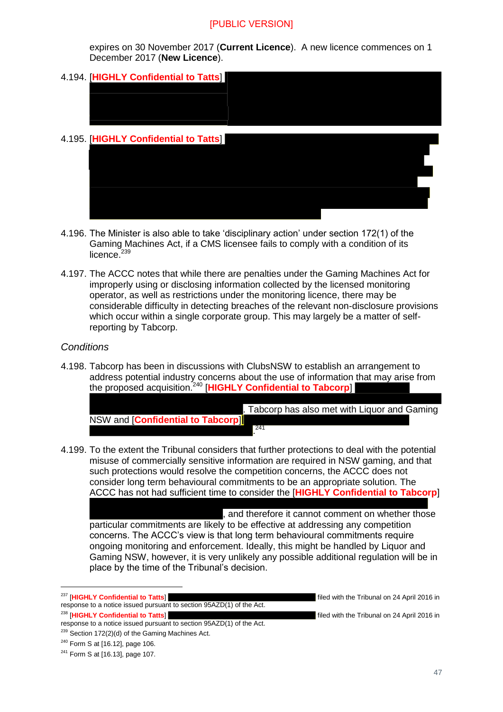expires on 30 November 2017 (**Current Licence**). A new licence commences on 1 December 2017 (**New Licence**).

- 4.194. [**HIGHLY Confidential to Tatts**] 4.195. [**HIGHLY Confidential to Tatts**]
- 4.196. The Minister is also able to take 'disciplinary action' under section 172(1) of the Gaming Machines Act, if a CMS licensee fails to comply with a condition of its licence. $239$
- 4.197. The ACCC notes that while there are penalties under the Gaming Machines Act for improperly using or disclosing information collected by the licensed monitoring operator, as well as restrictions under the monitoring licence, there may be considerable difficulty in detecting breaches of the relevant non-disclosure provisions which occur within a single corporate group. This may largely be a matter of selfreporting by Tabcorp.

#### *Conditions*

4.198. Tabcorp has been in discussions with ClubsNSW to establish an arrangement to address potential industry concerns about the use of information that may arise from the proposed acquisition.<sup>240</sup> [**HIGHLY Confidential to Tabcorp**]

|                                   |     | Tabcorp has also met with Liquor and Gaming |  |
|-----------------------------------|-----|---------------------------------------------|--|
| NSW and [Confidential to Tabcorp] |     |                                             |  |
|                                   | 241 |                                             |  |

4.199. To the extent the Tribunal considers that further protections to deal with the potential misuse of commercially sensitive information are required in NSW gaming, and that such protections would resolve the competition concerns, the ACCC does not consider long term behavioural commitments to be an appropriate solution. The ACCC has not had sufficient time to consider the [**HIGHLY Confidential to Tabcorp**]

, and therefore it cannot comment on whether those particular commitments are likely to be effective at addressing any competition concerns. The ACCC's view is that long term behavioural commitments require ongoing monitoring and enforcement. Ideally, this might be handled by Liquor and Gaming NSW, however, it is very unlikely any possible additional regulation will be in place by the time of the Tribunal's decision.

<sup>238</sup> [HIGHLY Confidential to Tatts] **Example 2016** filed with the Tribunal on 24 April 2016 in

<sup>&</sup>lt;sup>237</sup> [HIGHLY Confidential to Tatts] **Example 2016** filed with the Tribunal on 24 April 2016 in response to a notice issued pursuant to section 95AZD(1) of the Act.

response to a notice issued pursuant to section 95AZD(1) of the Act.  $239$  Section 172(2)(d) of the Gaming Machines Act.

<sup>240</sup> Form S at [16.12], page 106.

<sup>241</sup> Form S at [16.13], page 107.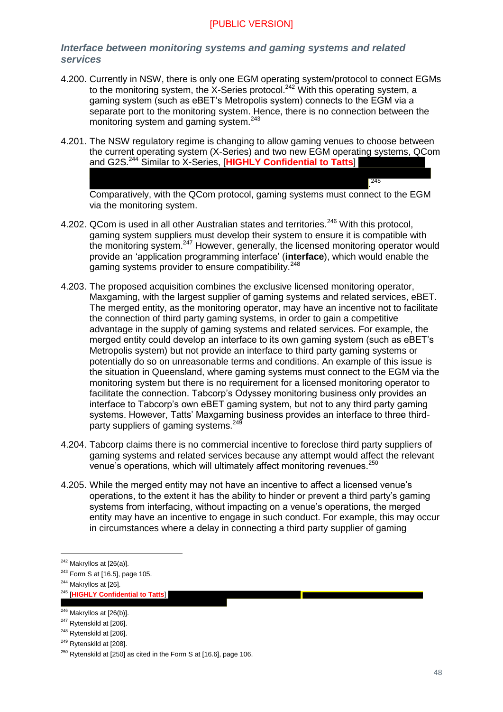#### *Interface between monitoring systems and gaming systems and related services*

- 4.200. Currently in NSW, there is only one EGM operating system/protocol to connect EGMs to the monitoring system, the X-Series protocol.<sup>242</sup> With this operating system, a gaming system (such as eBET's Metropolis system) connects to the EGM via a separate port to the monitoring system. Hence, there is no connection between the monitoring system and gaming system.<sup>243</sup>
- 4.201. The NSW regulatory regime is changing to allow gaming venues to choose between the current operating system (X-Series) and two new EGM operating systems, QCom and G2S. <sup>244</sup> Similar to X-Series, [**HIGHLY Confidential to Tatts**]

. 245 Comparatively, with the QCom protocol, gaming systems must connect to the EGM via the monitoring system.

- 4.202. QCom is used in all other Australian states and territories.<sup>246</sup> With this protocol. gaming system suppliers must develop their system to ensure it is compatible with the monitoring system.<sup>247</sup> However, generally, the licensed monitoring operator would provide an 'application programming interface' (**interface**), which would enable the gaming systems provider to ensure compatibility.<sup>248</sup>
- 4.203. The proposed acquisition combines the exclusive licensed monitoring operator, Maxgaming, with the largest supplier of gaming systems and related services, eBET. The merged entity, as the monitoring operator, may have an incentive not to facilitate the connection of third party gaming systems, in order to gain a competitive advantage in the supply of gaming systems and related services. For example, the merged entity could develop an interface to its own gaming system (such as eBET's Metropolis system) but not provide an interface to third party gaming systems or potentially do so on unreasonable terms and conditions. An example of this issue is the situation in Queensland, where gaming systems must connect to the EGM via the monitoring system but there is no requirement for a licensed monitoring operator to facilitate the connection. Tabcorp's Odyssey monitoring business only provides an interface to Tabcorp's own eBET gaming system, but not to any third party gaming systems. However, Tatts' Maxgaming business provides an interface to three thirdparty suppliers of gaming systems.<sup>249</sup>
- 4.204. Tabcorp claims there is no commercial incentive to foreclose third party suppliers of gaming systems and related services because any attempt would affect the relevant venue's operations, which will ultimately affect monitoring revenues.<sup>250</sup>
- 4.205. While the merged entity may not have an incentive to affect a licensed venue's operations, to the extent it has the ability to hinder or prevent a third party's gaming systems from interfacing, without impacting on a venue's operations, the merged entity may have an incentive to engage in such conduct. For example, this may occur in circumstances where a delay in connecting a third party supplier of gaming

 $242$  Makryllos at [26(a)].

 $243$  Form S at [16.5], page 105.

<sup>&</sup>lt;sup>244</sup> Makryllos at [26].

<sup>245</sup> [**HIGHLY Confidential to Tatts**]

 $246$  Makryllos at  $[26(b)]$ .

<sup>&</sup>lt;sup>247</sup> Rytenskild at [206].

<sup>&</sup>lt;sup>248</sup> Rytenskild at [206].

<sup>&</sup>lt;sup>249</sup> Rytenskild at [208].

 $250$  Rytenskild at [250] as cited in the Form S at [16.6], page 106.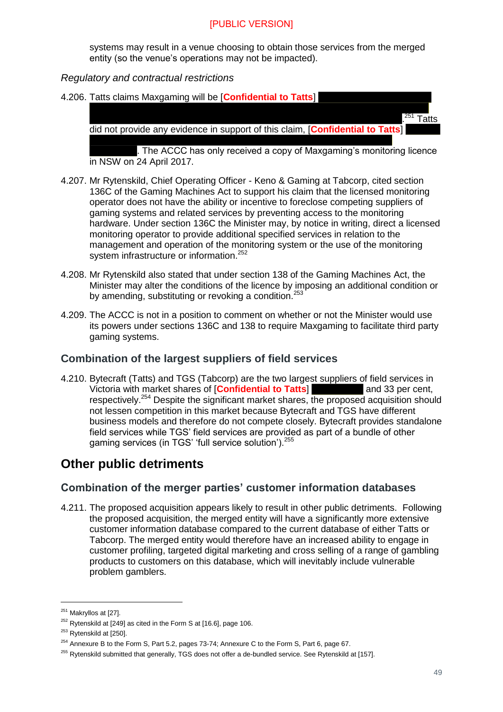systems may result in a venue choosing to obtain those services from the merged entity (so the venue's operations may not be impacted).

#### *Regulatory and contractual restrictions*

4.206. Tatts claims Maxgaming will be [**Confidential to Tatts**]  $^{251}$  Tatts did not provide any evidence in support of this claim, [**Confidential to Tatts**]

. The ACCC has only received a copy of Maxgaming's monitoring licence in NSW on 24 April 2017.

- 4.207. Mr Rytenskild, Chief Operating Officer Keno & Gaming at Tabcorp, cited section 136C of the Gaming Machines Act to support his claim that the licensed monitoring operator does not have the ability or incentive to foreclose competing suppliers of gaming systems and related services by preventing access to the monitoring hardware. Under section 136C the Minister may, by notice in writing, direct a licensed monitoring operator to provide additional specified services in relation to the management and operation of the monitoring system or the use of the monitoring system infrastructure or information.<sup>252</sup>
- 4.208. Mr Rytenskild also stated that under section 138 of the Gaming Machines Act, the Minister may alter the conditions of the licence by imposing an additional condition or by amending, substituting or revoking a condition.<sup>253</sup>
- 4.209. The ACCC is not in a position to comment on whether or not the Minister would use its powers under sections 136C and 138 to require Maxgaming to facilitate third party gaming systems.

#### <span id="page-48-0"></span>**Combination of the largest suppliers of field services**

4.210. Bytecraft (Tatts) and TGS (Tabcorp) are the two largest suppliers of field services in Victoria with market shares of **[Confidential to Tatts**] and 33 per cent, respectively.<sup>254</sup> Despite the significant market shares, the proposed acquisition should not lessen competition in this market because Bytecraft and TGS have different business models and therefore do not compete closely. Bytecraft provides standalone field services while TGS' field services are provided as part of a bundle of other gaming services (in TGS' 'full service solution').<sup>255</sup>

## <span id="page-48-1"></span>**Other public detriments**

#### <span id="page-48-2"></span>**Combination of the merger parties' customer information databases**

4.211. The proposed acquisition appears likely to result in other public detriments. Following the proposed acquisition, the merged entity will have a significantly more extensive customer information database compared to the current database of either Tatts or Tabcorp. The merged entity would therefore have an increased ability to engage in customer profiling, targeted digital marketing and cross selling of a range of gambling products to customers on this database, which will inevitably include vulnerable problem gamblers.

<sup>&</sup>lt;sup>251</sup> Makryllos at [27].

 $252$  Rytenskild at [249] as cited in the Form S at [16.6], page 106.

<sup>&</sup>lt;sup>253</sup> Rytenskild at [250].

<sup>&</sup>lt;sup>254</sup> Annexure B to the Form S, Part 5.2, pages 73-74; Annexure C to the Form S, Part 6, page 67.

<sup>&</sup>lt;sup>255</sup> Rytenskild submitted that generally, TGS does not offer a de-bundled service. See Rytenskild at [157].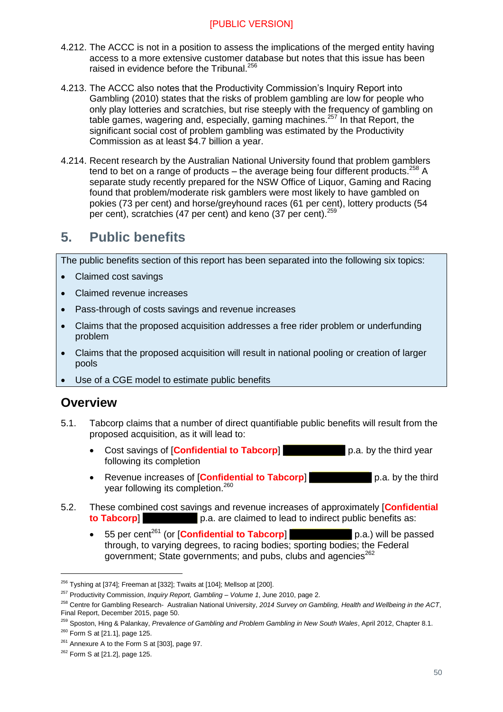- 4.212. The ACCC is not in a position to assess the implications of the merged entity having access to a more extensive customer database but notes that this issue has been raised in evidence before the Tribunal.<sup>256</sup>
- 4.213. The ACCC also notes that the Productivity Commission's Inquiry Report into Gambling (2010) states that the risks of problem gambling are low for people who only play lotteries and scratchies, but rise steeply with the frequency of gambling on table games, wagering and, especially, gaming machines.<sup>257</sup> In that Report, the significant social cost of problem gambling was estimated by the Productivity Commission as at least \$4.7 billion a year.
- 4.214. Recent research by the Australian National University found that problem gamblers tend to bet on a range of products – the average being four different products.<sup>258</sup> A separate study recently prepared for the NSW Office of Liquor, Gaming and Racing found that problem/moderate risk gamblers were most likely to have gambled on pokies (73 per cent) and horse/greyhound races (61 per cent), lottery products (54 per cent), scratchies (47 per cent) and keno (37 per cent).<sup>259</sup>

## <span id="page-49-0"></span>**5. Public benefits**

The public benefits section of this report has been separated into the following six topics:

- Claimed cost savings
- Claimed revenue increases
- Pass-through of costs savings and revenue increases
- Claims that the proposed acquisition addresses a free rider problem or underfunding problem
- Claims that the proposed acquisition will result in national pooling or creation of larger pools
- Use of a CGE model to estimate public benefits

### <span id="page-49-1"></span>**Overview**

- 5.1. Tabcorp claims that a number of direct quantifiable public benefits will result from the proposed acquisition, as it will lead to:
	- Cost savings of **Confidential to Tabcorp p.a.** by the third year following its completion
	- Revenue increases of [**Confidential to Tabcorp**] p.a. by the third year following its completion.<sup>260</sup>
- 5.2. These combined cost savings and revenue increases of approximately [**Confidential to Tabcorp b.a.** are claimed to lead to indirect public benefits as:
	- 55 per cent<sup>261</sup> (or **[Confidential to Tabcorp]** p.a.) will be passed through, to varying degrees, to racing bodies; sporting bodies; the Federal government; State governments; and pubs, clubs and agencies<sup>262</sup>

<sup>&</sup>lt;sup>256</sup> Tyshing at [374]; Freeman at [332]; Twaits at [104]; Mellsop at [200].

<sup>257</sup> Productivity Commission, *Inquiry Report, Gambling – Volume 1*, June 2010, page 2.

<sup>258</sup> Centre for Gambling Research- Australian National University, *2014 Survey on Gambling, Health and Wellbeing in the ACT*, Final Report, December 2015, page 50.

<sup>259</sup> Sposton, Hing & Palankay, *Prevalence of Gambling and Problem Gambling in New South Wales*, April 2012, Chapter 8.1.

 $260$  Form S at [21.1], page 125.

<sup>&</sup>lt;sup>261</sup> Annexure A to the Form S at [303], page 97.

<sup>262</sup> Form S at [21.2], page 125.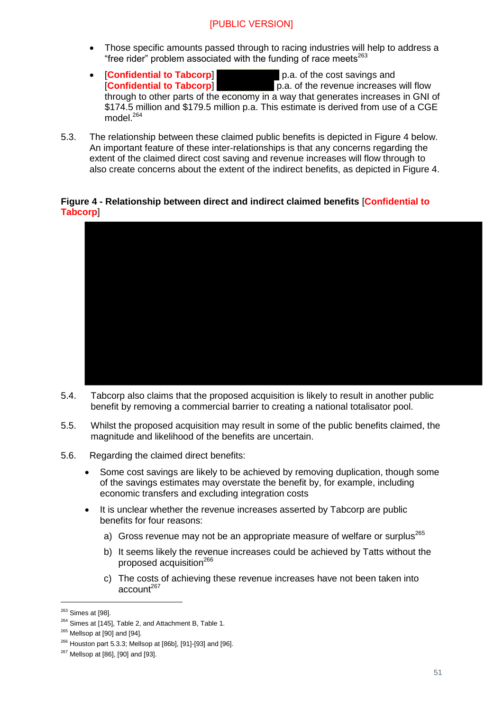- Those specific amounts passed through to racing industries will help to address a "free rider" problem associated with the funding of race meets $^{263}$
- **[Confidential to Tabcorp]** p.a. of the cost savings and **Confidential to Tabcorp**] **p.a.** of the revenue increases p.a. of the revenue increases will flow through to other parts of the economy in a way that generates increases in GNI of \$174.5 million and \$179.5 million p.a. This estimate is derived from use of a CGE model.<sup>264</sup>
- 5.3. The relationship between these claimed public benefits is depicted in Figure 4 below. An important feature of these inter-relationships is that any concerns regarding the extent of the claimed direct cost saving and revenue increases will flow through to also create concerns about the extent of the indirect benefits, as depicted in Figure 4.

#### **Figure 4 - Relationship between direct and indirect claimed benefits** [**Confidential to Tabcorp**]



- 5.4. Tabcorp also claims that the proposed acquisition is likely to result in another public benefit by removing a commercial barrier to creating a national totalisator pool.
- 5.5. Whilst the proposed acquisition may result in some of the public benefits claimed, the magnitude and likelihood of the benefits are uncertain.
- 5.6. Regarding the claimed direct benefits:
	- Some cost savings are likely to be achieved by removing duplication, though some of the savings estimates may overstate the benefit by, for example, including economic transfers and excluding integration costs
	- It is unclear whether the revenue increases asserted by Tabcorp are public benefits for four reasons:
		- a) Gross revenue may not be an appropriate measure of welfare or surplus<sup>265</sup>
		- b) It seems likely the revenue increases could be achieved by Tatts without the proposed acquisition<sup>266</sup>
		- c) The costs of achieving these revenue increases have not been taken into  $\arccos 10^{1267}$

<sup>&</sup>lt;sup>263</sup> Simes at [98].

<sup>&</sup>lt;sup>264</sup> Simes at [145], Table 2, and Attachment B, Table 1.

 $265$  Mellsop at [90] and [94].

<sup>266</sup> Houston part 5.3.3; Mellsop at [86b], [91]-[93] and [96].

<sup>267</sup> Mellsop at [86], [90] and [93].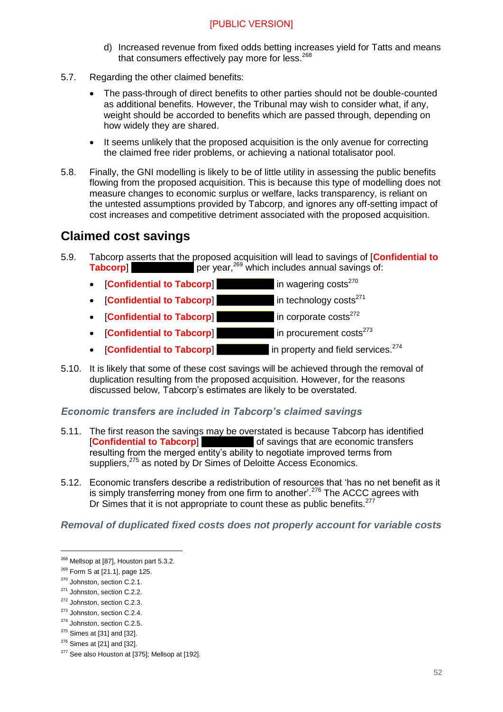- d) Increased revenue from fixed odds betting increases yield for Tatts and means that consumers effectively pay more for less. $268$
- 5.7. Regarding the other claimed benefits:
	- The pass-through of direct benefits to other parties should not be double-counted as additional benefits. However, the Tribunal may wish to consider what, if any, weight should be accorded to benefits which are passed through, depending on how widely they are shared.
	- It seems unlikely that the proposed acquisition is the only avenue for correcting the claimed free rider problems, or achieving a national totalisator pool.
- 5.8. Finally, the GNI modelling is likely to be of little utility in assessing the public benefits flowing from the proposed acquisition. This is because this type of modelling does not measure changes to economic surplus or welfare, lacks transparency, is reliant on the untested assumptions provided by Tabcorp, and ignores any off-setting impact of cost increases and competitive detriment associated with the proposed acquisition.

## <span id="page-51-0"></span>**Claimed cost savings**

- <span id="page-51-1"></span>5.9. Tabcorp asserts that the proposed acquisition will lead to savings of [**Confidential to Tabcorp experience** with the proposed dequisition will lead to savings of **corposed** per year,<sup>269</sup> which includes annual savings of:
	- **[Confidential to Tabcorp]** in wagering costs<sup>270</sup>
	- **[Confidential to Tabcorp]** in technology costs<sup>271</sup>
	- **Confidential to Tabcorp in corporate costs**<sup>272</sup>
	- **Confidential to Tabcorp in procurement costs<sup>273</sup>**
	- **[Confidential to Tabcorp]** in property and field services.<sup>274</sup>
- 5.10. It is likely that some of these cost savings will be achieved through the removal of duplication resulting from the proposed acquisition. However, for the reasons discussed below, Tabcorp's estimates are likely to be overstated.

#### *Economic transfers are included in Tabcorp's claimed savings*

- 5.11. The first reason the savings may be overstated is because Tabcorp has identified [**Confidential to Tabcorp**] of savings that are economic transfers resulting from the merged entity's ability to negotiate improved terms from suppliers,<sup>275</sup> as noted by Dr Simes of Deloitte Access Economics.
- 5.12. Economic transfers describe a redistribution of resources that 'has no net benefit as it is simply transferring money from one firm to another'.<sup>276</sup> The ACCC agrees with Dr Simes that it is not appropriate to count these as public benefits.<sup>277</sup>

#### *Removal of duplicated fixed costs does not properly account for variable costs*

<sup>&</sup>lt;sup>268</sup> Mellsop at [87], Houston part 5.3.2.

 $269$  Form S at [21.1], page 125.

<sup>270</sup> Johnston, section C.2.1.

<sup>271</sup> Johnston, section C.2.2.

<sup>272</sup> Johnston, section C.2.3.

<sup>&</sup>lt;sup>273</sup> Johnston, section C.2.4.

<sup>274</sup> Johnston, section C.2.5.

<sup>275</sup> Simes at [31] and [32].

<sup>276</sup> Simes at [21] and [32].

<sup>&</sup>lt;sup>277</sup> See also Houston at [375]; Mellsop at [192].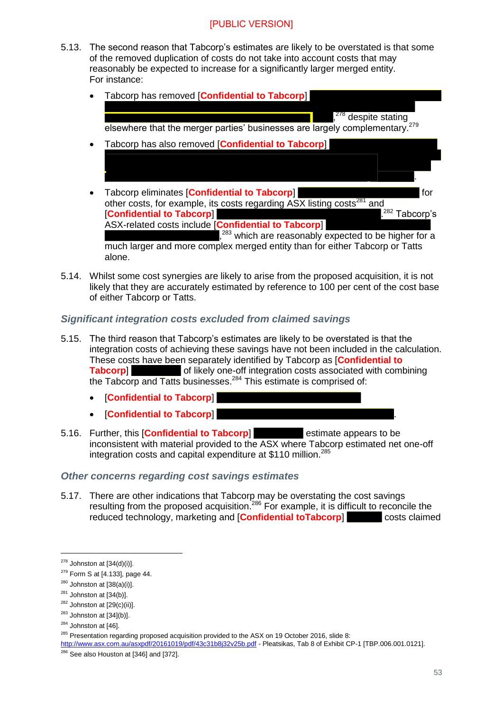- 5.13. The second reason that Tabcorp's estimates are likely to be overstated is that some of the removed duplication of costs do not take into account costs that may reasonably be expected to increase for a significantly larger merged entity. For instance:
	- Tabcorp has removed [**Confidential to Tabcorp**] , <sup>278</sup> despite stating elsewhere that the merger parties' businesses are largely complementary.<sup>279</sup> Tabcorp has also removed [**Confidential to Tabcorp**] .
	- Tabcorp eliminates **Confidential to Tabcorp** other costs, for example, its costs regarding ASX listing costs<sup>281</sup> and [**Confidential to Tabcorp**] .  $282$  Tabcorp's ASX-related costs include [**Confidential to Tabcorp**] ,<sup>283</sup> which are reasonably expected to be higher for a much larger and more complex merged entity than for either Tabcorp or Tatts alone.
- 5.14. Whilst some cost synergies are likely to arise from the proposed acquisition, it is not likely that they are accurately estimated by reference to 100 per cent of the cost base of either Tabcorp or Tatts.

#### *Significant integration costs excluded from claimed savings*

- 5.15. The third reason that Tabcorp's estimates are likely to be overstated is that the integration costs of achieving these savings have not been included in the calculation. These costs have been separately identified by Tabcorp as [**Confidential to Tabcorp**] of likely one-off integration costs associated with combining the Tabcorp and Tatts businesses.<sup>284</sup> This estimate is comprised of:
	- [**Confidential to Tabcorp**]
	- [**Confidential to Tabcorp**] .
- 5.16. Further, this [**Confidential to Tabcorp**] estimate appears to be inconsistent with material provided to the ASX where Tabcorp estimated net one-off integration costs and capital expenditure at \$110 million.<sup>285</sup>

#### *Other concerns regarding cost savings estimates*

5.17. There are other indications that Tabcorp may be overstating the cost savings resulting from the proposed acquisition.<sup>286</sup> For example, it is difficult to reconcile the reduced technology, marketing and [**Confidential toTabcorp**] costs claimed

-

<http://www.asx.com.au/asxpdf/20161019/pdf/43c31b8j32v25b.pdf> - Pleatsikas, Tab 8 of Exhibit CP-1 [TBP.006.001.0121].

 $278$  Johnston at [34(d)(i)].

 $279$  Form S at [4.133], page 44.

 $280$  Johnston at  $[38(a)(i)].$ 

 $281$  Johnston at [34(b)].

 $282$  Johnston at [29(c)(ii)].

 $283$  Johnston at [34](b)].

 $284$  Johnston at [46].

<sup>&</sup>lt;sup>285</sup> Presentation regarding proposed acquisition provided to the ASX on 19 October 2016, slide 8:

 $286$  See also Houston at [346] and [372].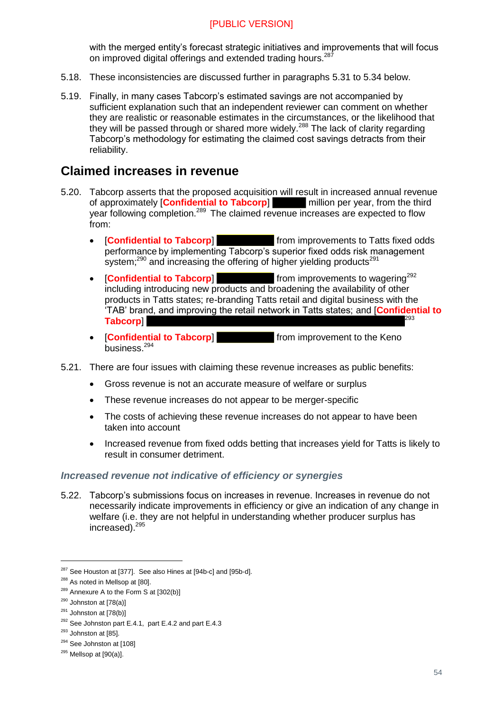with the merged entity's forecast strategic initiatives and improvements that will focus on improved digital offerings and extended trading hours.<sup>287</sup>

- 5.18. These inconsistencies are discussed further in paragraphs [5.31](#page-55-0) to [5.34](#page-55-1) below.
- 5.19. Finally, in many cases Tabcorp's estimated savings are not accompanied by sufficient explanation such that an independent reviewer can comment on whether they are realistic or reasonable estimates in the circumstances, or the likelihood that they will be passed through or shared more widely.<sup>288</sup> The lack of clarity regarding Tabcorp's methodology for estimating the claimed cost savings detracts from their reliability.

## <span id="page-53-0"></span>**Claimed increases in revenue**

- 5.20. Tabcorp asserts that the proposed acquisition will result in increased annual revenue of approximately [**Confidential to Tabcorp**] million per year, from the third year following completion.<sup>289</sup> The claimed revenue increases are expected to flow from:
	- **• [Confidential to Tabcorp] from improvements to Tatts fixed odds** performance by implementing Tabcorp's superior fixed odds risk management system; $^{290}$  and increasing the offering of higher yielding products $^{291}$
	- **Confidential to Tabcorp Exercise 1** from improvements to wagering<sup>292</sup> including introducing new products and broadening the availability of other products in Tatts states; re-branding Tatts retail and digital business with the 'TAB' brand, and improving the retail network in Tatts states; and [**Confidential to Tabcorp**] 293
	- **Confidential to Tabcorp Exercise 1** from improvement to the Keno business.<sup>294</sup>
- 5.21. There are four issues with claiming these revenue increases as public benefits:
	- Gross revenue is not an accurate measure of welfare or surplus
	- These revenue increases do not appear to be merger-specific
	- The costs of achieving these revenue increases do not appear to have been taken into account
	- Increased revenue from fixed odds betting that increases yield for Tatts is likely to result in consumer detriment.

#### *Increased revenue not indicative of efficiency or synergies*

5.22. Tabcorp's submissions focus on increases in revenue. Increases in revenue do not necessarily indicate improvements in efficiency or give an indication of any change in welfare (i.e. they are not helpful in understanding whether producer surplus has increased).<sup>295</sup>

<sup>&</sup>lt;sup>287</sup> See Houston at [377]. See also Hines at [94b-c] and [95b-d].

<sup>&</sup>lt;sup>288</sup> As noted in Mellsop at [80].

 $289$  Annexure A to the Form S at [302(b)]

 $290$  Johnston at [78(a)]

 $291$  Johnston at [78(b)]

<sup>&</sup>lt;sup>292</sup> See Johnston part E.4.1, part E.4.2 and part E.4.3

<sup>&</sup>lt;sup>293</sup> Johnston at [85].

<sup>&</sup>lt;sup>294</sup> See Johnston at [108]

 $295$  Mellsop at [90(a)].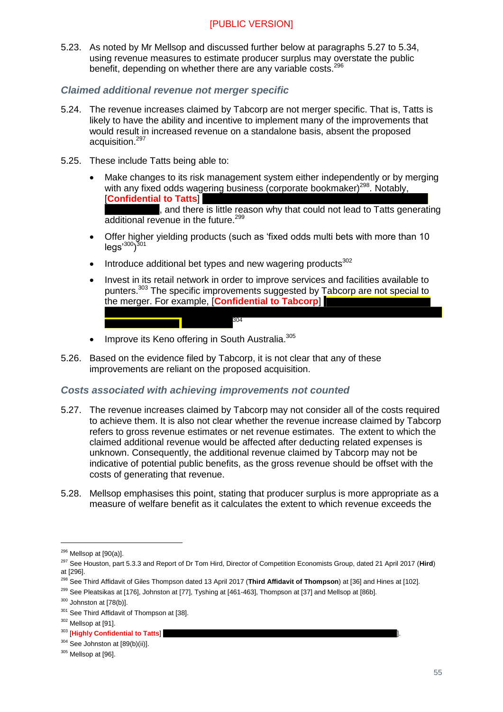5.23. As noted by Mr Mellsop and discussed further below at paragraphs [5.27](#page-54-0) to [5.34,](#page-55-1) using revenue measures to estimate producer surplus may overstate the public benefit, depending on whether there are any variable costs.<sup>296</sup>

#### *Claimed additional revenue not merger specific*

- 5.24. The revenue increases claimed by Tabcorp are not merger specific. That is, Tatts is likely to have the ability and incentive to implement many of the improvements that would result in increased revenue on a standalone basis, absent the proposed acquisition.<sup>297</sup>
- 5.25. These include Tatts being able to:
	- Make changes to its risk management system either independently or by merging with any fixed odds wagering business (corporate bookmaker)<sup>298</sup>. Notably, [**Confidential to Tatts**]

, and there is little reason why that could not lead to Tatts generating additional revenue in the future.<sup>299</sup>

- Offer higher yielding products (such as 'fixed odds multi bets with more than 10 legs'<sup>300</sup>)<sup>301</sup>
- $\bullet$  Introduce additional bet types and new wagering products<sup>302</sup>
- Invest in its retail network in order to improve services and facilities available to punters.<sup>303</sup> The specific improvements suggested by Tabcorp are not special to the merger. For example, [**Confidential to Tabcorp**]
- Improve its Keno offering in South Australia.<sup>305</sup>
- 5.26. Based on the evidence filed by Tabcorp, it is not clear that any of these improvements are reliant on the proposed acquisition.

304

#### *Costs associated with achieving improvements not counted*

- <span id="page-54-0"></span>5.27. The revenue increases claimed by Tabcorp may not consider all of the costs required to achieve them. It is also not clear whether the revenue increase claimed by Tabcorp refers to gross revenue estimates or net revenue estimates. The extent to which the claimed additional revenue would be affected after deducting related expenses is unknown. Consequently, the additional revenue claimed by Tabcorp may not be indicative of potential public benefits, as the gross revenue should be offset with the costs of generating that revenue.
- 5.28. Mellsop emphasises this point, stating that producer surplus is more appropriate as a measure of welfare benefit as it calculates the extent to which revenue exceeds the

 $296$  Mellsop at  $[90(a)]$ .

<sup>297</sup> See Houston, part 5.3.3 and Report of Dr Tom Hird, Director of Competition Economists Group, dated 21 April 2017 (**Hird**) at [296].

<sup>&</sup>lt;sup>298</sup> See Third Affidavit of Giles Thompson dated 13 April 2017 (**Third Affidavit of Thompson**) at [36] and Hines at [102].

<sup>&</sup>lt;sup>299</sup> See Pleatsikas at [176], Johnston at [77], Tyshing at [461-463], Thompson at [37] and Mellsop at [86b].

 $300$  Johnston at [78(b)].

<sup>&</sup>lt;sup>301</sup> See Third Affidavit of Thompson at [38].

<sup>302</sup> Mellsop at [91].

<sup>&</sup>lt;sup>303</sup> [Highly Confidential to Tatts]

 $304$  See Johnston at  $[89(b)(ii)].$ 

<sup>&</sup>lt;sup>305</sup> Mellsop at [96].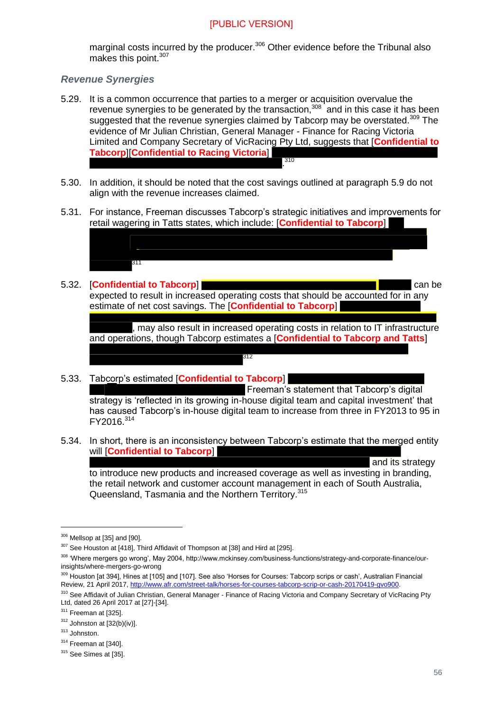marginal costs incurred by the producer.<sup>306</sup> Other evidence before the Tribunal also makes this point.<sup>307</sup>

#### *Revenue Synergies*

- 5.29. It is a common occurrence that parties to a merger or acquisition overvalue the revenue synergies to be generated by the transaction,  $308$  and in this case it has been suggested that the revenue synergies claimed by Tabcorp may be overstated.<sup>309</sup> The evidence of Mr Julian Christian, General Manager - Finance for Racing Victoria Limited and Company Secretary of VicRacing Pty Ltd, suggests that [**Confidential to Tabcorp**][**Confidential to Racing Victoria**] . 310
- 5.30. In addition, it should be noted that the cost savings outlined at paragraph [5.9](#page-51-1) do not align with the revenue increases claimed.
- <span id="page-55-0"></span>5.31. For instance, Freeman discusses Tabcorp's strategic initiatives and improvements for retail wagering in Tatts states, which include: [**Confidential to Tabcorp**]



#### 5.32. [**Confidential to Tabcorp**] can be

expected to result in increased operating costs that should be accounted for in any estimate of net cost savings. The [**Confidential to Tabcorp**]

, may also result in increased operating costs in relation to IT infrastructure and operations, though Tabcorp estimates a [**Confidential to Tabcorp and Tatts**]

5.33. Tabcorp's estimated [**Confidential to Tabcorp**]

 Freeman's statement that Tabcorp's digital strategy is 'reflected in its growing in-house digital team and capital investment' that has caused Tabcorp's in-house digital team to increase from three in FY2013 to 95 in  $FY2016.<sup>314</sup>$ 

<span id="page-55-1"></span>5.34. In short, there is an inconsistency between Tabcorp's estimate that the merged entity will [**Confidential to Tabcorp**]

312

 and its strategy to introduce new products and increased coverage as well as investing in branding, the retail network and customer account management in each of South Australia, Queensland, Tasmania and the Northern Territory.<sup>315</sup>

309 Houston [at 394], Hines at [105] and [107]. See also 'Horses for Courses: Tabcorp scrips or cash', Australian Financial Review, 21 April 2017[, http://www.afr.com/street-talk/horses-for-courses-tabcorp-scrip-or-cash-20170419-gvo900.](http://www.afr.com/street-talk/horses-for-courses-tabcorp-scrip-or-cash-20170419-gvo900)

<sup>306</sup> Mellsop at [35] and [90].

<sup>&</sup>lt;sup>307</sup> See Houston at [418], Third Affidavit of Thompson at [38] and Hird at [295].

<sup>308 &#</sup>x27;Where mergers go wrong', May 2004, http://www.mckinsey.com/business-functions/strategy-and-corporate-finance/ourinsights/where-mergers-go-wrong

<sup>&</sup>lt;sup>310</sup> See Affidavit of Julian Christian, General Manager - Finance of Racing Victoria and Company Secretary of VicRacing Pty Ltd, dated 26 April 2017 at [27]-[34].

 $311$  Freeman at [325].

 $312$  Johnston at [32(b)(iv)].

<sup>313</sup> Johnston.

<sup>314</sup> Freeman at [340].

<sup>&</sup>lt;sup>315</sup> See Simes at [35].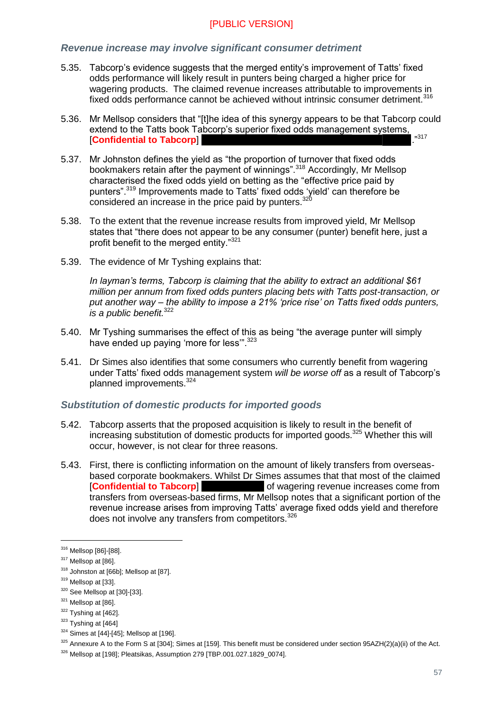#### *Revenue increase may involve significant consumer detriment*

- 5.35. Tabcorp's evidence suggests that the merged entity's improvement of Tatts' fixed odds performance will likely result in punters being charged a higher price for wagering products. The claimed revenue increases attributable to improvements in fixed odds performance cannot be achieved without intrinsic consumer detriment.<sup>316</sup>
- 5.36. Mr Mellsop considers that "[t]he idea of this synergy appears to be that Tabcorp could extend to the Tatts book Tabcorp's superior fixed odds management systems, **Confidential to Tabcorp**
- 5.37. Mr Johnston defines the yield as "the proportion of turnover that fixed odds bookmakers retain after the payment of winnings".<sup>318</sup> Accordingly, Mr Mellsop characterised the fixed odds yield on betting as the "effective price paid by punters".<sup>319</sup> Improvements made to Tatts' fixed odds 'yield' can therefore be considered an increase in the price paid by punters.<sup>32</sup>  $\overline{a}$
- 5.38. To the extent that the revenue increase results from improved yield, Mr Mellsop states that "there does not appear to be any consumer (punter) benefit here, just a profit benefit to the merged entity."<sup>321</sup>
- 5.39. The evidence of Mr Tyshing explains that:

*In layman's terms, Tabcorp is claiming that the ability to extract an additional \$61 million per annum from fixed odds punters placing bets with Tatts post-transaction, or put another way – the ability to impose a 21% 'price rise' on Tatts fixed odds punters, is a public benefit.*<sup>322</sup>

- 5.40. Mr Tyshing summarises the effect of this as being "the average punter will simply have ended up paying 'more for less"<sup>323</sup>
- 5.41. Dr Simes also identifies that some consumers who currently benefit from wagering under Tatts' fixed odds management system *will be worse off* as a result of Tabcorp's planned improvements.<sup>324</sup>

#### *Substitution of domestic products for imported goods*

- <span id="page-56-0"></span>5.42. Tabcorp asserts that the proposed acquisition is likely to result in the benefit of increasing substitution of domestic products for imported goods. $325$  Whether this will occur, however, is not clear for three reasons.
- 5.43. First, there is conflicting information on the amount of likely transfers from overseasbased corporate bookmakers. Whilst Dr Simes assumes that that most of the claimed **[Confidential to Tabcorp]** of wagering revenue increases come from transfers from overseas-based firms, Mr Mellsop notes that a significant portion of the revenue increase arises from improving Tatts' average fixed odds yield and therefore does not involve any transfers from competitors.<sup>326</sup>

<sup>316</sup> Mellsop [86]-[88].

<sup>&</sup>lt;sup>317</sup> Mellsop at [86].

<sup>318</sup> Johnston at [66b]; Mellsop at [87].

<sup>&</sup>lt;sup>319</sup> Mellsop at [33].

<sup>320</sup> See Mellsop at [30]-[33].

<sup>&</sup>lt;sup>321</sup> Mellsop at [86].

 $322$  Tyshing at [462].

 $323$  Tyshing at [464]

 $324$  Simes at [44]-[45]; Mellsop at [196].

<sup>325</sup> Annexure A to the Form S at [304]; Simes at [159]. This benefit must be considered under section 95AZH(2)(a)(ii) of the Act.

<sup>326</sup> Mellsop at [198]; Pleatsikas, Assumption 279 [TBP.001.027.1829\_0074].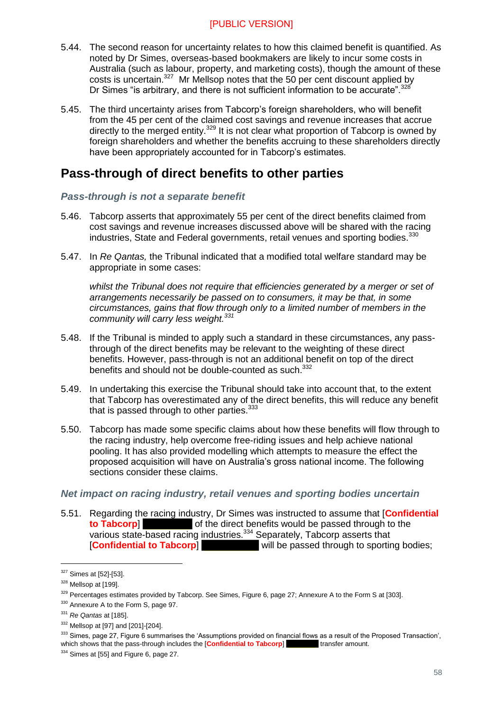- 5.44. The second reason for uncertainty relates to how this claimed benefit is quantified. As noted by Dr Simes, overseas-based bookmakers are likely to incur some costs in Australia (such as labour, property, and marketing costs), though the amount of these costs is uncertain.<sup>327</sup> Mr Mellsop notes that the 50 per cent discount applied by Dr Simes "is arbitrary, and there is not sufficient information to be accurate".<sup>328</sup>
- <span id="page-57-1"></span>5.45. The third uncertainty arises from Tabcorp's foreign shareholders, who will benefit from the 45 per cent of the claimed cost savings and revenue increases that accrue directly to the merged entity.<sup>329</sup> It is not clear what proportion of Tabcorp is owned by foreign shareholders and whether the benefits accruing to these shareholders directly have been appropriately accounted for in Tabcorp's estimates.

## <span id="page-57-0"></span>**Pass-through of direct benefits to other parties**

#### *Pass-through is not a separate benefit*

- 5.46. Tabcorp asserts that approximately 55 per cent of the direct benefits claimed from cost savings and revenue increases discussed above will be shared with the racing industries, State and Federal governments, retail venues and sporting bodies.<sup>330</sup>
- 5.47. In *Re Qantas,* the Tribunal indicated that a modified total welfare standard may be appropriate in some cases:

*whilst the Tribunal does not require that efficiencies generated by a merger or set of arrangements necessarily be passed on to consumers, it may be that, in some circumstances, gains that flow through only to a limited number of members in the community will carry less weight.<sup>331</sup>*

- 5.48. If the Tribunal is minded to apply such a standard in these circumstances, any passthrough of the direct benefits may be relevant to the weighting of these direct benefits. However, pass-through is not an additional benefit on top of the direct benefits and should not be double-counted as such.<sup>332</sup>
- 5.49. In undertaking this exercise the Tribunal should take into account that, to the extent that Tabcorp has overestimated any of the direct benefits, this will reduce any benefit that is passed through to other parties.<sup>333</sup>
- 5.50. Tabcorp has made some specific claims about how these benefits will flow through to the racing industry, help overcome free-riding issues and help achieve national pooling. It has also provided modelling which attempts to measure the effect the proposed acquisition will have on Australia's gross national income. The following sections consider these claims.

#### *Net impact on racing industry, retail venues and sporting bodies uncertain*

5.51. Regarding the racing industry, Dr Simes was instructed to assume that [**Confidential to Tabcorp become to Tabcorp** of the direct benefits would be passed through to the various state-based racing industries.<sup>334</sup> Separately, Tabcorp asserts that [**Confidential to Tabcorp**] will be passed through to sporting bodies;

<sup>327</sup> Simes at [52]-[53].

<sup>&</sup>lt;sup>328</sup> Mellsop at [199].

<sup>&</sup>lt;sup>329</sup> Percentages estimates provided by Tabcorp. See Simes, Figure 6, page 27; Annexure A to the Form S at [303].

<sup>330</sup> Annexure A to the Form S, page 97.

<sup>331</sup> *Re Qantas* at [185].

<sup>332</sup> Mellsop at [97] and [201]-[204].

<sup>&</sup>lt;sup>333</sup> Simes, page 27, Figure 6 summarises the 'Assumptions provided on financial flows as a result of the Proposed Transaction', which shows that the pass-through includes the **Confidential to Tabcorp** which shows that the pass-through includes the **[Confidential to Tabcorp]** 

<sup>334</sup> Simes at [55] and Figure 6, page 27.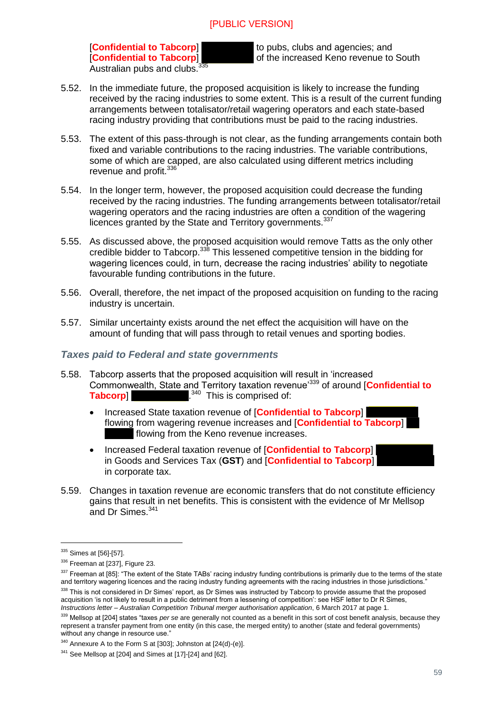Australian pubs and clubs.<sup>3</sup>

**[Confidential to Tabcorp]** to pubs, clubs and agencies; and **[Confidential to Tabcorp]** to pubs, clubs and agencies; and of the increased Keno revenue to South

- 5.52. In the immediate future, the proposed acquisition is likely to increase the funding received by the racing industries to some extent. This is a result of the current funding arrangements between totalisator/retail wagering operators and each state-based racing industry providing that contributions must be paid to the racing industries.
- 5.53. The extent of this pass-through is not clear, as the funding arrangements contain both fixed and variable contributions to the racing industries. The variable contributions, some of which are capped, are also calculated using different metrics including revenue and profit.<sup>336</sup>
- 5.54. In the longer term, however, the proposed acquisition could decrease the funding received by the racing industries. The funding arrangements between totalisator/retail wagering operators and the racing industries are often a condition of the wagering licences granted by the State and Territory governments.<sup>337</sup>
- 5.55. As discussed above, the proposed acquisition would remove Tatts as the only other credible bidder to Tabcorp.<sup>338</sup> This lessened competitive tension in the bidding for wagering licences could, in turn, decrease the racing industries' ability to negotiate favourable funding contributions in the future.
- 5.56. Overall, therefore, the net impact of the proposed acquisition on funding to the racing industry is uncertain.
- 5.57. Similar uncertainty exists around the net effect the acquisition will have on the amount of funding that will pass through to retail venues and sporting bodies.

#### *Taxes paid to Federal and state governments*

- 5.58. Tabcorp asserts that the proposed acquisition will result in 'increased Commonwealth, State and Territory taxation revenue'<sup>339</sup> of around [**Confidential to Tabcorp**] . <sup>340</sup> This is comprised of:
	- **Increased State taxation revenue of [Confidential to Tabcorp]** flowing from wagering revenue increases and [**Confidential to Tabcorp**] flowing from the Keno revenue increases.
	- Increased Federal taxation revenue of [**Confidential to Tabcorp**] in Goods and Services Tax (**GST**) and [**Confidential to Tabcorp**] in corporate tax.
- 5.59. Changes in taxation revenue are economic transfers that do not constitute efficiency gains that result in net benefits. This is consistent with the evidence of Mr Mellsop and Dr Simes.<sup>341</sup>

<sup>&</sup>lt;sup>335</sup> Simes at [56]-[57].

<sup>336</sup> Freeman at [237], Figure 23.

<sup>337</sup> Freeman at [85]: "The extent of the State TABs' racing industry funding contributions is primarily due to the terms of the state and territory wagering licences and the racing industry funding agreements with the racing industries in those jurisdictions."

<sup>338</sup> This is not considered in Dr Simes' report, as Dr Simes was instructed by Tabcorp to provide assume that the proposed acquisition 'is not likely to result in a public detriment from a lessening of competition': see HSF letter to Dr R Simes, *Instructions letter – Australian Competition Tribunal merger authorisation application*, 6 March 2017 at page 1.

<sup>&</sup>lt;sup>339</sup> Mellsop at [204] states "taxes *per se* are generally not counted as a benefit in this sort of cost benefit analysis, because they represent a transfer payment from one entity (in this case, the merged entity) to another (state and federal governments) without any change in resource use.'

 $340$  Annexure A to the Form S at [303]; Johnston at [24(d)-(e)].

 $341$  See Mellsop at [204] and Simes at [17]-[24] and [62].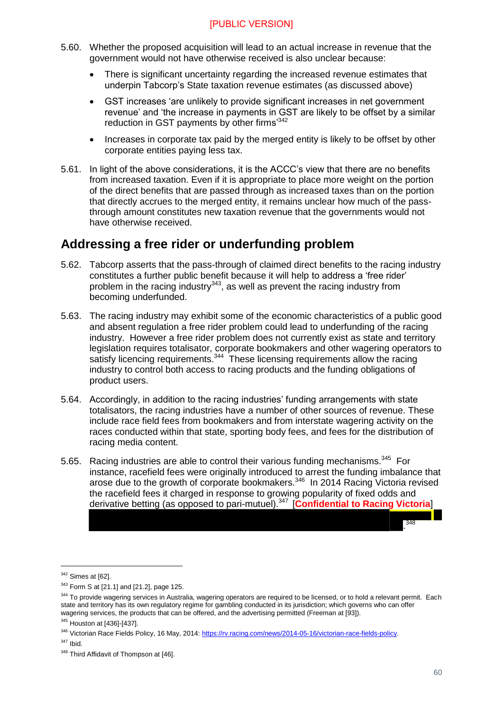- 5.60. Whether the proposed acquisition will lead to an actual increase in revenue that the government would not have otherwise received is also unclear because:
	- There is significant uncertainty regarding the increased revenue estimates that underpin Tabcorp's State taxation revenue estimates (as discussed above)
	- GST increases 'are unlikely to provide significant increases in net government revenue' and 'the increase in payments in GST are likely to be offset by a similar reduction in GST payments by other firms'<sup>342</sup>
	- Increases in corporate tax paid by the merged entity is likely to be offset by other corporate entities paying less tax.
- 5.61. In light of the above considerations, it is the ACCC's view that there are no benefits from increased taxation. Even if it is appropriate to place more weight on the portion of the direct benefits that are passed through as increased taxes than on the portion that directly accrues to the merged entity, it remains unclear how much of the passthrough amount constitutes new taxation revenue that the governments would not have otherwise received.

## <span id="page-59-0"></span>**Addressing a free rider or underfunding problem**

- 5.62. Tabcorp asserts that the pass-through of claimed direct benefits to the racing industry constitutes a further public benefit because it will help to address a 'free rider' problem in the racing industry $343$ , as well as prevent the racing industry from becoming underfunded.
- 5.63. The racing industry may exhibit some of the economic characteristics of a public good and absent regulation a free rider problem could lead to underfunding of the racing industry. However a free rider problem does not currently exist as state and territory legislation requires totalisator, corporate bookmakers and other wagering operators to satisfy licencing requirements.<sup>344</sup> These licensing requirements allow the racing industry to control both access to racing products and the funding obligations of product users.
- 5.64. Accordingly, in addition to the racing industries' funding arrangements with state totalisators, the racing industries have a number of other sources of revenue. These include race field fees from bookmakers and from interstate wagering activity on the races conducted within that state, sporting body fees, and fees for the distribution of racing media content.
- 5.65. Racing industries are able to control their various funding mechanisms.<sup>345</sup> For instance, racefield fees were originally introduced to arrest the funding imbalance that arose due to the growth of corporate bookmakers.<sup>346</sup> In 2014 Racing Victoria revised the racefield fees it charged in response to growing popularity of fixed odds and derivative betting (as opposed to pari-mutuel).<sup>347</sup> [**Confidential to Racing Victoria**]

-

. 348

 $342$  Simes at [62].

<sup>343</sup> Form S at [21.1] and [21.2], page 125.

<sup>344</sup> To provide wagering services in Australia, wagering operators are required to be licensed, or to hold a relevant permit. Each state and territory has its own regulatory regime for gambling conducted in its jurisdiction; which governs who can offer wagering services, the products that can be offered, and the advertising permitted (Freeman at [93]).

<sup>345</sup> Houston at [436]-[437].

<sup>&</sup>lt;sup>346</sup> Victorian Race Fields Policy, 16 May, 2014: [https://rv.racing.com/news/2014-05-16/victorian-race-fields-policy.](https://rv.racing.com/news/2014-05-16/victorian-race-fields-policy)

<sup>347</sup> Ibid.

<sup>348</sup> Third Affidavit of Thompson at [46].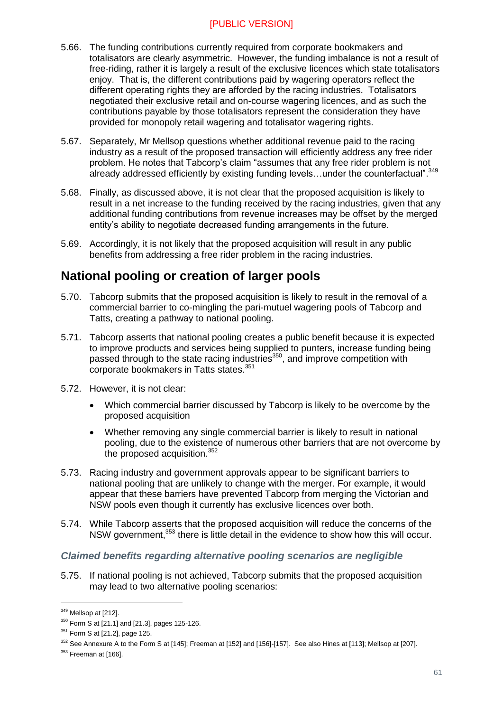- 5.66. The funding contributions currently required from corporate bookmakers and totalisators are clearly asymmetric. However, the funding imbalance is not a result of free-riding, rather it is largely a result of the exclusive licences which state totalisators enjoy. That is, the different contributions paid by wagering operators reflect the different operating rights they are afforded by the racing industries. Totalisators negotiated their exclusive retail and on-course wagering licences, and as such the contributions payable by those totalisators represent the consideration they have provided for monopoly retail wagering and totalisator wagering rights.
- 5.67. Separately, Mr Mellsop questions whether additional revenue paid to the racing industry as a result of the proposed transaction will efficiently address any free rider problem. He notes that Tabcorp's claim "assumes that any free rider problem is not already addressed efficiently by existing funding levels...under the counterfactual".<sup>349</sup>
- 5.68. Finally, as discussed above, it is not clear that the proposed acquisition is likely to result in a net increase to the funding received by the racing industries, given that any additional funding contributions from revenue increases may be offset by the merged entity's ability to negotiate decreased funding arrangements in the future.
- 5.69. Accordingly, it is not likely that the proposed acquisition will result in any public benefits from addressing a free rider problem in the racing industries.

## <span id="page-60-0"></span>**National pooling or creation of larger pools**

- 5.70. Tabcorp submits that the proposed acquisition is likely to result in the removal of a commercial barrier to co-mingling the pari-mutuel wagering pools of Tabcorp and Tatts, creating a pathway to national pooling.
- 5.71. Tabcorp asserts that national pooling creates a public benefit because it is expected to improve products and services being supplied to punters, increase funding being passed through to the state racing industries<sup>350</sup>, and improve competition with corporate bookmakers in Tatts states.<sup>351</sup>
- 5.72. However, it is not clear:
	- Which commercial barrier discussed by Tabcorp is likely to be overcome by the proposed acquisition
	- Whether removing any single commercial barrier is likely to result in national pooling, due to the existence of numerous other barriers that are not overcome by the proposed acquisition.<sup>352</sup>
- 5.73. Racing industry and government approvals appear to be significant barriers to national pooling that are unlikely to change with the merger. For example, it would appear that these barriers have prevented Tabcorp from merging the Victorian and NSW pools even though it currently has exclusive licences over both.
- 5.74. While Tabcorp asserts that the proposed acquisition will reduce the concerns of the NSW government,<sup>353</sup> there is little detail in the evidence to show how this will occur.

#### *Claimed benefits regarding alternative pooling scenarios are negligible*

5.75. If national pooling is not achieved, Tabcorp submits that the proposed acquisition may lead to two alternative pooling scenarios:

<sup>349</sup> Mellsop at [212].

 $350$  Form S at [21.1] and [21.3], pages 125-126.

<sup>351</sup> Form S at [21.2], page 125.

<sup>&</sup>lt;sup>352</sup> See Annexure A to the Form S at [145]; Freeman at [152] and [156]-[157]. See also Hines at [113]; Mellsop at [207].

 $353$  Freeman at [166].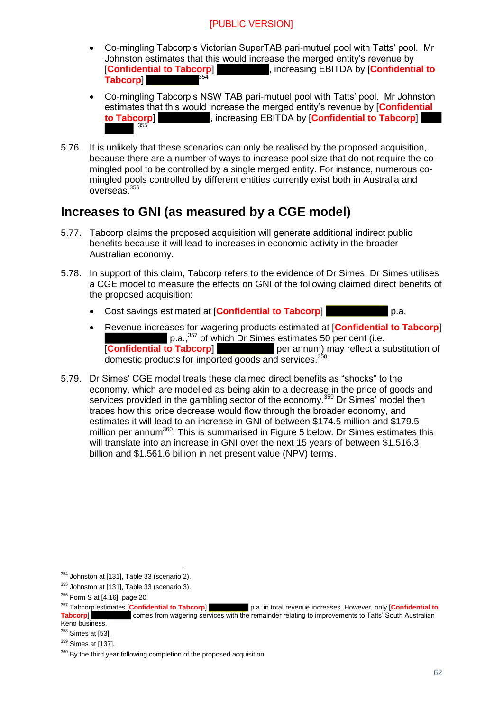- Co-mingling Tabcorp's Victorian SuperTAB pari-mutuel pool with Tatts' pool. Mr Johnston estimates that this would increase the merged entity's revenue by [**Confidential to Tabcorp**] , increasing EBITDA by [**Confidential to Tabcorp**] 354
- Co-mingling Tabcorp's NSW TAB pari-mutuel pool with Tatts' pool. Mr Johnston estimates that this would increase the merged entity's revenue by [**Confidential to Tabcorp**] , increasing EBITDA by [**Confidential to Tabcorp**] . .355
- 5.76. It is unlikely that these scenarios can only be realised by the proposed acquisition, because there are a number of ways to increase pool size that do not require the comingled pool to be controlled by a single merged entity. For instance, numerous comingled pools controlled by different entities currently exist both in Australia and overseas.<sup>356</sup>

## <span id="page-61-0"></span>**Increases to GNI (as measured by a CGE model)**

- 5.77. Tabcorp claims the proposed acquisition will generate additional indirect public benefits because it will lead to increases in economic activity in the broader Australian economy.
- 5.78. In support of this claim, Tabcorp refers to the evidence of Dr Simes. Dr Simes utilises a CGE model to measure the effects on GNI of the following claimed direct benefits of the proposed acquisition:
	- Cost savings estimated at [**Confidential to Tabcorp**] p.a.
	- Revenue increases for wagering products estimated at [**Confidential to Tabcorp**] p.a.,<sup>357</sup> of which Dr Simes estimates 50 per cent (i.e.<br>IConfidential to Tabcorp] per annum) may reflect a s per annum) may reflect a substitution of domestic products for imported goods and services.<sup>358</sup>
- 5.79. Dr Simes' CGE model treats these claimed direct benefits as "shocks" to the economy, which are modelled as being akin to a decrease in the price of goods and services provided in the gambling sector of the economy.<sup>359</sup> Dr Simes' model then traces how this price decrease would flow through the broader economy, and estimates it will lead to an increase in GNI of between \$174.5 million and \$179.5 million per annum<sup>360</sup>. This is summarised in Figure 5 below. Dr Simes estimates this will translate into an increase in GNI over the next 15 years of between \$1.516.3 billion and \$1.561.6 billion in net present value (NPV) terms.

<sup>354</sup> Johnston at [131], Table 33 (scenario 2).

<sup>&</sup>lt;sup>355</sup> Johnston at [131], Table 33 (scenario 3).

<sup>&</sup>lt;sup>356</sup> Form S at [4.16], page 20.

<sup>&</sup>lt;sup>357</sup> Tabcorp estimates [**Confidential to Tabcorp**] p.a. in total revenue increases. However, only [**Confidential to Tabcorp**] comes from wagering services with the remainder relating to improvements to Tatts' South Aust **Table 2018 Table 2018** Comes from wagering services with the remainder relating to improvements to Tatts' South Australian Keno business.

 $358$  Simes at [53].

<sup>&</sup>lt;sup>359</sup> Simes at [137].

 $360$  By the third year following completion of the proposed acquisition.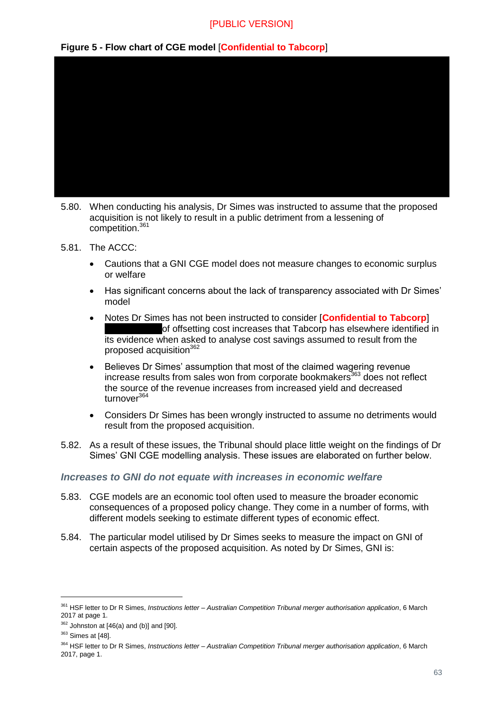#### **Figure 5 - Flow chart of CGE model** [**Confidential to Tabcorp**]



- 5.80. When conducting his analysis, Dr Simes was instructed to assume that the proposed acquisition is not likely to result in a public detriment from a lessening of competition<sup>361</sup>
- 5.81. The ACCC:
	- Cautions that a GNI CGE model does not measure changes to economic surplus or welfare
	- Has significant concerns about the lack of transparency associated with Dr Simes' model
	- Notes Dr Simes has not been instructed to consider [**Confidential to Tabcorp**] of offsetting cost increases that Tabcorp has elsewhere identified in its evidence when asked to analyse cost savings assumed to result from the proposed acquisition<sup>362</sup>
	- Believes Dr Simes' assumption that most of the claimed wagering revenue increase results from sales won from corporate bookmakers<sup>363</sup> does not reflect the source of the revenue increases from increased yield and decreased turnover<sup>364</sup>
	- Considers Dr Simes has been wrongly instructed to assume no detriments would result from the proposed acquisition.
- 5.82. As a result of these issues, the Tribunal should place little weight on the findings of Dr Simes' GNI CGE modelling analysis. These issues are elaborated on further below.

#### *Increases to GNI do not equate with increases in economic welfare*

- 5.83. CGE models are an economic tool often used to measure the broader economic consequences of a proposed policy change. They come in a number of forms, with different models seeking to estimate different types of economic effect.
- 5.84. The particular model utilised by Dr Simes seeks to measure the impact on GNI of certain aspects of the proposed acquisition. As noted by Dr Simes, GNI is:

<sup>361</sup> HSF letter to Dr R Simes, *Instructions letter – Australian Competition Tribunal merger authorisation application*, 6 March 2017 at page 1.

 $362$  Johnston at [46(a) and (b)] and [90].

<sup>&</sup>lt;sup>363</sup> Simes at [48].

<sup>364</sup> HSF letter to Dr R Simes, *Instructions letter – Australian Competition Tribunal merger authorisation application*, 6 March 2017, page 1.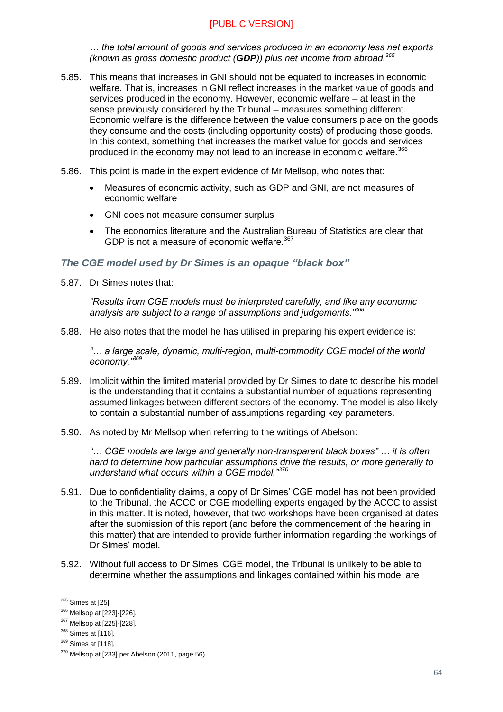*… the total amount of goods and services produced in an economy less net exports (known as gross domestic product (GDP)) plus net income from abroad.<sup>365</sup>*

- 5.85. This means that increases in GNI should not be equated to increases in economic welfare. That is, increases in GNI reflect increases in the market value of goods and services produced in the economy. However, economic welfare – at least in the sense previously considered by the Tribunal – measures something different. Economic welfare is the difference between the value consumers place on the goods they consume and the costs (including opportunity costs) of producing those goods. In this context, something that increases the market value for goods and services produced in the economy may not lead to an increase in economic welfare.<sup>366</sup>
- 5.86. This point is made in the expert evidence of Mr Mellsop, who notes that:
	- Measures of economic activity, such as GDP and GNI, are not measures of economic welfare
	- GNI does not measure consumer surplus
	- The economics literature and the Australian Bureau of Statistics are clear that GDP is not a measure of economic welfare.<sup>367</sup>

#### *The CGE model used by Dr Simes is an opaque "black box"*

5.87. Dr Simes notes that:

*"Results from CGE models must be interpreted carefully, and like any economic analysis are subject to a range of assumptions and judgements."<sup>368</sup>*

5.88. He also notes that the model he has utilised in preparing his expert evidence is:

*"… a large scale, dynamic, multi-region, multi-commodity CGE model of the world economy."<sup>369</sup>*

- 5.89. Implicit within the limited material provided by Dr Simes to date to describe his model is the understanding that it contains a substantial number of equations representing assumed linkages between different sectors of the economy. The model is also likely to contain a substantial number of assumptions regarding key parameters.
- 5.90. As noted by Mr Mellsop when referring to the writings of Abelson:

*"… CGE models are large and generally non-transparent black boxes" … it is often hard to determine how particular assumptions drive the results, or more generally to understand what occurs within a CGE model."<sup>370</sup>*

- 5.91. Due to confidentiality claims, a copy of Dr Simes' CGE model has not been provided to the Tribunal, the ACCC or CGE modelling experts engaged by the ACCC to assist in this matter. It is noted, however, that two workshops have been organised at dates after the submission of this report (and before the commencement of the hearing in this matter) that are intended to provide further information regarding the workings of Dr Simes' model.
- 5.92. Without full access to Dr Simes' CGE model, the Tribunal is unlikely to be able to determine whether the assumptions and linkages contained within his model are

<sup>&</sup>lt;sup>365</sup> Simes at [25].

<sup>366</sup> Mellsop at [223]-[226].

<sup>367</sup> Mellsop at [225]-[228].

<sup>&</sup>lt;sup>368</sup> Simes at [116].

<sup>&</sup>lt;sup>369</sup> Simes at [118].

<sup>&</sup>lt;sup>370</sup> Mellsop at [233] per Abelson (2011, page 56).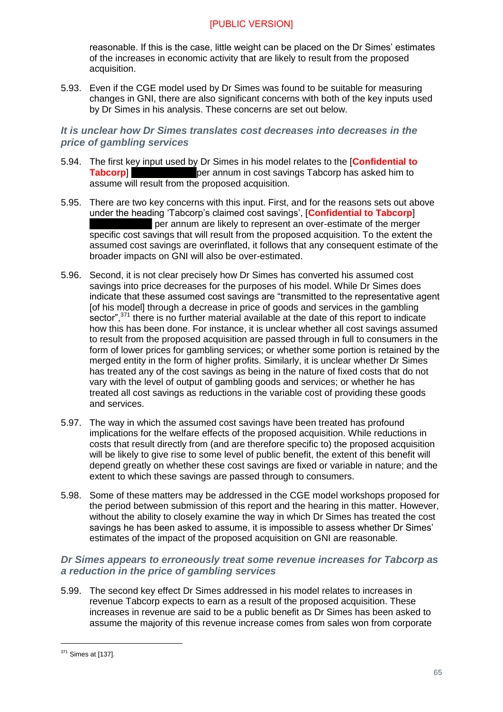reasonable. If this is the case, little weight can be placed on the Dr Simes' estimates of the increases in economic activity that are likely to result from the proposed acquisition.

5.93. Even if the CGE model used by Dr Simes was found to be suitable for measuring changes in GNI, there are also significant concerns with both of the key inputs used by Dr Simes in his analysis. These concerns are set out below.

#### *It is unclear how Dr Simes translates cost decreases into decreases in the price of gambling services*

- 5.94. The first key input used by Dr Simes in his model relates to the [**Confidential to Tabcorp EXECUTE: Tabcorp EXECUTE: Tabcorp EXECUTE: Tabcorp EXECUTE: Tabcorp EXECUTE: Tabcorp EXECUTE: Tabcorp EXECUTE: Tabcorp EXECUTE: C** assume will result from the proposed acquisition.
- 5.95. There are two key concerns with this input. First, and for the reasons sets out above under the heading 'Tabcorp's claimed cost savings', [**Confidential to Tabcorp**] per annum are likely to represent an over-estimate of the merger specific cost savings that will result from the proposed acquisition. To the extent the assumed cost savings are overinflated, it follows that any consequent estimate of the broader impacts on GNI will also be over-estimated.
- 5.96. Second, it is not clear precisely how Dr Simes has converted his assumed cost savings into price decreases for the purposes of his model. While Dr Simes does indicate that these assumed cost savings are "transmitted to the representative agent [of his model] through a decrease in price of goods and services in the gambling sector",<sup>371</sup> there is no further material available at the date of this report to indicate how this has been done. For instance, it is unclear whether all cost savings assumed to result from the proposed acquisition are passed through in full to consumers in the form of lower prices for gambling services; or whether some portion is retained by the merged entity in the form of higher profits. Similarly, it is unclear whether Dr Simes has treated any of the cost savings as being in the nature of fixed costs that do not vary with the level of output of gambling goods and services; or whether he has treated all cost savings as reductions in the variable cost of providing these goods and services.
- 5.97. The way in which the assumed cost savings have been treated has profound implications for the welfare effects of the proposed acquisition. While reductions in costs that result directly from (and are therefore specific to) the proposed acquisition will be likely to give rise to some level of public benefit, the extent of this benefit will depend greatly on whether these cost savings are fixed or variable in nature; and the extent to which these savings are passed through to consumers.
- 5.98. Some of these matters may be addressed in the CGE model workshops proposed for the period between submission of this report and the hearing in this matter. However, without the ability to closely examine the way in which Dr Simes has treated the cost savings he has been asked to assume, it is impossible to assess whether Dr Simes' estimates of the impact of the proposed acquisition on GNI are reasonable.

#### *Dr Simes appears to erroneously treat some revenue increases for Tabcorp as a reduction in the price of gambling services*

5.99. The second key effect Dr Simes addressed in his model relates to increases in revenue Tabcorp expects to earn as a result of the proposed acquisition. These increases in revenue are said to be a public benefit as Dr Simes has been asked to assume the majority of this revenue increase comes from sales won from corporate

<sup>371</sup> Simes at [137].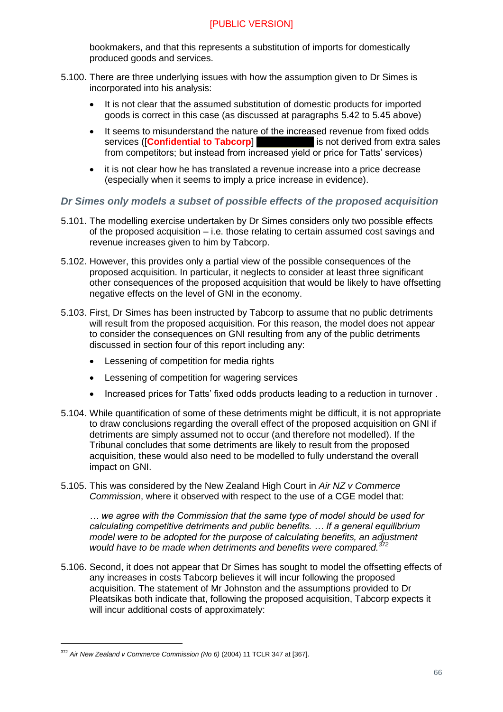bookmakers, and that this represents a substitution of imports for domestically produced goods and services.

- 5.100. There are three underlying issues with how the assumption given to Dr Simes is incorporated into his analysis:
	- It is not clear that the assumed substitution of domestic products for imported goods is correct in this case (as discussed at paragraphs [5.42](#page-56-0) to [5.45](#page-57-1) above)
	- It seems to misunderstand the nature of the increased revenue from fixed odds services ([**Confidential to Tabcorp**] is not derived from extra sales from competitors; but instead from increased yield or price for Tatts' services)
	- it is not clear how he has translated a revenue increase into a price decrease (especially when it seems to imply a price increase in evidence).

#### *Dr Simes only models a subset of possible effects of the proposed acquisition*

- 5.101. The modelling exercise undertaken by Dr Simes considers only two possible effects of the proposed acquisition – i.e. those relating to certain assumed cost savings and revenue increases given to him by Tabcorp.
- 5.102. However, this provides only a partial view of the possible consequences of the proposed acquisition. In particular, it neglects to consider at least three significant other consequences of the proposed acquisition that would be likely to have offsetting negative effects on the level of GNI in the economy.
- 5.103. First, Dr Simes has been instructed by Tabcorp to assume that no public detriments will result from the proposed acquisition. For this reason, the model does not appear to consider the consequences on GNI resulting from any of the public detriments discussed in section four of this report including any:
	- **•** Lessening of competition for media rights
	- Lessening of competition for wagering services
	- Increased prices for Tatts' fixed odds products leading to a reduction in turnover.
- 5.104. While quantification of some of these detriments might be difficult, it is not appropriate to draw conclusions regarding the overall effect of the proposed acquisition on GNI if detriments are simply assumed not to occur (and therefore not modelled). If the Tribunal concludes that some detriments are likely to result from the proposed acquisition, these would also need to be modelled to fully understand the overall impact on GNI.
- 5.105. This was considered by the New Zealand High Court in *Air NZ v Commerce Commission*, where it observed with respect to the use of a CGE model that:

*… we agree with the Commission that the same type of model should be used for calculating competitive detriments and public benefits. … If a general equilibrium model were to be adopted for the purpose of calculating benefits, an adjustment would have to be made when detriments and benefits were compared.<sup>372</sup>*

5.106. Second, it does not appear that Dr Simes has sought to model the offsetting effects of any increases in costs Tabcorp believes it will incur following the proposed acquisition. The statement of Mr Johnston and the assumptions provided to Dr Pleatsikas both indicate that, following the proposed acquisition, Tabcorp expects it will incur additional costs of approximately:

<sup>&</sup>lt;sup>372</sup> Air New Zealand v Commerce Commission (No 6) (2004) 11 TCLR 347 at [367].